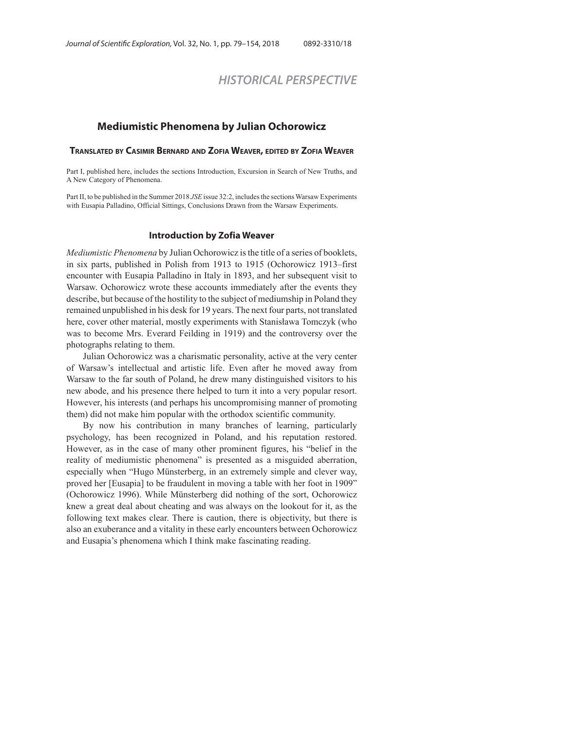# *HISTORICAL PERSPECTIVE*

## **Mediumistic Phenomena by Julian Ochorowicz**

## **TRANSLATED BY CASIMIR BERNARD AND ZOFIA WEAVER, EDITED BY ZOFIA WEAVER**

Part I, published here, includes the sections Introduction, Excursion in Search of New Truths, and A New Category of Phenomena.

Part II, to be published in the Summer 2018 *JSE* issue 32:2, includes the sections Warsaw Experiments with Eusapia Palladino, Official Sittings, Conclusions Drawn from the Warsaw Experiments.

#### **Introduction by Zofia Weaver**

*Mediumistic Phenomena* by Julian Ochorowicz is the title of a series of booklets, in six parts, published in Polish from 1913 to 1915 (Ochorowicz 1913–first encounter with Eusapia Palladino in Italy in 1893, and her subsequent visit to Warsaw. Ochorowicz wrote these accounts immediately after the events they describe, but because of the hostility to the subject of mediumship in Poland they remained unpublished in his desk for 19 years. The next four parts, not translated here, cover other material, mostly experiments with Stanisława Tomczyk (who was to become Mrs. Everard Feilding in 1919) and the controversy over the photographs relating to them.

Julian Ochorowicz was a charismatic personality, active at the very center of Warsaw's intellectual and artistic life. Even after he moved away from Warsaw to the far south of Poland, he drew many distinguished visitors to his new abode, and his presence there helped to turn it into a very popular resort. However, his interests (and perhaps his uncompromising manner of promoting them) did not make him popular with the orthodox scientific community.

By now his contribution in many branches of learning, particularly psychology, has been recognized in Poland, and his reputation restored. However, as in the case of many other prominent figures, his "belief in the reality of mediumistic phenomena" is presented as a misguided aberration, especially when "Hugo Münsterberg, in an extremely simple and clever way, proved her [Eusapia] to be fraudulent in moving a table with her foot in 1909" (Ochorowicz 1996). While Münsterberg did nothing of the sort, Ochorowicz knew a great deal about cheating and was always on the lookout for it, as the following text makes clear. There is caution, there is objectivity, but there is also an exuberance and a vitality in these early encounters between Ochorowicz and Eusapia's phenomena which I think make fascinating reading.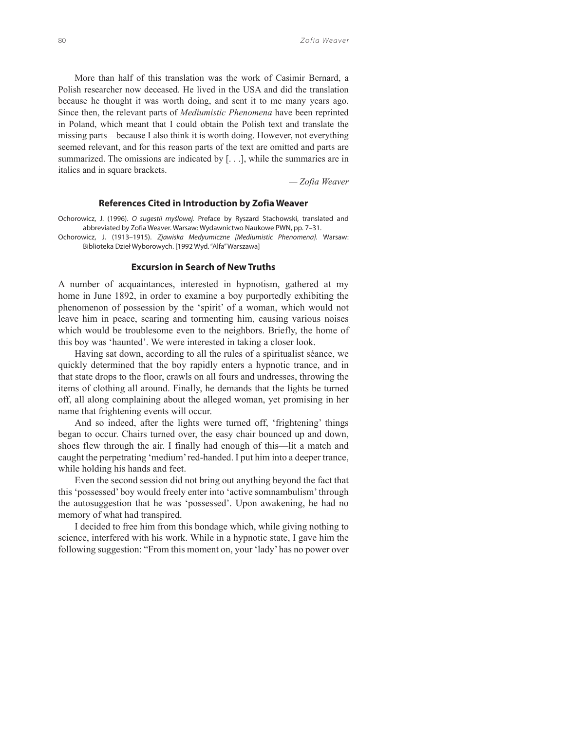More than half of this translation was the work of Casimir Bernard, a Polish researcher now deceased. He lived in the USA and did the translation because he thought it was worth doing, and sent it to me many years ago. Since then, the relevant parts of *Mediumistic Phenomena* have been reprinted in Poland, which meant that I could obtain the Polish text and translate the missing parts—because I also think it is worth doing. However, not everything seemed relevant, and for this reason parts of the text are omitted and parts are summarized. The omissions are indicated by [. . .], while the summaries are in italics and in square brackets.

*— Zofia Weaver*

#### **References Cited in Introduction by Zofia Weaver**

Ochorowicz, J. (1996). O sugestii myślowej. Preface by Ryszard Stachowski, translated and abbreviated by Zofia Weaver. Warsaw: Wydawnictwo Naukowe PWN, pp. 7–31.

Ochorowicz, J. (1913–1915). Zjawiska Medyumiczne [Mediumistic Phenomena]. Warsaw: Biblioteka Dzieł Wyborowych. [1992 Wyd. "Alfa" Warszawa]

## **Excursion in Search of New Truths**

A number of acquaintances, interested in hypnotism, gathered at my home in June 1892, in order to examine a boy purportedly exhibiting the phenomenon of possession by the 'spirit' of a woman, which would not leave him in peace, scaring and tormenting him, causing various noises which would be troublesome even to the neighbors. Briefly, the home of this boy was 'haunted'. We were interested in taking a closer look.

Having sat down, according to all the rules of a spiritualist séance, we quickly determined that the boy rapidly enters a hypnotic trance, and in that state drops to the floor, crawls on all fours and undresses, throwing the items of clothing all around. Finally, he demands that the lights be turned off, all along complaining about the alleged woman, yet promising in her name that frightening events will occur.

And so indeed, after the lights were turned off, 'frightening' things began to occur. Chairs turned over, the easy chair bounced up and down, shoes flew through the air. I finally had enough of this—lit a match and caught the perpetrating 'medium' red-handed. I put him into a deeper trance, while holding his hands and feet.

Even the second session did not bring out anything beyond the fact that this 'possessed' boy would freely enter into 'active somnambulism' through the autosuggestion that he was 'possessed'. Upon awakening, he had no memory of what had transpired.

I decided to free him from this bondage which, while giving nothing to science, interfered with his work. While in a hypnotic state, I gave him the following suggestion: "From this moment on, your 'lady' has no power over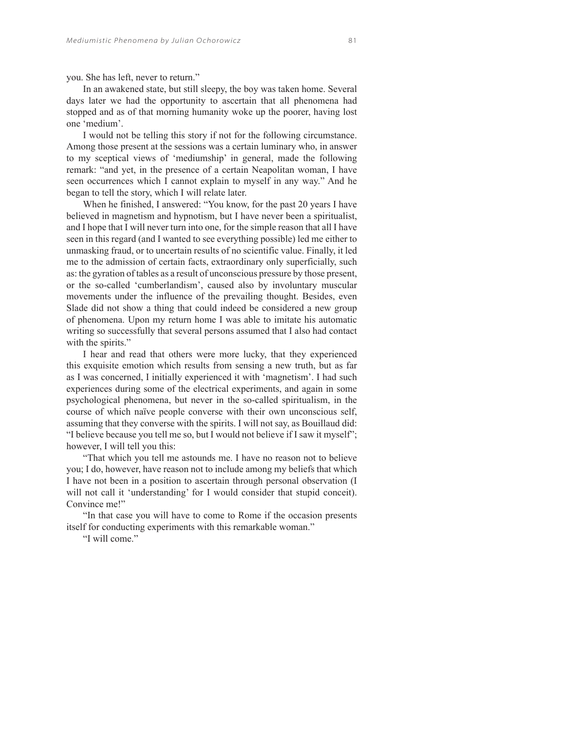you. She has left, never to return."

In an awakened state, but still sleepy, the boy was taken home. Several days later we had the opportunity to ascertain that all phenomena had stopped and as of that morning humanity woke up the poorer, having lost one 'medium'.

I would not be telling this story if not for the following circumstance. Among those present at the sessions was a certain luminary who, in answer to my sceptical views of 'mediumship' in general, made the following remark: "and yet, in the presence of a certain Neapolitan woman, I have seen occurrences which I cannot explain to myself in any way." And he began to tell the story, which I will relate later.

When he finished, I answered: "You know, for the past 20 years I have believed in magnetism and hypnotism, but I have never been a spiritualist, and I hope that I will never turn into one, for the simple reason that all I have seen in this regard (and I wanted to see everything possible) led me either to unmasking fraud, or to uncertain results of no scientific value. Finally, it led me to the admission of certain facts, extraordinary only superficially, such as: the gyration of tables as a result of unconscious pressure by those present, or the so-called 'cumberlandism', caused also by involuntary muscular movements under the influence of the prevailing thought. Besides, even Slade did not show a thing that could indeed be considered a new group of phenomena. Upon my return home I was able to imitate his automatic writing so successfully that several persons assumed that I also had contact with the spirits."

I hear and read that others were more lucky, that they experienced this exquisite emotion which results from sensing a new truth, but as far as I was concerned, I initially experienced it with 'magnetism'. I had such experiences during some of the electrical experiments, and again in some psychological phenomena, but never in the so-called spiritualism, in the course of which naïve people converse with their own unconscious self, assuming that they converse with the spirits. I will not say, as Bouillaud did: "I believe because you tell me so, but I would not believe if I saw it myself"; however, I will tell you this:

"That which you tell me astounds me. I have no reason not to believe you; I do, however, have reason not to include among my beliefs that which I have not been in a position to ascertain through personal observation (I will not call it 'understanding' for I would consider that stupid conceit). Convince me!"

"In that case you will have to come to Rome if the occasion presents itself for conducting experiments with this remarkable woman."

"I will come"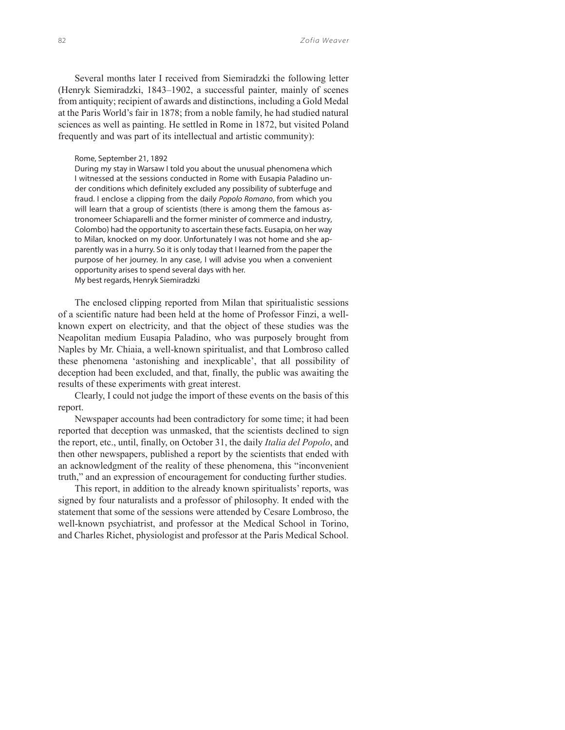Several months later I received from Siemiradzki the following letter (Henryk Siemiradzki, 1843–1902, a successful painter, mainly of scenes from antiquity; recipient of awards and distinctions, including a Gold Medal at the Paris World's fair in 1878; from a noble family, he had studied natural sciences as well as painting. He settled in Rome in 1872, but visited Poland frequently and was part of its intellectual and artistic community):

#### Rome, September 21, 1892

During my stay in Warsaw I told you about the unusual phenomena which I witnessed at the sessions conducted in Rome with Eusapia Paladino under conditions which definitely excluded any possibility of subterfuge and fraud. I enclose a clipping from the daily Popolo Romano, from which you will learn that a group of scientists (there is among them the famous astronomeer Schiaparelli and the former minister of commerce and industry, Colombo) had the opportunity to ascertain these facts. Eusapia, on her way to Milan, knocked on my door. Unfortunately I was not home and she apparently was in a hurry. So it is only today that I learned from the paper the purpose of her journey. In any case, I will advise you when a convenient opportunity arises to spend several days with her. My best regards, Henryk Siemiradzki

The enclosed clipping reported from Milan that spiritualistic sessions of a scientific nature had been held at the home of Professor Finzi, a wellknown expert on electricity, and that the object of these studies was the Neapolitan medium Eusapia Paladino, who was purposely brought from Naples by Mr. Chiaia, a well-known spiritualist, and that Lombroso called these phenomena 'astonishing and inexplicable', that all possibility of deception had been excluded, and that, finally, the public was awaiting the results of these experiments with great interest.

Clearly, I could not judge the import of these events on the basis of this report.

Newspaper accounts had been contradictory for some time; it had been reported that deception was unmasked, that the scientists declined to sign the report, etc., until, finally, on October 31, the daily *Italia del Popolo*, and then other newspapers, published a report by the scientists that ended with an acknowledgment of the reality of these phenomena, this "inconvenient truth," and an expression of encouragement for conducting further studies.

This report, in addition to the already known spiritualists' reports, was signed by four naturalists and a professor of philosophy. It ended with the statement that some of the sessions were attended by Cesare Lombroso, the well-known psychiatrist, and professor at the Medical School in Torino, and Charles Richet, physiologist and professor at the Paris Medical School.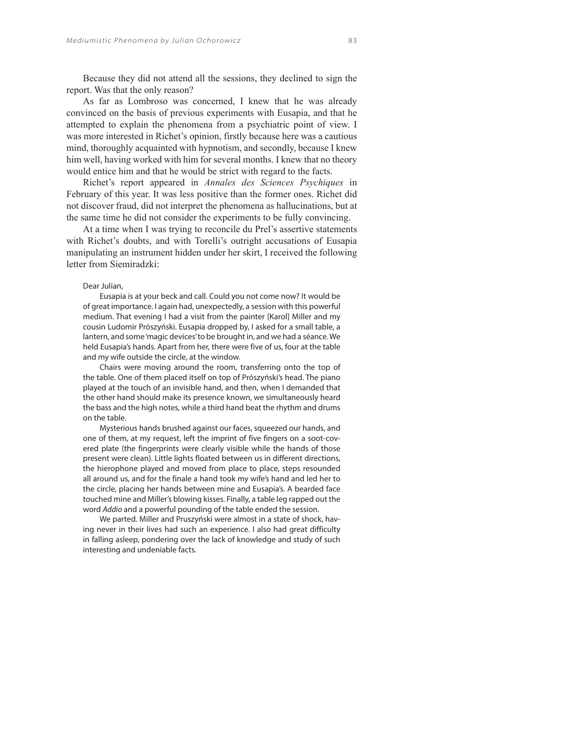Because they did not attend all the sessions, they declined to sign the report. Was that the only reason?

As far as Lombroso was concerned, I knew that he was already convinced on the basis of previous experiments with Eusapia, and that he attempted to explain the phenomena from a psychiatric point of view. I was more interested in Richet's opinion, firstly because here was a cautious mind, thoroughly acquainted with hypnotism, and secondly, because I knew him well, having worked with him for several months. I knew that no theory would entice him and that he would be strict with regard to the facts.

Richet's report appeared in *Annales des Sciences Psychiques* in February of this year. It was less positive than the former ones. Richet did not discover fraud, did not interpret the phenomena as hallucinations, but at the same time he did not consider the experiments to be fully convincing.

At a time when I was trying to reconcile du Prel's assertive statements with Richet's doubts, and with Torelli's outright accusations of Eusapia manipulating an instrument hidden under her skirt, I received the following letter from Siemiradzki:

## Dear Julian,

Eusapia is at your beck and call. Could you not come now? It would be of great importance. I again had, unexpectedly, a session with this powerful medium. That evening I had a visit from the painter [Karol] Miller and my cousin Ludomir Prószyński. Eusapia dropped by, I asked for a small table, a lantern, and some 'magic devices' to be brought in, and we had a séance. We held Eusapia's hands. Apart from her, there were five of us, four at the table and my wife outside the circle, at the window.

Chairs were moving around the room, transferring onto the top of the table. One of them placed itself on top of Prószyński's head. The piano played at the touch of an invisible hand, and then, when I demanded that the other hand should make its presence known, we simultaneously heard the bass and the high notes, while a third hand beat the rhythm and drums on the table.

Mysterious hands brushed against our faces, squeezed our hands, and one of them, at my request, left the imprint of five fingers on a soot-covered plate (the fingerprints were clearly visible while the hands of those present were clean). Little lights floated between us in different directions, the hierophone played and moved from place to place, steps resounded all around us, and for the finale a hand took my wife's hand and led her to the circle, placing her hands between mine and Eusapia's. A bearded face touched mine and Miller's blowing kisses. Finally, a table leg rapped out the word Addio and a powerful pounding of the table ended the session.

We parted. Miller and Pruszyński were almost in a state of shock, having never in their lives had such an experience. I also had great difficulty in falling asleep, pondering over the lack of knowledge and study of such interesting and undeniable facts.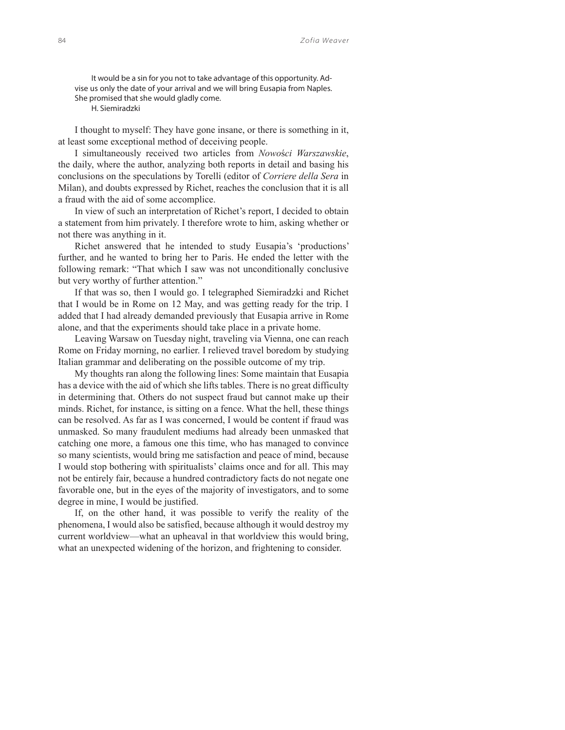It would be a sin for you not to take advantage of this opportunity. Advise us only the date of your arrival and we will bring Eusapia from Naples. She promised that she would gladly come.

H. Siemiradzki

I thought to myself: They have gone insane, or there is something in it, at least some exceptional method of deceiving people.

I simultaneously received two articles from *Nowo*ś*ci Warszawskie*, the daily, where the author, analyzing both reports in detail and basing his conclusions on the speculations by Torelli (editor of *Corriere della Sera* in Milan), and doubts expressed by Richet, reaches the conclusion that it is all a fraud with the aid of some accomplice.

In view of such an interpretation of Richet's report, I decided to obtain a statement from him privately. I therefore wrote to him, asking whether or not there was anything in it.

Richet answered that he intended to study Eusapia's 'productions' further, and he wanted to bring her to Paris. He ended the letter with the following remark: "That which I saw was not unconditionally conclusive but very worthy of further attention."

If that was so, then I would go. I telegraphed Siemiradzki and Richet that I would be in Rome on 12 May, and was getting ready for the trip. I added that I had already demanded previously that Eusapia arrive in Rome alone, and that the experiments should take place in a private home.

Leaving Warsaw on Tuesday night, traveling via Vienna, one can reach Rome on Friday morning, no earlier. I relieved travel boredom by studying Italian grammar and deliberating on the possible outcome of my trip.

My thoughts ran along the following lines: Some maintain that Eusapia has a device with the aid of which she lifts tables. There is no great difficulty in determining that. Others do not suspect fraud but cannot make up their minds. Richet, for instance, is sitting on a fence. What the hell, these things can be resolved. As far as I was concerned, I would be content if fraud was unmasked. So many fraudulent mediums had already been unmasked that catching one more, a famous one this time, who has managed to convince so many scientists, would bring me satisfaction and peace of mind, because I would stop bothering with spiritualists' claims once and for all. This may not be entirely fair, because a hundred contradictory facts do not negate one favorable one, but in the eyes of the majority of investigators, and to some degree in mine, I would be justified.

If, on the other hand, it was possible to verify the reality of the phenomena, I would also be satisfied, because although it would destroy my current worldview—what an upheaval in that worldview this would bring, what an unexpected widening of the horizon, and frightening to consider.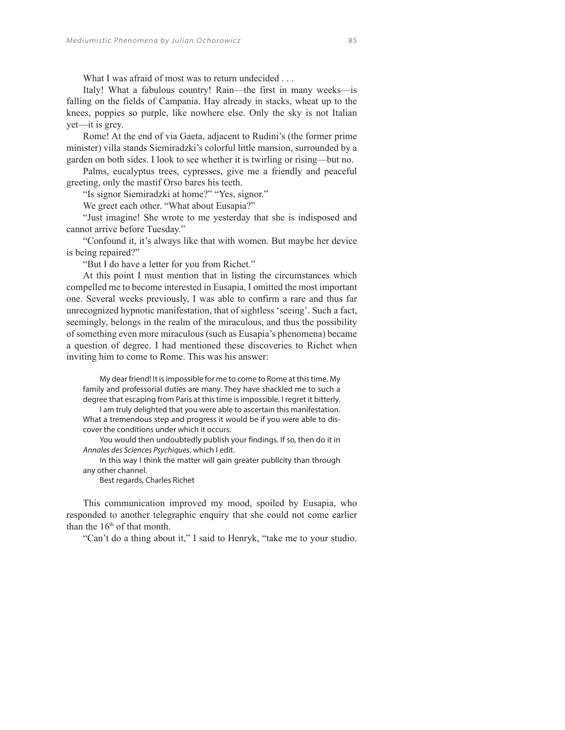What I was afraid of most was to return undecided . . .

Italy! What a fabulous country! Rain—the first in many weeks—is falling on the fields of Campania. Hay already in stacks, wheat up to the knees, poppies so purple, like nowhere else. Only the sky is not Italian yet—it is grey.

Rome! At the end of via Gaeta, adjacent to Rudini's (the former prime minister) villa stands Siemiradzki's colorful little mansion, surrounded by a garden on both sides. I look to see whether it is twirling or rising—but no.

Palms, eucalyptus trees, cypresses, give me a friendly and peaceful greeting, only the mastif Orso bares his teeth.

"Is signor Siemiradzki at home?" "Yes, signor."

We greet each other. "What about Eusapia?"

"Just imagine! She wrote to me yesterday that she is indisposed and cannot arrive before Tuesday."

"Confound it, it's always like that with women. But maybe her device is being repaired?"

"But I do have a letter for you from Richet."

At this point I must mention that in listing the circumstances which compelled me to become interested in Eusapia, I omitted the most important one. Several weeks previously, I was able to confirm a rare and thus far unrecognized hypnotic manifestation, that of sightless 'seeing'. Such a fact, seemingly, belongs in the realm of the miraculous, and thus the possibility of something even more miraculous (such as Eusapia's phenomena) became a question of degree. I had mentioned these discoveries to Richet when inviting him to come to Rome. This was his answer:

My dear friend! It is impossible for me to come to Rome at this time. My family and professorial duties are many. They have shackled me to such a degree that escaping from Paris at this time is impossible. I regret it bitterly. I am truly delighted that you were able to ascertain this manifestation. What a tremendous step and progress it would be if you were able to discover the conditions under which it occurs.

You would then undoubtedly publish your findings. If so, then do it in Annales des Sciences Psychiques, which I edit.

In this way I think the matter will gain greater publicity than through any other channel.

Best regards, Charles Richet

This communication improved my mood, spoiled by Eusapia, who responded to another telegraphic enquiry that she could not come earlier than the  $16<sup>th</sup>$  of that month.

"Can't do a thing about it," I said to Henryk, "take me to your studio.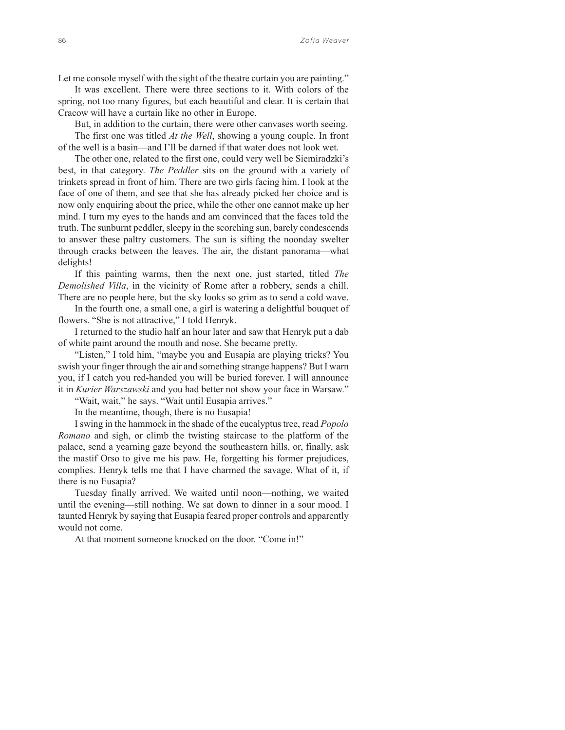Let me console myself with the sight of the theatre curtain you are painting."

It was excellent. There were three sections to it. With colors of the spring, not too many figures, but each beautiful and clear. It is certain that Cracow will have a curtain like no other in Europe.

But, in addition to the curtain, there were other canvases worth seeing. The first one was titled *At the Well*, showing a young couple. In front of the well is a basin—and I'll be darned if that water does not look wet.

The other one, related to the first one, could very well be Siemiradzki's best, in that category. *The Peddler* sits on the ground with a variety of trinkets spread in front of him. There are two girls facing him. I look at the face of one of them, and see that she has already picked her choice and is now only enquiring about the price, while the other one cannot make up her mind. I turn my eyes to the hands and am convinced that the faces told the truth. The sunburnt peddler, sleepy in the scorching sun, barely condescends to answer these paltry customers. The sun is sifting the noonday swelter through cracks between the leaves. The air, the distant panorama—what delights!

If this painting warms, then the next one, just started, titled *The Demolished Villa*, in the vicinity of Rome after a robbery, sends a chill. There are no people here, but the sky looks so grim as to send a cold wave.

In the fourth one, a small one, a girl is watering a delightful bouquet of flowers. "She is not attractive," I told Henryk.

I returned to the studio half an hour later and saw that Henryk put a dab of white paint around the mouth and nose. She became pretty.

"Listen," I told him, "maybe you and Eusapia are playing tricks? You swish your finger through the air and something strange happens? But I warn you, if I catch you red-handed you will be buried forever. I will announce it in *Kurier Warszawski* and you had better not show your face in Warsaw."

"Wait, wait," he says. "Wait until Eusapia arrives."

In the meantime, though, there is no Eusapia!

I swing in the hammock in the shade of the eucalyptus tree, read *Popolo Romano* and sigh, or climb the twisting staircase to the platform of the palace, send a yearning gaze beyond the southeastern hills, or, finally, ask the mastif Orso to give me his paw. He, forgetting his former prejudices, complies. Henryk tells me that I have charmed the savage. What of it, if there is no Eusapia?

Tuesday finally arrived. We waited until noon—nothing, we waited until the evening—still nothing. We sat down to dinner in a sour mood. I taunted Henryk by saying that Eusapia feared proper controls and apparently would not come.

At that moment someone knocked on the door. "Come in!"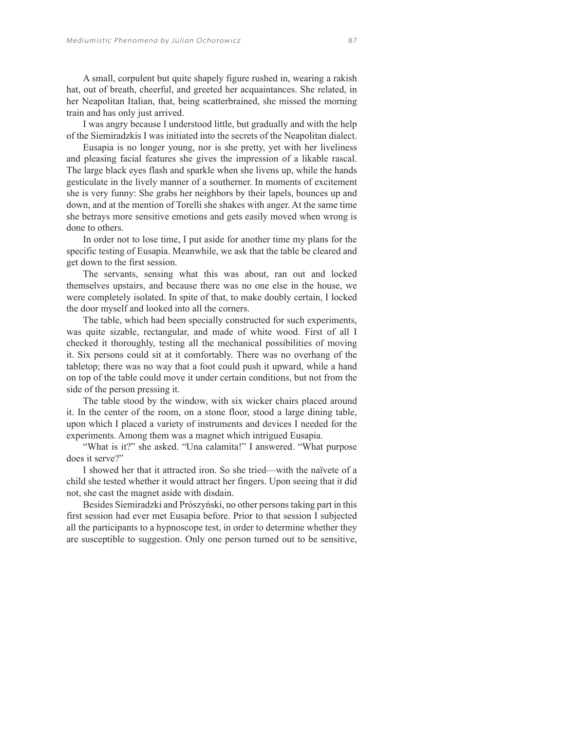A small, corpulent but quite shapely figure rushed in, wearing a rakish hat, out of breath, cheerful, and greeted her acquaintances. She related, in her Neapolitan Italian, that, being scatterbrained, she missed the morning train and has only just arrived.

I was angry because I understood little, but gradually and with the help of the Siemiradzkis I was initiated into the secrets of the Neapolitan dialect.

Eusapia is no longer young, nor is she pretty, yet with her liveliness and pleasing facial features she gives the impression of a likable rascal. The large black eyes flash and sparkle when she livens up, while the hands gesticulate in the lively manner of a southerner. In moments of excitement she is very funny: She grabs her neighbors by their lapels, bounces up and down, and at the mention of Torelli she shakes with anger. At the same time she betrays more sensitive emotions and gets easily moved when wrong is done to others.

In order not to lose time, I put aside for another time my plans for the specific testing of Eusapia. Meanwhile, we ask that the table be cleared and get down to the first session.

The servants, sensing what this was about, ran out and locked themselves upstairs, and because there was no one else in the house, we were completely isolated. In spite of that, to make doubly certain, I locked the door myself and looked into all the corners.

The table, which had been specially constructed for such experiments, was quite sizable, rectangular, and made of white wood. First of all I checked it thoroughly, testing all the mechanical possibilities of moving it. Six persons could sit at it comfortably. There was no overhang of the tabletop; there was no way that a foot could push it upward, while a hand on top of the table could move it under certain conditions, but not from the side of the person pressing it.

The table stood by the window, with six wicker chairs placed around it. In the center of the room, on a stone floor, stood a large dining table, upon which I placed a variety of instruments and devices I needed for the experiments. Among them was a magnet which intrigued Eusapia.

"What is it?" she asked. "Una calamita!" I answered. "What purpose does it serve?"

I showed her that it attracted iron. So she tried—with the naïvete of a child she tested whether it would attract her fingers. Upon seeing that it did not, she cast the magnet aside with disdain.

Besides Siemiradzki and Prószyński, no other persons taking part in this first session had ever met Eusapia before. Prior to that session I subjected all the participants to a hypnoscope test, in order to determine whether they are susceptible to suggestion. Only one person turned out to be sensitive,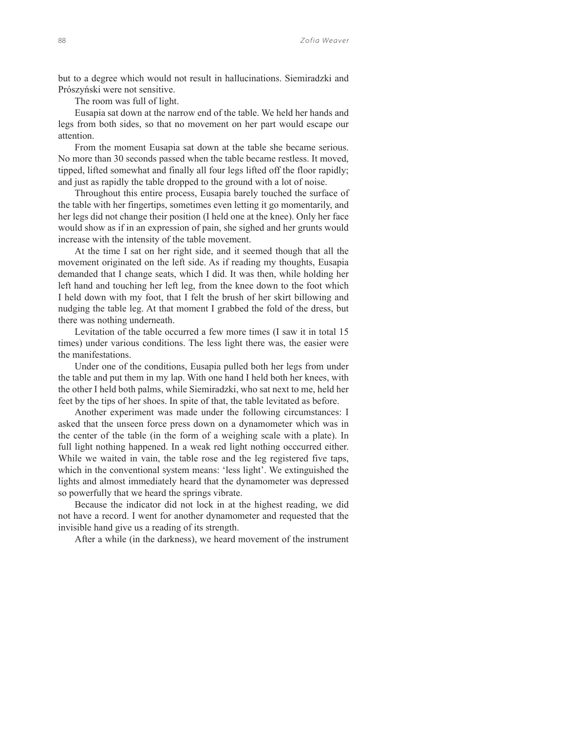but to a degree which would not result in hallucinations. Siemiradzki and Prószyński were not sensitive.

The room was full of light.

Eusapia sat down at the narrow end of the table. We held her hands and legs from both sides, so that no movement on her part would escape our attention.

From the moment Eusapia sat down at the table she became serious. No more than 30 seconds passed when the table became restless. It moved, tipped, lifted somewhat and finally all four legs lifted off the floor rapidly; and just as rapidly the table dropped to the ground with a lot of noise.

Throughout this entire process, Eusapia barely touched the surface of the table with her fingertips, sometimes even letting it go momentarily, and her legs did not change their position (I held one at the knee). Only her face would show as if in an expression of pain, she sighed and her grunts would increase with the intensity of the table movement.

At the time I sat on her right side, and it seemed though that all the movement originated on the left side. As if reading my thoughts, Eusapia demanded that I change seats, which I did. It was then, while holding her left hand and touching her left leg, from the knee down to the foot which I held down with my foot, that I felt the brush of her skirt billowing and nudging the table leg. At that moment I grabbed the fold of the dress, but there was nothing underneath.

Levitation of the table occurred a few more times (I saw it in total 15 times) under various conditions. The less light there was, the easier were the manifestations.

Under one of the conditions, Eusapia pulled both her legs from under the table and put them in my lap. With one hand I held both her knees, with the other I held both palms, while Siemiradzki, who sat next to me, held her feet by the tips of her shoes. In spite of that, the table levitated as before.

Another experiment was made under the following circumstances: I asked that the unseen force press down on a dynamometer which was in the center of the table (in the form of a weighing scale with a plate). In full light nothing happened. In a weak red light nothing occcurred either. While we waited in vain, the table rose and the leg registered five taps, which in the conventional system means: 'less light'. We extinguished the lights and almost immediately heard that the dynamometer was depressed so powerfully that we heard the springs vibrate.

Because the indicator did not lock in at the highest reading, we did not have a record. I went for another dynamometer and requested that the invisible hand give us a reading of its strength.

After a while (in the darkness), we heard movement of the instrument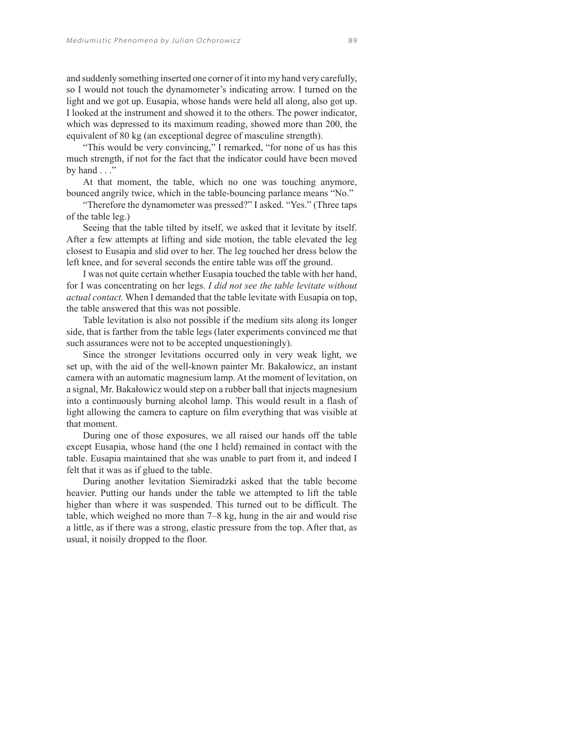and suddenly something inserted one corner of it into my hand very carefully, so I would not touch the dynamometer's indicating arrow. I turned on the light and we got up. Eusapia, whose hands were held all along, also got up. I looked at the instrument and showed it to the others. The power indicator, which was depressed to its maximum reading, showed more than 200, the equivalent of 80 kg (an exceptional degree of masculine strength).

"This would be very convincing," I remarked, "for none of us has this much strength, if not for the fact that the indicator could have been moved by hand  $\ldots$ "

At that moment, the table, which no one was touching anymore, bounced angrily twice, which in the table-bouncing parlance means "No."

"Therefore the dynamometer was pressed?" I asked. "Yes." (Three taps of the table leg.)

Seeing that the table tilted by itself, we asked that it levitate by itself. After a few attempts at lifting and side motion, the table elevated the leg closest to Eusapia and slid over to her. The leg touched her dress below the left knee, and for several seconds the entire table was off the ground.

I was not quite certain whether Eusapia touched the table with her hand, for I was concentrating on her legs. *I did not see the table levitate without actual contact.* When I demanded that the table levitate with Eusapia on top, the table answered that this was not possible.

Table levitation is also not possible if the medium sits along its longer side, that is farther from the table legs (later experiments convinced me that such assurances were not to be accepted unquestioningly).

Since the stronger levitations occurred only in very weak light, we set up, with the aid of the well-known painter Mr. Bakałowicz, an instant camera with an automatic magnesium lamp. At the moment of levitation, on a signal, Mr. Bakałowicz would step on a rubber ball that injects magnesium into a continuously burning alcohol lamp. This would result in a flash of light allowing the camera to capture on film everything that was visible at that moment.

During one of those exposures, we all raised our hands off the table except Eusapia, whose hand (the one I held) remained in contact with the table. Eusapia maintained that she was unable to part from it, and indeed I felt that it was as if glued to the table.

During another levitation Siemiradzki asked that the table become heavier. Putting our hands under the table we attempted to lift the table higher than where it was suspended. This turned out to be difficult. The table, which weighed no more than 7–8 kg, hung in the air and would rise a little, as if there was a strong, elastic pressure from the top. After that, as usual, it noisily dropped to the floor.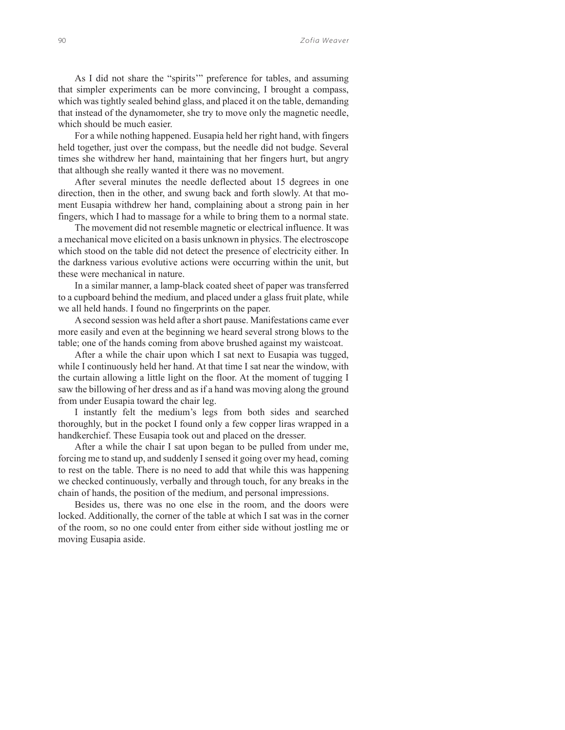As I did not share the "spirits'" preference for tables, and assuming that simpler experiments can be more convincing, I brought a compass, which was tightly sealed behind glass, and placed it on the table, demanding that instead of the dynamometer, she try to move only the magnetic needle, which should be much easier.

For a while nothing happened. Eusapia held her right hand, with fingers held together, just over the compass, but the needle did not budge. Several times she withdrew her hand, maintaining that her fingers hurt, but angry that although she really wanted it there was no movement.

After several minutes the needle deflected about 15 degrees in one direction, then in the other, and swung back and forth slowly. At that moment Eusapia withdrew her hand, complaining about a strong pain in her fingers, which I had to massage for a while to bring them to a normal state.

The movement did not resemble magnetic or electrical influence. It was a mechanical move elicited on a basis unknown in physics. The electroscope which stood on the table did not detect the presence of electricity either. In the darkness various evolutive actions were occurring within the unit, but these were mechanical in nature.

In a similar manner, a lamp-black coated sheet of paper was transferred to a cupboard behind the medium, and placed under a glass fruit plate, while we all held hands. I found no fingerprints on the paper.

A second session was held after a short pause. Manifestations came ever more easily and even at the beginning we heard several strong blows to the table; one of the hands coming from above brushed against my waistcoat.

After a while the chair upon which I sat next to Eusapia was tugged, while I continuously held her hand. At that time I sat near the window, with the curtain allowing a little light on the floor. At the moment of tugging I saw the billowing of her dress and as if a hand was moving along the ground from under Eusapia toward the chair leg.

I instantly felt the medium's legs from both sides and searched thoroughly, but in the pocket I found only a few copper liras wrapped in a handkerchief. These Eusapia took out and placed on the dresser.

After a while the chair I sat upon began to be pulled from under me, forcing me to stand up, and suddenly I sensed it going over my head, coming to rest on the table. There is no need to add that while this was happening we checked continuously, verbally and through touch, for any breaks in the chain of hands, the position of the medium, and personal impressions.

Besides us, there was no one else in the room, and the doors were locked. Additionally, the corner of the table at which I sat was in the corner of the room, so no one could enter from either side without jostling me or moving Eusapia aside.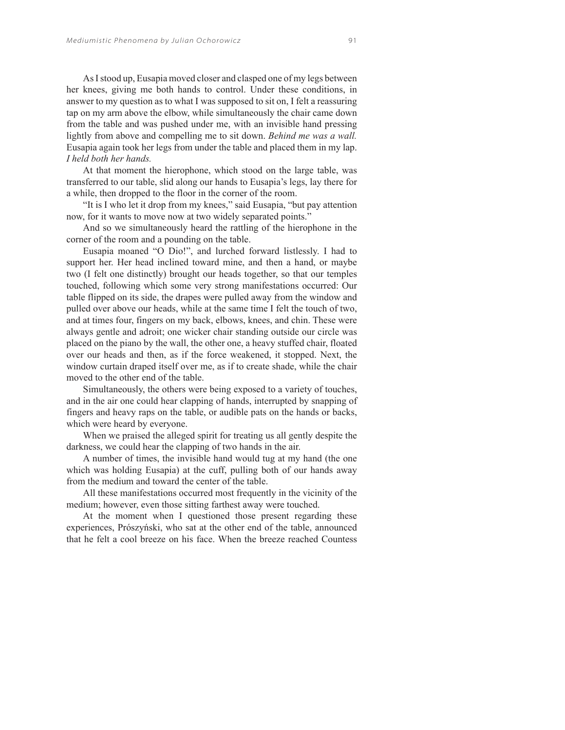As I stood up, Eusapia moved closer and clasped one of my legs between her knees, giving me both hands to control. Under these conditions, in answer to my question as to what I was supposed to sit on, I felt a reassuring tap on my arm above the elbow, while simultaneously the chair came down from the table and was pushed under me, with an invisible hand pressing lightly from above and compelling me to sit down. *Behind me was a wall.* Eusapia again took her legs from under the table and placed them in my lap. *I held both her hands.*

At that moment the hierophone, which stood on the large table, was transferred to our table, slid along our hands to Eusapia's legs, lay there for a while, then dropped to the floor in the corner of the room.

"It is I who let it drop from my knees," said Eusapia, "but pay attention now, for it wants to move now at two widely separated points."

And so we simultaneously heard the rattling of the hierophone in the corner of the room and a pounding on the table.

Eusapia moaned "O Dio!", and lurched forward listlessly. I had to support her. Her head inclined toward mine, and then a hand, or maybe two (I felt one distinctly) brought our heads together, so that our temples touched, following which some very strong manifestations occurred: Our table flipped on its side, the drapes were pulled away from the window and pulled over above our heads, while at the same time I felt the touch of two, and at times four, fingers on my back, elbows, knees, and chin. These were always gentle and adroit; one wicker chair standing outside our circle was placed on the piano by the wall, the other one, a heavy stuffed chair, floated over our heads and then, as if the force weakened, it stopped. Next, the window curtain draped itself over me, as if to create shade, while the chair moved to the other end of the table.

Simultaneously, the others were being exposed to a variety of touches, and in the air one could hear clapping of hands, interrupted by snapping of fingers and heavy raps on the table, or audible pats on the hands or backs, which were heard by everyone.

When we praised the alleged spirit for treating us all gently despite the darkness, we could hear the clapping of two hands in the air.

A number of times, the invisible hand would tug at my hand (the one which was holding Eusapia) at the cuff, pulling both of our hands away from the medium and toward the center of the table.

All these manifestations occurred most frequently in the vicinity of the medium; however, even those sitting farthest away were touched.

At the moment when I questioned those present regarding these experiences, Prószyński, who sat at the other end of the table, announced that he felt a cool breeze on his face. When the breeze reached Countess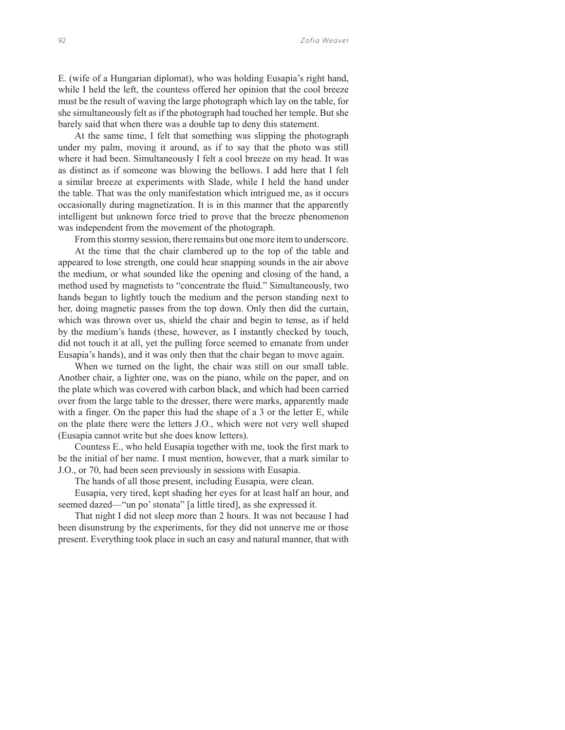E. (wife of a Hungarian diplomat), who was holding Eusapia's right hand, while I held the left, the countess offered her opinion that the cool breeze must be the result of waving the large photograph which lay on the table, for she simultaneously felt as if the photograph had touched her temple. But she barely said that when there was a double tap to deny this statement.

At the same time, I felt that something was slipping the photograph under my palm, moving it around, as if to say that the photo was still where it had been. Simultaneously I felt a cool breeze on my head. It was as distinct as if someone was blowing the bellows. I add here that I felt a similar breeze at experiments with Slade, while I held the hand under the table. That was the only manifestation which intrigued me, as it occurs occasionally during magnetization. It is in this manner that the apparently intelligent but unknown force tried to prove that the breeze phenomenon was independent from the movement of the photograph.

From this stormy session, there remains but one more item to underscore. At the time that the chair clambered up to the top of the table and appeared to lose strength, one could hear snapping sounds in the air above the medium, or what sounded like the opening and closing of the hand, a method used by magnetists to "concentrate the fluid." Simultaneously, two hands began to lightly touch the medium and the person standing next to her, doing magnetic passes from the top down. Only then did the curtain, which was thrown over us, shield the chair and begin to tense, as if held by the medium's hands (these, however, as I instantly checked by touch, did not touch it at all, yet the pulling force seemed to emanate from under Eusapia's hands), and it was only then that the chair began to move again.

When we turned on the light, the chair was still on our small table. Another chair, a lighter one, was on the piano, while on the paper, and on the plate which was covered with carbon black, and which had been carried over from the large table to the dresser, there were marks, apparently made with a finger. On the paper this had the shape of a 3 or the letter E, while on the plate there were the letters J.O., which were not very well shaped (Eusapia cannot write but she does know letters).

Countess E., who held Eusapia together with me, took the first mark to be the initial of her name. I must mention, however, that a mark similar to J.O., or 70, had been seen previously in sessions with Eusapia.

The hands of all those present, including Eusapia, were clean.

Eusapia, very tired, kept shading her eyes for at least half an hour, and seemed dazed—"un po' stonata" [a little tired], as she expressed it.

That night I did not sleep more than 2 hours. It was not because I had been disunstrung by the experiments, for they did not unnerve me or those present. Everything took place in such an easy and natural manner, that with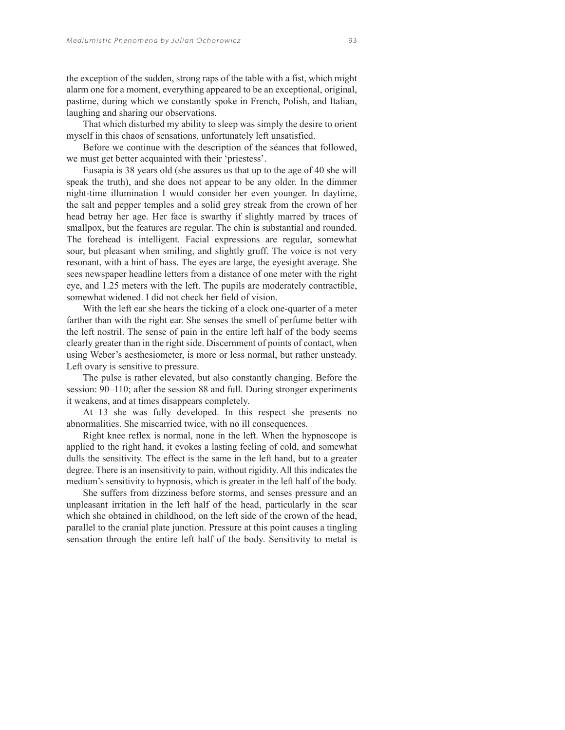the exception of the sudden, strong raps of the table with a fist, which might alarm one for a moment, everything appeared to be an exceptional, original, pastime, during which we constantly spoke in French, Polish, and Italian, laughing and sharing our observations.

That which disturbed my ability to sleep was simply the desire to orient myself in this chaos of sensations, unfortunately left unsatisfied.

Before we continue with the description of the séances that followed, we must get better acquainted with their 'priestess'.

Eusapia is 38 years old (she assures us that up to the age of 40 she will speak the truth), and she does not appear to be any older. In the dimmer night-time illumination I would consider her even younger. In daytime, the salt and pepper temples and a solid grey streak from the crown of her head betray her age. Her face is swarthy if slightly marred by traces of smallpox, but the features are regular. The chin is substantial and rounded. The forehead is intelligent. Facial expressions are regular, somewhat sour, but pleasant when smiling, and slightly gruff. The voice is not very resonant, with a hint of bass. The eyes are large, the eyesight average. She sees newspaper headline letters from a distance of one meter with the right eye, and 1.25 meters with the left. The pupils are moderately contractible, somewhat widened. I did not check her field of vision.

With the left ear she hears the ticking of a clock one-quarter of a meter farther than with the right ear. She senses the smell of perfume better with the left nostril. The sense of pain in the entire left half of the body seems clearly greater than in the right side. Discernment of points of contact, when using Weber's aesthesiometer, is more or less normal, but rather unsteady. Left ovary is sensitive to pressure.

The pulse is rather elevated, but also constantly changing. Before the session: 90–110; after the session 88 and full. During stronger experiments it weakens, and at times disappears completely.

At 13 she was fully developed. In this respect she presents no abnormalities. She miscarried twice, with no ill consequences.

Right knee reflex is normal, none in the left. When the hypnoscope is applied to the right hand, it evokes a lasting feeling of cold, and somewhat dulls the sensitivity. The effect is the same in the left hand, but to a greater degree. There is an insensitivity to pain, without rigidity. All this indicates the medium's sensitivity to hypnosis, which is greater in the left half of the body.

She suffers from dizziness before storms, and senses pressure and an unpleasant irritation in the left half of the head, particularly in the scar which she obtained in childhood, on the left side of the crown of the head, parallel to the cranial plate junction. Pressure at this point causes a tingling sensation through the entire left half of the body. Sensitivity to metal is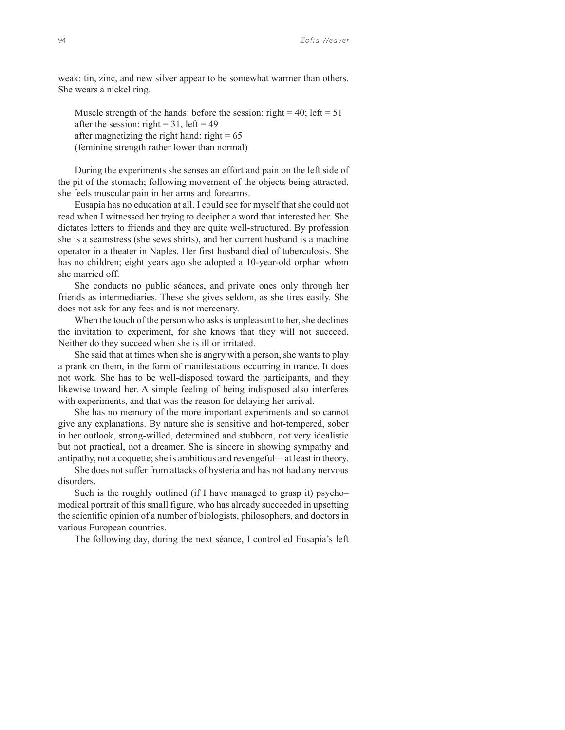weak: tin, zinc, and new silver appear to be somewhat warmer than others. She wears a nickel ring.

Muscle strength of the hands: before the session: right = 40; left =  $51$ after the session: right =  $31$ , left =  $49$ after magnetizing the right hand: right  $= 65$ (feminine strength rather lower than normal)

During the experiments she senses an effort and pain on the left side of the pit of the stomach; following movement of the objects being attracted, she feels muscular pain in her arms and forearms.

Eusapia has no education at all. I could see for myself that she could not read when I witnessed her trying to decipher a word that interested her. She dictates letters to friends and they are quite well-structured. By profession she is a seamstress (she sews shirts), and her current husband is a machine operator in a theater in Naples. Her first husband died of tuberculosis. She has no children; eight years ago she adopted a 10-year-old orphan whom she married off.

She conducts no public séances, and private ones only through her friends as intermediaries. These she gives seldom, as she tires easily. She does not ask for any fees and is not mercenary.

When the touch of the person who asks is unpleasant to her, she declines the invitation to experiment, for she knows that they will not succeed. Neither do they succeed when she is ill or irritated.

She said that at times when she is angry with a person, she wants to play a prank on them, in the form of manifestations occurring in trance. It does not work. She has to be well-disposed toward the participants, and they likewise toward her. A simple feeling of being indisposed also interferes with experiments, and that was the reason for delaying her arrival.

She has no memory of the more important experiments and so cannot give any explanations. By nature she is sensitive and hot-tempered, sober in her outlook, strong-willed, determined and stubborn, not very idealistic but not practical, not a dreamer. She is sincere in showing sympathy and antipathy, not a coquette; she is ambitious and revengeful—at least in theory.

She does not suffer from attacks of hysteria and has not had any nervous disorders.

Such is the roughly outlined (if I have managed to grasp it) psycho– medical portrait of this small figure, who has already succeeded in upsetting the scientific opinion of a number of biologists, philosophers, and doctors in various European countries.

The following day, during the next séance, I controlled Eusapia's left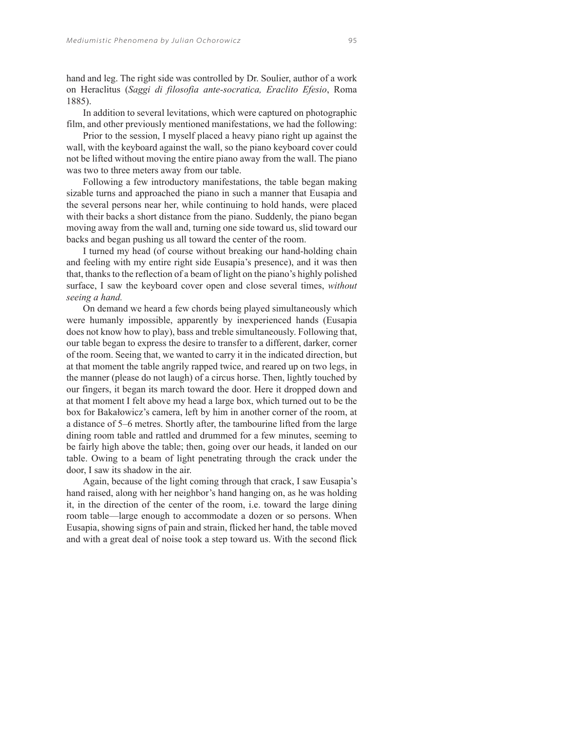hand and leg. The right side was controlled by Dr. Soulier, author of a work on Heraclitus (*Saggi di filosofia ante-socratica, Eraclito Efesio*, Roma 1885).

In addition to several levitations, which were captured on photographic film, and other previously mentioned manifestations, we had the following:

Prior to the session, I myself placed a heavy piano right up against the wall, with the keyboard against the wall, so the piano keyboard cover could not be lifted without moving the entire piano away from the wall. The piano was two to three meters away from our table.

Following a few introductory manifestations, the table began making sizable turns and approached the piano in such a manner that Eusapia and the several persons near her, while continuing to hold hands, were placed with their backs a short distance from the piano. Suddenly, the piano began moving away from the wall and, turning one side toward us, slid toward our backs and began pushing us all toward the center of the room.

I turned my head (of course without breaking our hand-holding chain and feeling with my entire right side Eusapia's presence), and it was then that, thanks to the reflection of a beam of light on the piano's highly polished surface, I saw the keyboard cover open and close several times, *without seeing a hand.*

On demand we heard a few chords being played simultaneously which were humanly impossible, apparently by inexperienced hands (Eusapia does not know how to play), bass and treble simultaneously. Following that, our table began to express the desire to transfer to a different, darker, corner of the room. Seeing that, we wanted to carry it in the indicated direction, but at that moment the table angrily rapped twice, and reared up on two legs, in the manner (please do not laugh) of a circus horse. Then, lightly touched by our fingers, it began its march toward the door. Here it dropped down and at that moment I felt above my head a large box, which turned out to be the box for Bakałowicz's camera, left by him in another corner of the room, at a distance of 5–6 metres. Shortly after, the tambourine lifted from the large dining room table and rattled and drummed for a few minutes, seeming to be fairly high above the table; then, going over our heads, it landed on our table. Owing to a beam of light penetrating through the crack under the door, I saw its shadow in the air.

Again, because of the light coming through that crack, I saw Eusapia's hand raised, along with her neighbor's hand hanging on, as he was holding it, in the direction of the center of the room, i.e. toward the large dining room table—large enough to accommodate a dozen or so persons. When Eusapia, showing signs of pain and strain, flicked her hand, the table moved and with a great deal of noise took a step toward us. With the second flick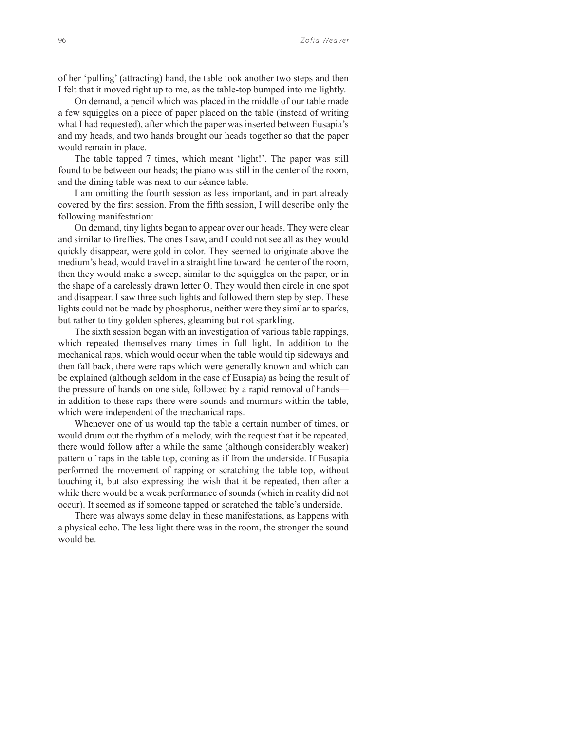of her 'pulling' (attracting) hand, the table took another two steps and then I felt that it moved right up to me, as the table-top bumped into me lightly.

On demand, a pencil which was placed in the middle of our table made a few squiggles on a piece of paper placed on the table (instead of writing what I had requested), after which the paper was inserted between Eusapia's and my heads, and two hands brought our heads together so that the paper would remain in place.

The table tapped 7 times, which meant 'light!'. The paper was still found to be between our heads; the piano was still in the center of the room, and the dining table was next to our séance table.

I am omitting the fourth session as less important, and in part already covered by the first session. From the fifth session, I will describe only the following manifestation:

On demand, tiny lights began to appear over our heads. They were clear and similar to fireflies. The ones I saw, and I could not see all as they would quickly disappear, were gold in color. They seemed to originate above the medium's head, would travel in a straight line toward the center of the room, then they would make a sweep, similar to the squiggles on the paper, or in the shape of a carelessly drawn letter O. They would then circle in one spot and disappear. I saw three such lights and followed them step by step. These lights could not be made by phosphorus, neither were they similar to sparks, but rather to tiny golden spheres, gleaming but not sparkling.

The sixth session began with an investigation of various table rappings, which repeated themselves many times in full light. In addition to the mechanical raps, which would occur when the table would tip sideways and then fall back, there were raps which were generally known and which can be explained (although seldom in the case of Eusapia) as being the result of the pressure of hands on one side, followed by a rapid removal of hands in addition to these raps there were sounds and murmurs within the table, which were independent of the mechanical raps.

Whenever one of us would tap the table a certain number of times, or would drum out the rhythm of a melody, with the request that it be repeated, there would follow after a while the same (although considerably weaker) pattern of raps in the table top, coming as if from the underside. If Eusapia performed the movement of rapping or scratching the table top, without touching it, but also expressing the wish that it be repeated, then after a while there would be a weak performance of sounds (which in reality did not occur). It seemed as if someone tapped or scratched the table's underside.

There was always some delay in these manifestations, as happens with a physical echo. The less light there was in the room, the stronger the sound would be.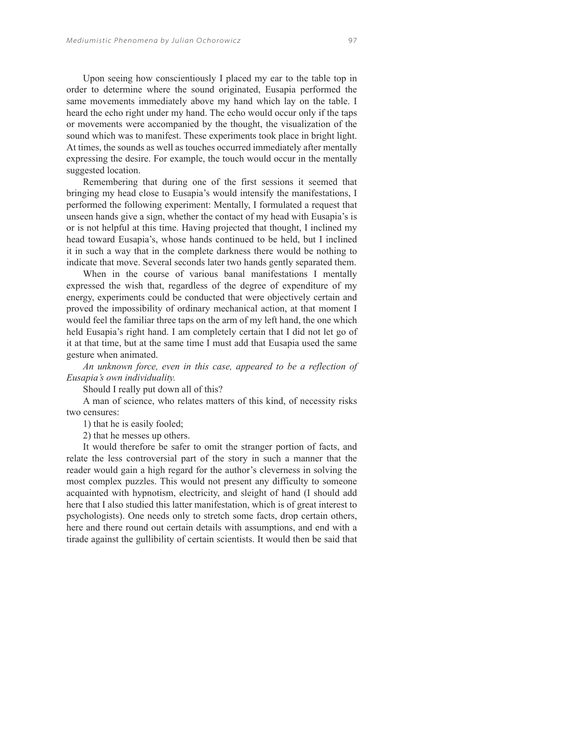Upon seeing how conscientiously I placed my ear to the table top in order to determine where the sound originated, Eusapia performed the same movements immediately above my hand which lay on the table. I heard the echo right under my hand. The echo would occur only if the taps or movements were accompanied by the thought, the visualization of the sound which was to manifest. These experiments took place in bright light. At times, the sounds as well as touches occurred immediately after mentally expressing the desire. For example, the touch would occur in the mentally suggested location.

Remembering that during one of the first sessions it seemed that bringing my head close to Eusapia's would intensify the manifestations, I performed the following experiment: Mentally, I formulated a request that unseen hands give a sign, whether the contact of my head with Eusapia's is or is not helpful at this time. Having projected that thought, I inclined my head toward Eusapia's, whose hands continued to be held, but I inclined it in such a way that in the complete darkness there would be nothing to indicate that move. Several seconds later two hands gently separated them.

When in the course of various banal manifestations I mentally expressed the wish that, regardless of the degree of expenditure of my energy, experiments could be conducted that were objectively certain and proved the impossibility of ordinary mechanical action, at that moment I would feel the familiar three taps on the arm of my left hand, the one which held Eusapia's right hand. I am completely certain that I did not let go of it at that time, but at the same time I must add that Eusapia used the same gesture when animated.

*An unknown force, even in this case, appeared to be a reflection of Eusapia's own individuality.*

Should I really put down all of this?

A man of science, who relates matters of this kind, of necessity risks two censures:

1) that he is easily fooled;

2) that he messes up others.

It would therefore be safer to omit the stranger portion of facts, and relate the less controversial part of the story in such a manner that the reader would gain a high regard for the author's cleverness in solving the most complex puzzles. This would not present any difficulty to someone acquainted with hypnotism, electricity, and sleight of hand (I should add here that I also studied this latter manifestation, which is of great interest to psychologists). One needs only to stretch some facts, drop certain others, here and there round out certain details with assumptions, and end with a tirade against the gullibility of certain scientists. It would then be said that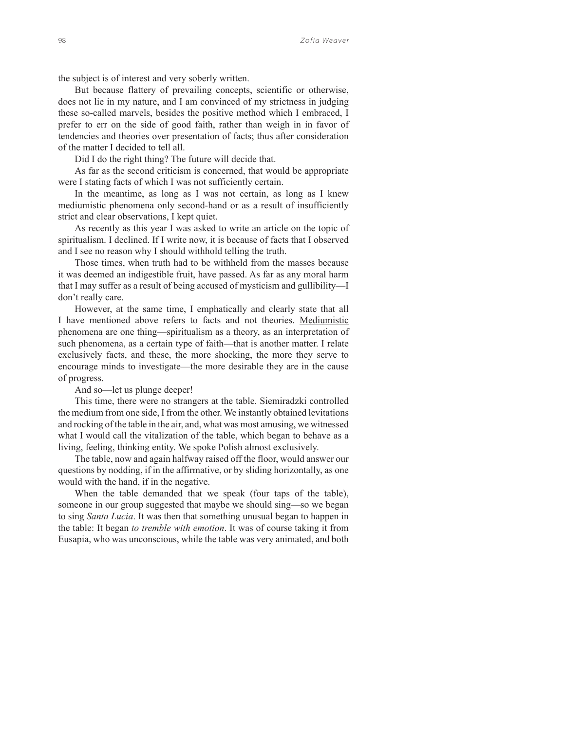the subject is of interest and very soberly written.

But because flattery of prevailing concepts, scientific or otherwise, does not lie in my nature, and I am convinced of my strictness in judging these so-called marvels, besides the positive method which I embraced, I prefer to err on the side of good faith, rather than weigh in in favor of tendencies and theories over presentation of facts; thus after consideration of the matter I decided to tell all.

Did I do the right thing? The future will decide that.

As far as the second criticism is concerned, that would be appropriate were I stating facts of which I was not sufficiently certain.

In the meantime, as long as I was not certain, as long as I knew mediumistic phenomena only second-hand or as a result of insufficiently strict and clear observations, I kept quiet.

As recently as this year I was asked to write an article on the topic of spiritualism. I declined. If I write now, it is because of facts that I observed and I see no reason why I should withhold telling the truth.

Those times, when truth had to be withheld from the masses because it was deemed an indigestible fruit, have passed. As far as any moral harm that I may suffer as a result of being accused of mysticism and gullibility—I don't really care.

However, at the same time, I emphatically and clearly state that all I have mentioned above refers to facts and not theories. Mediumistic phenomena are one thing—spiritualism as a theory, as an interpretation of such phenomena, as a certain type of faith—that is another matter. I relate exclusively facts, and these, the more shocking, the more they serve to encourage minds to investigate—the more desirable they are in the cause of progress.

And so—let us plunge deeper!

This time, there were no strangers at the table. Siemiradzki controlled the medium from one side, I from the other. We instantly obtained levitations and rocking of the table in the air, and, what was most amusing, we witnessed what I would call the vitalization of the table, which began to behave as a living, feeling, thinking entity. We spoke Polish almost exclusively.

The table, now and again halfway raised off the floor, would answer our questions by nodding, if in the affirmative, or by sliding horizontally, as one would with the hand, if in the negative.

When the table demanded that we speak (four taps of the table), someone in our group suggested that maybe we should sing—so we began to sing *Santa Lucia*. It was then that something unusual began to happen in the table: It began *to tremble with emotion*. It was of course taking it from Eusapia, who was unconscious, while the table was very animated, and both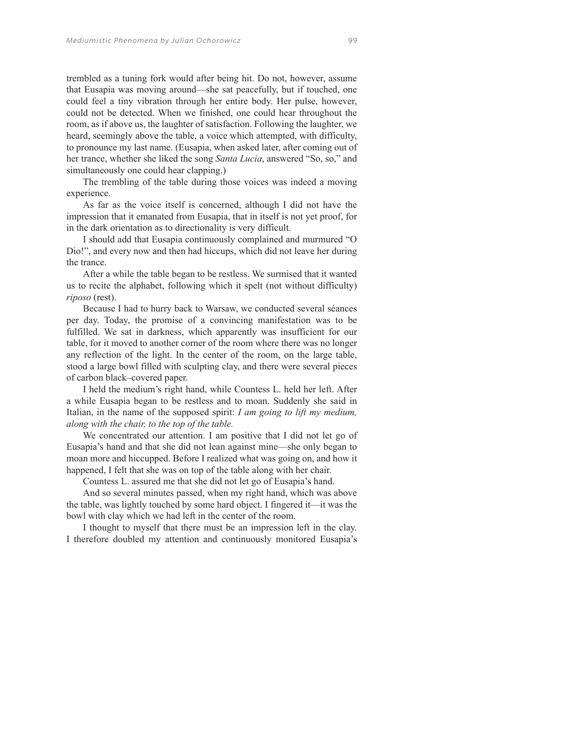trembled as a tuning fork would after being hit. Do not, however, assume that Eusapia was moving around—she sat peacefully, but if touched, one could feel a tiny vibration through her entire body. Her pulse, however, could not be detected. When we finished, one could hear throughout the room, as if above us, the laughter of satisfaction. Following the laughter, we heard, seemingly above the table, a voice which attempted, with difficulty, to pronounce my last name. (Eusapia, when asked later, after coming out of her trance, whether she liked the song *Santa Lucia*, answered "So, so," and simultaneously one could hear clapping.)

The trembling of the table during those voices was indeed a moving experience.

As far as the voice itself is concerned, although I did not have the impression that it emanated from Eusapia, that in itself is not yet proof, for in the dark orientation as to directionality is very difficult.

I should add that Eusapia continuously complained and murmured "O Dio!", and every now and then had hiccups, which did not leave her during the trance.

After a while the table began to be restless. We surmised that it wanted us to recite the alphabet, following which it spelt (not without difficulty) *riposo* (rest).

Because I had to hurry back to Warsaw, we conducted several séances per day. Today, the promise of a convincing manifestation was to be fulfilled. We sat in darkness, which apparently was insufficient for our table, for it moved to another corner of the room where there was no longer any reflection of the light. In the center of the room, on the large table, stood a large bowl filled with sculpting clay, and there were several pieces of carbon black–covered paper.

I held the medium's right hand, while Countess L. held her left. After a while Eusapia began to be restless and to moan. Suddenly she said in Italian, in the name of the supposed spirit: *I am going to lift my medium, along with the chair, to the top of the table.* 

We concentrated our attention. I am positive that I did not let go of Eusapia's hand and that she did not lean against mine—she only began to moan more and hiccupped. Before I realized what was going on, and how it happened, I felt that she was on top of the table along with her chair.

Countess L. assured me that she did not let go of Eusapia's hand.

And so several minutes passed, when my right hand, which was above the table, was lightly touched by some hard object. I fingered it—it was the bowl with clay which we had left in the center of the room.

I thought to myself that there must be an impression left in the clay. I therefore doubled my attention and continuously monitored Eusapia's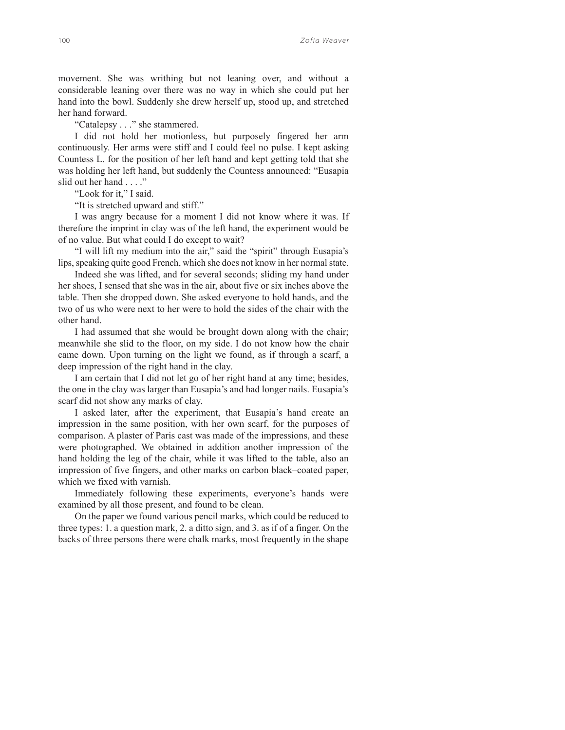movement. She was writhing but not leaning over, and without a considerable leaning over there was no way in which she could put her hand into the bowl. Suddenly she drew herself up, stood up, and stretched her hand forward.

"Catalepsy . . ." she stammered.

I did not hold her motionless, but purposely fingered her arm continuously. Her arms were stiff and I could feel no pulse. I kept asking Countess L. for the position of her left hand and kept getting told that she was holding her left hand, but suddenly the Countess announced: "Eusapia slid out her hand . . . ."

"Look for it," I said.

"It is stretched upward and stiff."

I was angry because for a moment I did not know where it was. If therefore the imprint in clay was of the left hand, the experiment would be of no value. But what could I do except to wait?

"I will lift my medium into the air," said the "spirit" through Eusapia's lips, speaking quite good French, which she does not know in her normal state.

Indeed she was lifted, and for several seconds; sliding my hand under her shoes, I sensed that she was in the air, about five or six inches above the table. Then she dropped down. She asked everyone to hold hands, and the two of us who were next to her were to hold the sides of the chair with the other hand.

I had assumed that she would be brought down along with the chair; meanwhile she slid to the floor, on my side. I do not know how the chair came down. Upon turning on the light we found, as if through a scarf, a deep impression of the right hand in the clay.

I am certain that I did not let go of her right hand at any time; besides, the one in the clay was larger than Eusapia's and had longer nails. Eusapia's scarf did not show any marks of clay.

I asked later, after the experiment, that Eusapia's hand create an impression in the same position, with her own scarf, for the purposes of comparison. A plaster of Paris cast was made of the impressions, and these were photographed. We obtained in addition another impression of the hand holding the leg of the chair, while it was lifted to the table, also an impression of five fingers, and other marks on carbon black–coated paper, which we fixed with varnish.

Immediately following these experiments, everyone's hands were examined by all those present, and found to be clean.

On the paper we found various pencil marks, which could be reduced to three types: 1. a question mark, 2. a ditto sign, and 3. as if of a finger. On the backs of three persons there were chalk marks, most frequently in the shape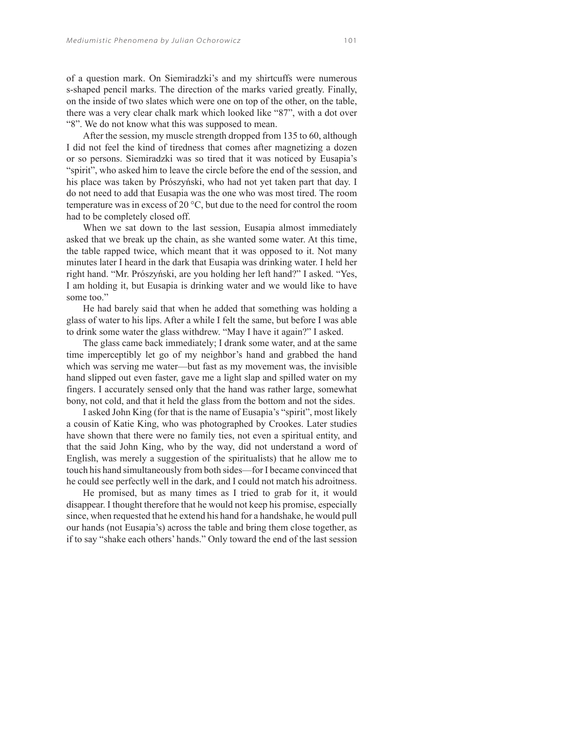of a question mark. On Siemiradzki's and my shirtcuffs were numerous s-shaped pencil marks. The direction of the marks varied greatly. Finally, on the inside of two slates which were one on top of the other, on the table, there was a very clear chalk mark which looked like "87", with a dot over "8". We do not know what this was supposed to mean.

After the session, my muscle strength dropped from 135 to 60, although I did not feel the kind of tiredness that comes after magnetizing a dozen or so persons. Siemiradzki was so tired that it was noticed by Eusapia's "spirit", who asked him to leave the circle before the end of the session, and his place was taken by Prószyński, who had not yet taken part that day. I do not need to add that Eusapia was the one who was most tired. The room temperature was in excess of 20 °C, but due to the need for control the room had to be completely closed off.

When we sat down to the last session, Eusapia almost immediately asked that we break up the chain, as she wanted some water. At this time, the table rapped twice, which meant that it was opposed to it. Not many minutes later I heard in the dark that Eusapia was drinking water. I held her right hand. "Mr. Prószyński, are you holding her left hand?" I asked. "Yes, I am holding it, but Eusapia is drinking water and we would like to have some too."

He had barely said that when he added that something was holding a glass of water to his lips. After a while I felt the same, but before I was able to drink some water the glass withdrew. "May I have it again?" I asked.

The glass came back immediately; I drank some water, and at the same time imperceptibly let go of my neighbor's hand and grabbed the hand which was serving me water—but fast as my movement was, the invisible hand slipped out even faster, gave me a light slap and spilled water on my fingers. I accurately sensed only that the hand was rather large, somewhat bony, not cold, and that it held the glass from the bottom and not the sides.

I asked John King (for that is the name of Eusapia's "spirit", most likely a cousin of Katie King, who was photographed by Crookes. Later studies have shown that there were no family ties, not even a spiritual entity, and that the said John King, who by the way, did not understand a word of English, was merely a suggestion of the spiritualists) that he allow me to touch his hand simultaneously from both sides—for I became convinced that he could see perfectly well in the dark, and I could not match his adroitness.

He promised, but as many times as I tried to grab for it, it would disappear. I thought therefore that he would not keep his promise, especially since, when requested that he extend his hand for a handshake, he would pull our hands (not Eusapia's) across the table and bring them close together, as if to say "shake each others' hands." Only toward the end of the last session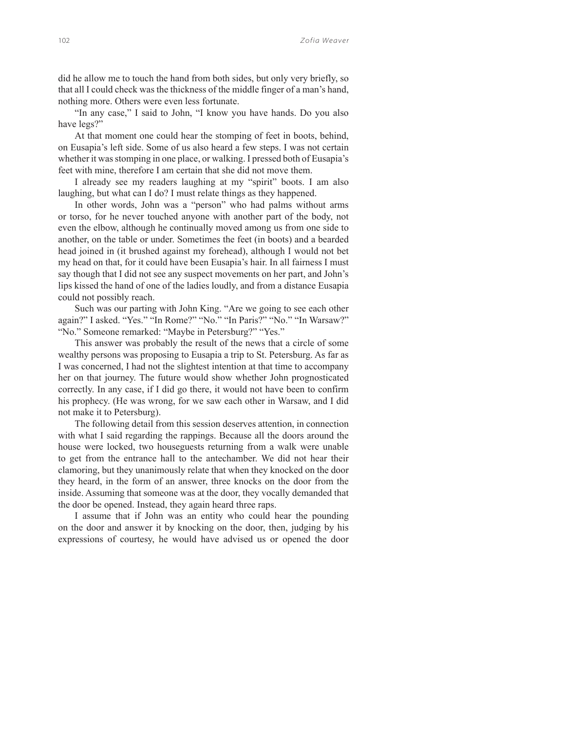did he allow me to touch the hand from both sides, but only very briefly, so that all I could check was the thickness of the middle finger of a man's hand, nothing more. Others were even less fortunate.

"In any case," I said to John, "I know you have hands. Do you also have legs?"

At that moment one could hear the stomping of feet in boots, behind, on Eusapia's left side. Some of us also heard a few steps. I was not certain whether it was stomping in one place, or walking. I pressed both of Eusapia's feet with mine, therefore I am certain that she did not move them.

I already see my readers laughing at my "spirit" boots. I am also laughing, but what can I do? I must relate things as they happened.

In other words, John was a "person" who had palms without arms or torso, for he never touched anyone with another part of the body, not even the elbow, although he continually moved among us from one side to another, on the table or under. Sometimes the feet (in boots) and a bearded head joined in (it brushed against my forehead), although I would not bet my head on that, for it could have been Eusapia's hair. In all fairness I must say though that I did not see any suspect movements on her part, and John's lips kissed the hand of one of the ladies loudly, and from a distance Eusapia could not possibly reach.

Such was our parting with John King. "Are we going to see each other again?" I asked. "Yes." "In Rome?" "No." "In Paris?" "No." "In Warsaw?" "No." Someone remarked: "Maybe in Petersburg?" "Yes."

This answer was probably the result of the news that a circle of some wealthy persons was proposing to Eusapia a trip to St. Petersburg. As far as I was concerned, I had not the slightest intention at that time to accompany her on that journey. The future would show whether John prognosticated correctly. In any case, if I did go there, it would not have been to confirm his prophecy. (He was wrong, for we saw each other in Warsaw, and I did not make it to Petersburg).

The following detail from this session deserves attention, in connection with what I said regarding the rappings. Because all the doors around the house were locked, two houseguests returning from a walk were unable to get from the entrance hall to the antechamber. We did not hear their clamoring, but they unanimously relate that when they knocked on the door they heard, in the form of an answer, three knocks on the door from the inside. Assuming that someone was at the door, they vocally demanded that the door be opened. Instead, they again heard three raps.

I assume that if John was an entity who could hear the pounding on the door and answer it by knocking on the door, then, judging by his expressions of courtesy, he would have advised us or opened the door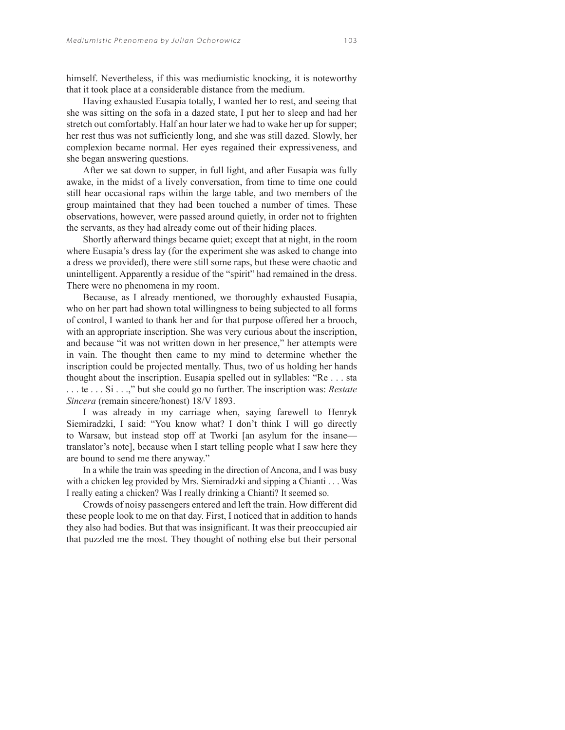himself. Nevertheless, if this was mediumistic knocking, it is noteworthy that it took place at a considerable distance from the medium.

Having exhausted Eusapia totally, I wanted her to rest, and seeing that she was sitting on the sofa in a dazed state, I put her to sleep and had her stretch out comfortably. Half an hour later we had to wake her up for supper; her rest thus was not sufficiently long, and she was still dazed. Slowly, her complexion became normal. Her eyes regained their expressiveness, and she began answering questions.

After we sat down to supper, in full light, and after Eusapia was fully awake, in the midst of a lively conversation, from time to time one could still hear occasional raps within the large table, and two members of the group maintained that they had been touched a number of times. These observations, however, were passed around quietly, in order not to frighten the servants, as they had already come out of their hiding places.

Shortly afterward things became quiet; except that at night, in the room where Eusapia's dress lay (for the experiment she was asked to change into a dress we provided), there were still some raps, but these were chaotic and unintelligent. Apparently a residue of the "spirit" had remained in the dress. There were no phenomena in my room.

Because, as I already mentioned, we thoroughly exhausted Eusapia, who on her part had shown total willingness to being subjected to all forms of control, I wanted to thank her and for that purpose offered her a brooch, with an appropriate inscription. She was very curious about the inscription, and because "it was not written down in her presence," her attempts were in vain. The thought then came to my mind to determine whether the inscription could be projected mentally. Thus, two of us holding her hands thought about the inscription. Eusapia spelled out in syllables: "Re . . . sta . . . te . . . Si . . .," but she could go no further. The inscription was: *Restate Sincera* (remain sincere/honest) 18/V 1893.

I was already in my carriage when, saying farewell to Henryk Siemiradzki, I said: "You know what? I don't think I will go directly to Warsaw, but instead stop off at Tworki [an asylum for the insane translator's note], because when I start telling people what I saw here they are bound to send me there anyway."

In a while the train was speeding in the direction of Ancona, and I was busy with a chicken leg provided by Mrs. Siemiradzki and sipping a Chianti . . . Was I really eating a chicken? Was I really drinking a Chianti? It seemed so.

Crowds of noisy passengers entered and left the train. How different did these people look to me on that day. First, I noticed that in addition to hands they also had bodies. But that was insignificant. It was their preoccupied air that puzzled me the most. They thought of nothing else but their personal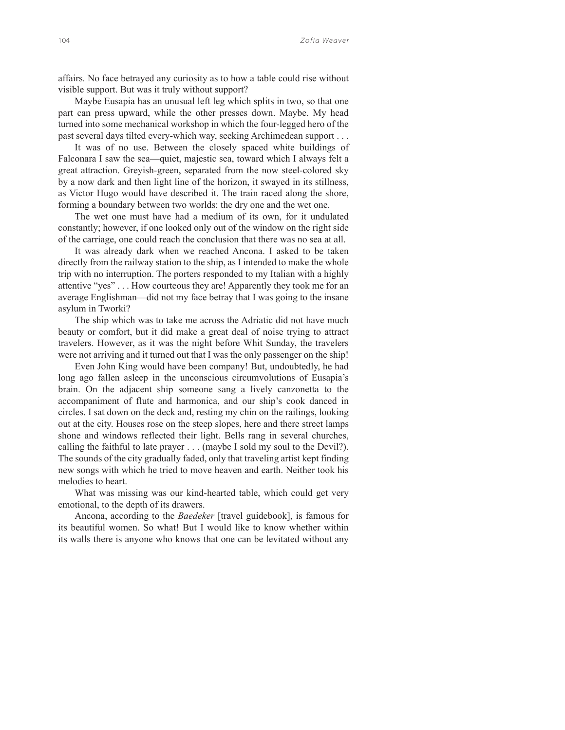affairs. No face betrayed any curiosity as to how a table could rise without visible support. But was it truly without support?

Maybe Eusapia has an unusual left leg which splits in two, so that one part can press upward, while the other presses down. Maybe. My head turned into some mechanical workshop in which the four-legged hero of the past several days tilted every-which way, seeking Archimedean support . . .

It was of no use. Between the closely spaced white buildings of Falconara I saw the sea—quiet, majestic sea, toward which I always felt a great attraction. Greyish-green, separated from the now steel-colored sky by a now dark and then light line of the horizon, it swayed in its stillness, as Victor Hugo would have described it. The train raced along the shore, forming a boundary between two worlds: the dry one and the wet one.

The wet one must have had a medium of its own, for it undulated constantly; however, if one looked only out of the window on the right side of the carriage, one could reach the conclusion that there was no sea at all.

It was already dark when we reached Ancona. I asked to be taken directly from the railway station to the ship, as I intended to make the whole trip with no interruption. The porters responded to my Italian with a highly attentive "yes" . . . How courteous they are! Apparently they took me for an average Englishman—did not my face betray that I was going to the insane asylum in Tworki?

The ship which was to take me across the Adriatic did not have much beauty or comfort, but it did make a great deal of noise trying to attract travelers. However, as it was the night before Whit Sunday, the travelers were not arriving and it turned out that I was the only passenger on the ship!

Even John King would have been company! But, undoubtedly, he had long ago fallen asleep in the unconscious circumvolutions of Eusapia's brain. On the adjacent ship someone sang a lively canzonetta to the accompaniment of flute and harmonica, and our ship's cook danced in circles. I sat down on the deck and, resting my chin on the railings, looking out at the city. Houses rose on the steep slopes, here and there street lamps shone and windows reflected their light. Bells rang in several churches, calling the faithful to late prayer . . . (maybe I sold my soul to the Devil?). The sounds of the city gradually faded, only that traveling artist kept finding new songs with which he tried to move heaven and earth. Neither took his melodies to heart.

What was missing was our kind-hearted table, which could get very emotional, to the depth of its drawers.

Ancona, according to the *Baedeker* [travel guidebook], is famous for its beautiful women. So what! But I would like to know whether within its walls there is anyone who knows that one can be levitated without any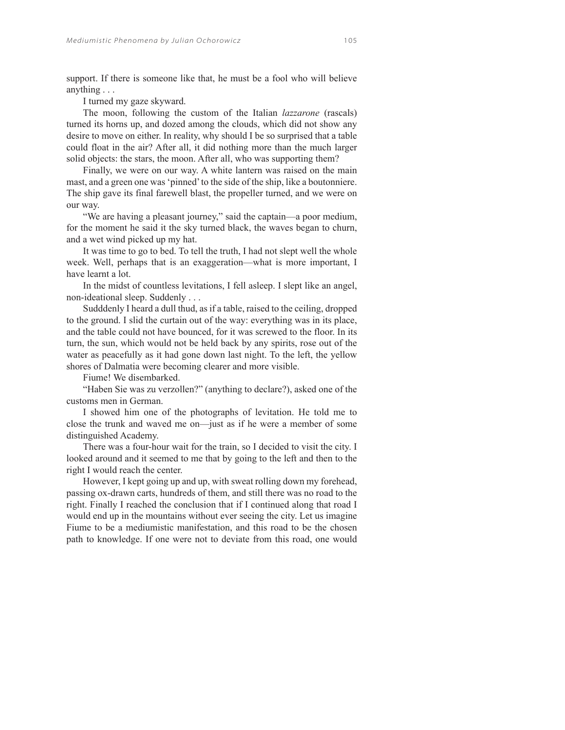support. If there is someone like that, he must be a fool who will believe anything . . .

I turned my gaze skyward.

The moon, following the custom of the Italian *lazzarone* (rascals) turned its horns up, and dozed among the clouds, which did not show any desire to move on either. In reality, why should I be so surprised that a table could float in the air? After all, it did nothing more than the much larger solid objects: the stars, the moon. After all, who was supporting them?

Finally, we were on our way. A white lantern was raised on the main mast, and a green one was 'pinned' to the side of the ship, like a boutonniere. The ship gave its final farewell blast, the propeller turned, and we were on our way.

"We are having a pleasant journey," said the captain—a poor medium, for the moment he said it the sky turned black, the waves began to churn, and a wet wind picked up my hat.

It was time to go to bed. To tell the truth, I had not slept well the whole week. Well, perhaps that is an exaggeration—what is more important, I have learnt a lot.

In the midst of countless levitations, I fell asleep. I slept like an angel, non-ideational sleep. Suddenly . . .

Sudddenly I heard a dull thud, as if a table, raised to the ceiling, dropped to the ground. I slid the curtain out of the way: everything was in its place, and the table could not have bounced, for it was screwed to the floor. In its turn, the sun, which would not be held back by any spirits, rose out of the water as peacefully as it had gone down last night. To the left, the yellow shores of Dalmatia were becoming clearer and more visible.

Fiume! We disembarked.

"Haben Sie was zu verzollen?" (anything to declare?), asked one of the customs men in German.

I showed him one of the photographs of levitation. He told me to close the trunk and waved me on—just as if he were a member of some distinguished Academy.

There was a four-hour wait for the train, so I decided to visit the city. I looked around and it seemed to me that by going to the left and then to the right I would reach the center.

However, I kept going up and up, with sweat rolling down my forehead, passing ox-drawn carts, hundreds of them, and still there was no road to the right. Finally I reached the conclusion that if I continued along that road I would end up in the mountains without ever seeing the city. Let us imagine Fiume to be a mediumistic manifestation, and this road to be the chosen path to knowledge. If one were not to deviate from this road, one would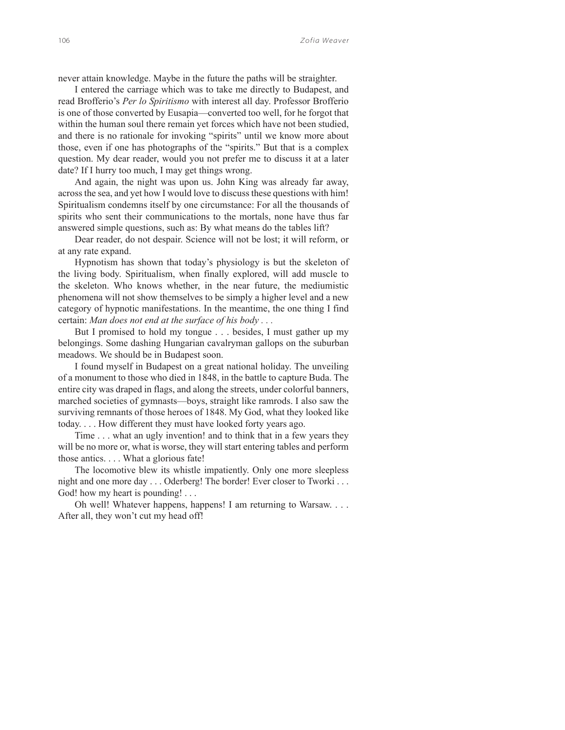never attain knowledge. Maybe in the future the paths will be straighter.

I entered the carriage which was to take me directly to Budapest, and read Brofferio's *Per lo Spiritismo* with interest all day. Professor Brofferio is one of those converted by Eusapia—converted too well, for he forgot that within the human soul there remain yet forces which have not been studied, and there is no rationale for invoking "spirits" until we know more about those, even if one has photographs of the "spirits." But that is a complex question. My dear reader, would you not prefer me to discuss it at a later date? If I hurry too much, I may get things wrong.

And again, the night was upon us. John King was already far away, across the sea, and yet how I would love to discuss these questions with him! Spiritualism condemns itself by one circumstance: For all the thousands of spirits who sent their communications to the mortals, none have thus far answered simple questions, such as: By what means do the tables lift?

Dear reader, do not despair. Science will not be lost; it will reform, or at any rate expand.

Hypnotism has shown that today's physiology is but the skeleton of the living body. Spiritualism, when finally explored, will add muscle to the skeleton. Who knows whether, in the near future, the mediumistic phenomena will not show themselves to be simply a higher level and a new category of hypnotic manifestations. In the meantime, the one thing I find certain: *Man does not end at the surface of his body . . .* 

But I promised to hold my tongue . . . besides, I must gather up my belongings. Some dashing Hungarian cavalryman gallops on the suburban meadows. We should be in Budapest soon.

I found myself in Budapest on a great national holiday. The unveiling of a monument to those who died in 1848, in the battle to capture Buda. The entire city was draped in flags, and along the streets, under colorful banners, marched societies of gymnasts—boys, straight like ramrods. I also saw the surviving remnants of those heroes of 1848. My God, what they looked like today. . . . How different they must have looked forty years ago.

Time . . . what an ugly invention! and to think that in a few years they will be no more or, what is worse, they will start entering tables and perform those antics. . . . What a glorious fate!

The locomotive blew its whistle impatiently. Only one more sleepless night and one more day . . . Oderberg! The border! Ever closer to Tworki . . . God! how my heart is pounding! . . .

Oh well! Whatever happens, happens! I am returning to Warsaw. . . . After all, they won't cut my head off!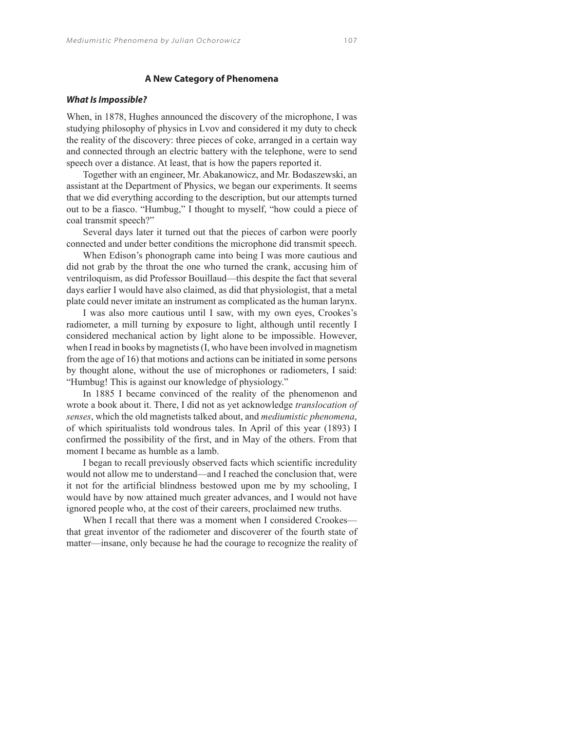# **A New Category of Phenomena**

#### *What Is Impossible?*

When, in 1878, Hughes announced the discovery of the microphone, I was studying philosophy of physics in Lvov and considered it my duty to check the reality of the discovery: three pieces of coke, arranged in a certain way and connected through an electric battery with the telephone, were to send speech over a distance. At least, that is how the papers reported it.

Together with an engineer, Mr. Abakanowicz, and Mr. Bodaszewski, an assistant at the Department of Physics, we began our experiments. It seems that we did everything according to the description, but our attempts turned out to be a fiasco. "Humbug," I thought to myself, "how could a piece of coal transmit speech?"

Several days later it turned out that the pieces of carbon were poorly connected and under better conditions the microphone did transmit speech.

When Edison's phonograph came into being I was more cautious and did not grab by the throat the one who turned the crank, accusing him of ventriloquism, as did Professor Bouillaud—this despite the fact that several days earlier I would have also claimed, as did that physiologist, that a metal plate could never imitate an instrument as complicated as the human larynx.

I was also more cautious until I saw, with my own eyes, Crookes's radiometer, a mill turning by exposure to light, although until recently I considered mechanical action by light alone to be impossible. However, when I read in books by magnetists (I, who have been involved in magnetism from the age of 16) that motions and actions can be initiated in some persons by thought alone, without the use of microphones or radiometers, I said: "Humbug! This is against our knowledge of physiology."

In 1885 I became convinced of the reality of the phenomenon and wrote a book about it. There, I did not as yet acknowledge *translocation of senses*, which the old magnetists talked about, and *mediumistic phenomena*, of which spiritualists told wondrous tales. In April of this year (1893) I confirmed the possibility of the first, and in May of the others. From that moment I became as humble as a lamb.

I began to recall previously observed facts which scientific incredulity would not allow me to understand—and I reached the conclusion that, were it not for the artificial blindness bestowed upon me by my schooling, I would have by now attained much greater advances, and I would not have ignored people who, at the cost of their careers, proclaimed new truths.

When I recall that there was a moment when I considered Crookes that great inventor of the radiometer and discoverer of the fourth state of matter—insane, only because he had the courage to recognize the reality of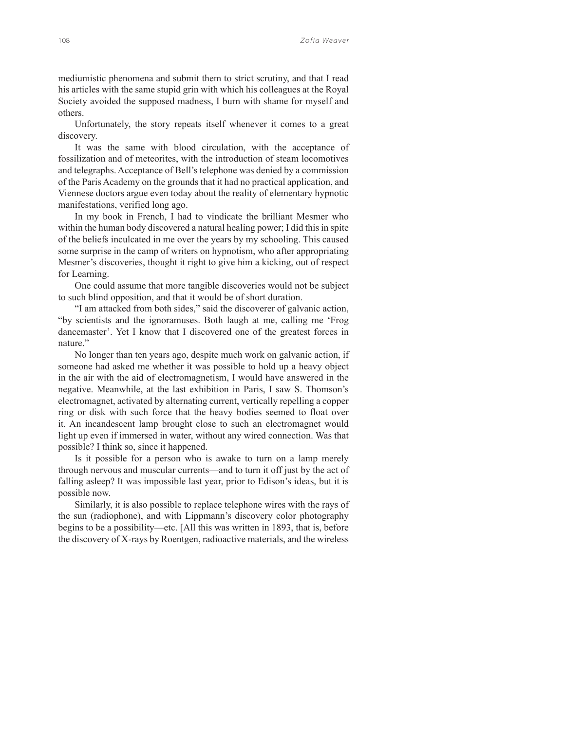mediumistic phenomena and submit them to strict scrutiny, and that I read his articles with the same stupid grin with which his colleagues at the Royal Society avoided the supposed madness, I burn with shame for myself and others.

Unfortunately, the story repeats itself whenever it comes to a great discovery.

It was the same with blood circulation, with the acceptance of fossilization and of meteorites, with the introduction of steam locomotives and telegraphs. Acceptance of Bell's telephone was denied by a commission of the Paris Academy on the grounds that it had no practical application, and Viennese doctors argue even today about the reality of elementary hypnotic manifestations, verified long ago.

In my book in French, I had to vindicate the brilliant Mesmer who within the human body discovered a natural healing power; I did this in spite of the beliefs inculcated in me over the years by my schooling. This caused some surprise in the camp of writers on hypnotism, who after appropriating Mesmer's discoveries, thought it right to give him a kicking, out of respect for Learning.

One could assume that more tangible discoveries would not be subject to such blind opposition, and that it would be of short duration.

"I am attacked from both sides," said the discoverer of galvanic action, "by scientists and the ignoramuses. Both laugh at me, calling me 'Frog dancemaster'. Yet I know that I discovered one of the greatest forces in nature."

No longer than ten years ago, despite much work on galvanic action, if someone had asked me whether it was possible to hold up a heavy object in the air with the aid of electromagnetism, I would have answered in the negative. Meanwhile, at the last exhibition in Paris, I saw S. Thomson's electromagnet, activated by alternating current, vertically repelling a copper ring or disk with such force that the heavy bodies seemed to float over it. An incandescent lamp brought close to such an electromagnet would light up even if immersed in water, without any wired connection. Was that possible? I think so, since it happened.

Is it possible for a person who is awake to turn on a lamp merely through nervous and muscular currents—and to turn it off just by the act of falling asleep? It was impossible last year, prior to Edison's ideas, but it is possible now.

Similarly, it is also possible to replace telephone wires with the rays of the sun (radiophone), and with Lippmann's discovery color photography begins to be a possibility—etc. [All this was written in 1893, that is, before the discovery of X-rays by Roentgen, radioactive materials, and the wireless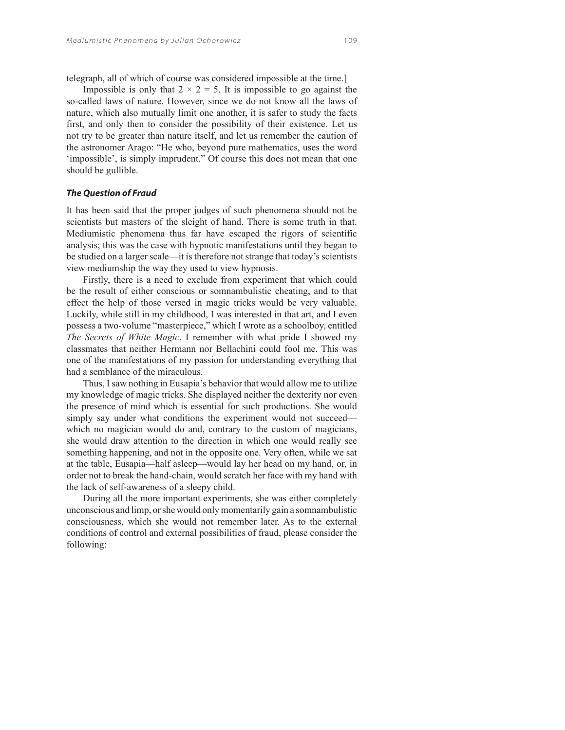telegraph, all of which of course was considered impossible at the time.]

Impossible is only that  $2 \times 2 = 5$ . It is impossible to go against the so-called laws of nature. However, since we do not know all the laws of nature, which also mutually limit one another, it is safer to study the facts first, and only then to consider the possibility of their existence. Let us not try to be greater than nature itself, and let us remember the caution of the astronomer Arago: "He who, beyond pure mathematics, uses the word 'impossible', is simply imprudent." Of course this does not mean that one should be gullible.

## *The Question of Fraud*

It has been said that the proper judges of such phenomena should not be scientists but masters of the sleight of hand. There is some truth in that. Mediumistic phenomena thus far have escaped the rigors of scientific analysis; this was the case with hypnotic manifestations until they began to be studied on a larger scale—it is therefore not strange that today's scientists view mediumship the way they used to view hypnosis.

Firstly, there is a need to exclude from experiment that which could be the result of either conscious or somnambulistic cheating, and to that effect the help of those versed in magic tricks would be very valuable. Luckily, while still in my childhood, I was interested in that art, and I even possess a two-volume "masterpiece," which I wrote as a schoolboy, entitled *The Secrets of White Magic*. I remember with what pride I showed my classmates that neither Hermann nor Bellachini could fool me. This was one of the manifestations of my passion for understanding everything that had a semblance of the miraculous.

Thus, I saw nothing in Eusapia's behavior that would allow me to utilize my knowledge of magic tricks. She displayed neither the dexterity nor even the presence of mind which is essential for such productions. She would simply say under what conditions the experiment would not succeed which no magician would do and, contrary to the custom of magicians, she would draw attention to the direction in which one would really see something happening, and not in the opposite one. Very often, while we sat at the table, Eusapia—half asleep—would lay her head on my hand, or, in order not to break the hand-chain, would scratch her face with my hand with the lack of self-awareness of a sleepy child.

During all the more important experiments, she was either completely unconscious and limp, or she would only momentarily gain a somnambulistic consciousness, which she would not remember later. As to the external conditions of control and external possibilities of fraud, please consider the following: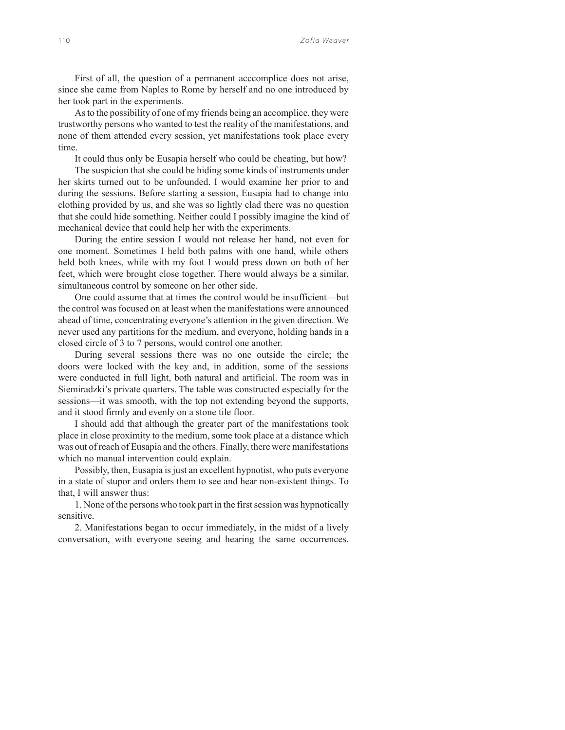First of all, the question of a permanent acccomplice does not arise, since she came from Naples to Rome by herself and no one introduced by her took part in the experiments.

As to the possibility of one of my friends being an accomplice, they were trustworthy persons who wanted to test the reality of the manifestations, and none of them attended every session, yet manifestations took place every time.

It could thus only be Eusapia herself who could be cheating, but how?

The suspicion that she could be hiding some kinds of instruments under her skirts turned out to be unfounded. I would examine her prior to and during the sessions. Before starting a session, Eusapia had to change into clothing provided by us, and she was so lightly clad there was no question that she could hide something. Neither could I possibly imagine the kind of mechanical device that could help her with the experiments.

During the entire session I would not release her hand, not even for one moment. Sometimes I held both palms with one hand, while others held both knees, while with my foot I would press down on both of her feet, which were brought close together. There would always be a similar, simultaneous control by someone on her other side.

One could assume that at times the control would be insufficient—but the control was focused on at least when the manifestations were announced ahead of time, concentrating everyone's attention in the given direction. We never used any partitions for the medium, and everyone, holding hands in a closed circle of 3 to 7 persons, would control one another.

During several sessions there was no one outside the circle; the doors were locked with the key and, in addition, some of the sessions were conducted in full light, both natural and artificial. The room was in Siemiradzki's private quarters. The table was constructed especially for the sessions—it was smooth, with the top not extending beyond the supports, and it stood firmly and evenly on a stone tile floor.

I should add that although the greater part of the manifestations took place in close proximity to the medium, some took place at a distance which was out of reach of Eusapia and the others. Finally, there were manifestations which no manual intervention could explain.

Possibly, then, Eusapia is just an excellent hypnotist, who puts everyone in a state of stupor and orders them to see and hear non-existent things. To that, I will answer thus:

1. None of the persons who took part in the first session was hypnotically sensitive.

2. Manifestations began to occur immediately, in the midst of a lively conversation, with everyone seeing and hearing the same occurrences.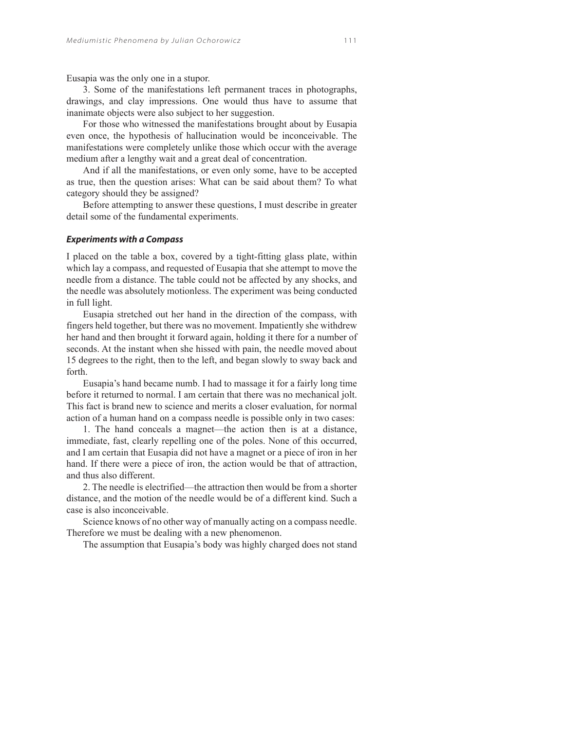Eusapia was the only one in a stupor.

3. Some of the manifestations left permanent traces in photographs, drawings, and clay impressions. One would thus have to assume that inanimate objects were also subject to her suggestion.

For those who witnessed the manifestations brought about by Eusapia even once, the hypothesis of hallucination would be inconceivable. The manifestations were completely unlike those which occur with the average medium after a lengthy wait and a great deal of concentration.

And if all the manifestations, or even only some, have to be accepted as true, then the question arises: What can be said about them? To what category should they be assigned?

Before attempting to answer these questions, I must describe in greater detail some of the fundamental experiments.

## *Experiments with a Compass*

I placed on the table a box, covered by a tight-fitting glass plate, within which lay a compass, and requested of Eusapia that she attempt to move the needle from a distance. The table could not be affected by any shocks, and the needle was absolutely motionless. The experiment was being conducted in full light.

Eusapia stretched out her hand in the direction of the compass, with fingers held together, but there was no movement. Impatiently she withdrew her hand and then brought it forward again, holding it there for a number of seconds. At the instant when she hissed with pain, the needle moved about 15 degrees to the right, then to the left, and began slowly to sway back and forth.

Eusapia's hand became numb. I had to massage it for a fairly long time before it returned to normal. I am certain that there was no mechanical jolt. This fact is brand new to science and merits a closer evaluation, for normal action of a human hand on a compass needle is possible only in two cases:

1. The hand conceals a magnet—the action then is at a distance, immediate, fast, clearly repelling one of the poles. None of this occurred, and I am certain that Eusapia did not have a magnet or a piece of iron in her hand. If there were a piece of iron, the action would be that of attraction, and thus also different.

2. The needle is electrified—the attraction then would be from a shorter distance, and the motion of the needle would be of a different kind. Such a case is also inconceivable.

Science knows of no other way of manually acting on a compass needle. Therefore we must be dealing with a new phenomenon.

The assumption that Eusapia's body was highly charged does not stand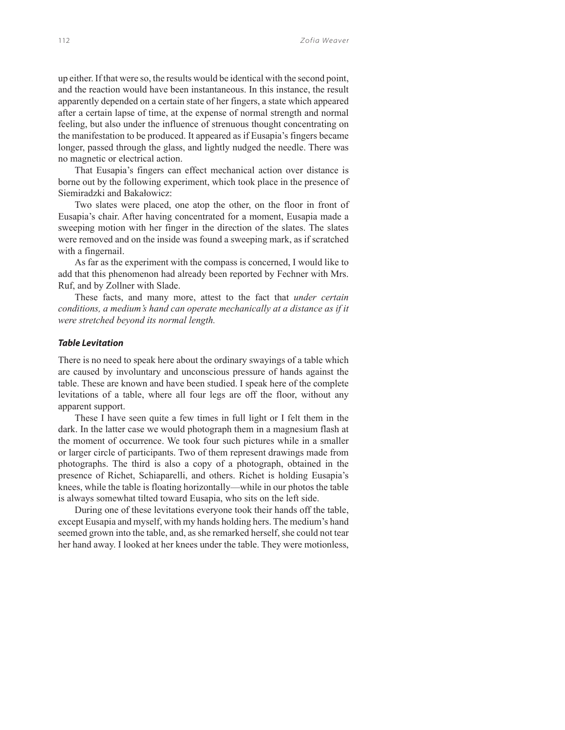up either. If that were so, the results would be identical with the second point, and the reaction would have been instantaneous. In this instance, the result apparently depended on a certain state of her fingers, a state which appeared after a certain lapse of time, at the expense of normal strength and normal feeling, but also under the influence of strenuous thought concentrating on the manifestation to be produced. It appeared as if Eusapia's fingers became longer, passed through the glass, and lightly nudged the needle. There was no magnetic or electrical action.

That Eusapia's fingers can effect mechanical action over distance is borne out by the following experiment, which took place in the presence of Siemiradzki and Bakałowicz:

Two slates were placed, one atop the other, on the floor in front of Eusapia's chair. After having concentrated for a moment, Eusapia made a sweeping motion with her finger in the direction of the slates. The slates were removed and on the inside was found a sweeping mark, as if scratched with a fingernail.

As far as the experiment with the compass is concerned, I would like to add that this phenomenon had already been reported by Fechner with Mrs. Ruf, and by Zollner with Slade.

These facts, and many more, attest to the fact that *under certain conditions, a medium's hand can operate mechanically at a distance as if it were stretched beyond its normal length.*

#### *Table Levitation*

There is no need to speak here about the ordinary swayings of a table which are caused by involuntary and unconscious pressure of hands against the table. These are known and have been studied. I speak here of the complete levitations of a table, where all four legs are off the floor, without any apparent support.

These I have seen quite a few times in full light or I felt them in the dark. In the latter case we would photograph them in a magnesium flash at the moment of occurrence. We took four such pictures while in a smaller or larger circle of participants. Two of them represent drawings made from photographs. The third is also a copy of a photograph, obtained in the presence of Richet, Schiaparelli, and others. Richet is holding Eusapia's knees, while the table is floating horizontally—while in our photos the table is always somewhat tilted toward Eusapia, who sits on the left side.

During one of these levitations everyone took their hands off the table, except Eusapia and myself, with my hands holding hers. The medium's hand seemed grown into the table, and, as she remarked herself, she could not tear her hand away. I looked at her knees under the table. They were motionless,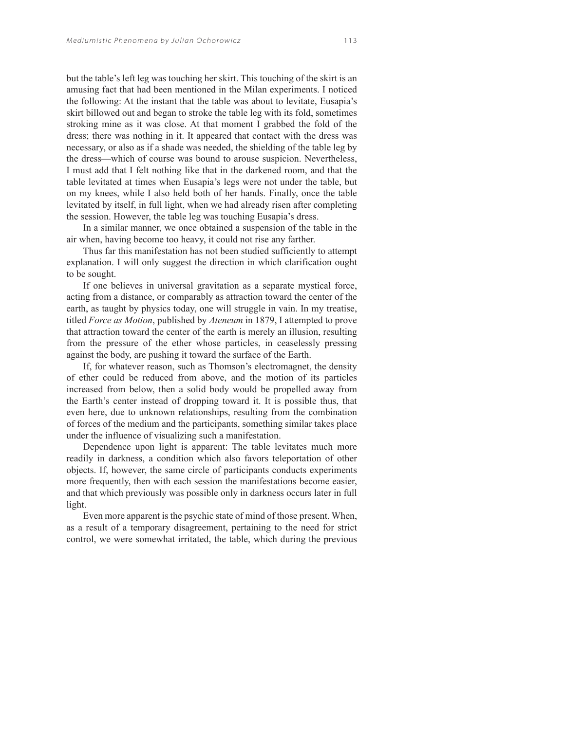but the table's left leg was touching her skirt. This touching of the skirt is an amusing fact that had been mentioned in the Milan experiments. I noticed the following: At the instant that the table was about to levitate, Eusapia's skirt billowed out and began to stroke the table leg with its fold, sometimes stroking mine as it was close. At that moment I grabbed the fold of the dress; there was nothing in it. It appeared that contact with the dress was necessary, or also as if a shade was needed, the shielding of the table leg by the dress—which of course was bound to arouse suspicion. Nevertheless, I must add that I felt nothing like that in the darkened room, and that the table levitated at times when Eusapia's legs were not under the table, but on my knees, while I also held both of her hands. Finally, once the table levitated by itself, in full light, when we had already risen after completing the session. However, the table leg was touching Eusapia's dress.

In a similar manner, we once obtained a suspension of the table in the air when, having become too heavy, it could not rise any farther.

Thus far this manifestation has not been studied sufficiently to attempt explanation. I will only suggest the direction in which clarification ought to be sought.

If one believes in universal gravitation as a separate mystical force, acting from a distance, or comparably as attraction toward the center of the earth, as taught by physics today, one will struggle in vain. In my treatise, titled *Force as Motion*, published by *Ateneum* in 1879, I attempted to prove that attraction toward the center of the earth is merely an illusion, resulting from the pressure of the ether whose particles, in ceaselessly pressing against the body, are pushing it toward the surface of the Earth.

If, for whatever reason, such as Thomson's electromagnet, the density of ether could be reduced from above, and the motion of its particles increased from below, then a solid body would be propelled away from the Earth's center instead of dropping toward it. It is possible thus, that even here, due to unknown relationships, resulting from the combination of forces of the medium and the participants, something similar takes place under the influence of visualizing such a manifestation.

Dependence upon light is apparent: The table levitates much more readily in darkness, a condition which also favors teleportation of other objects. If, however, the same circle of participants conducts experiments more frequently, then with each session the manifestations become easier, and that which previously was possible only in darkness occurs later in full light.

Even more apparent is the psychic state of mind of those present. When, as a result of a temporary disagreement, pertaining to the need for strict control, we were somewhat irritated, the table, which during the previous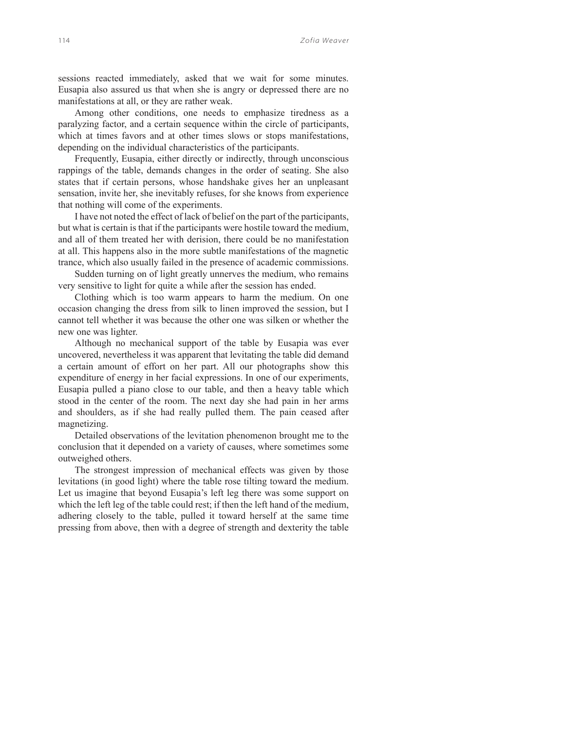sessions reacted immediately, asked that we wait for some minutes. Eusapia also assured us that when she is angry or depressed there are no manifestations at all, or they are rather weak.

Among other conditions, one needs to emphasize tiredness as a paralyzing factor, and a certain sequence within the circle of participants, which at times favors and at other times slows or stops manifestations, depending on the individual characteristics of the participants.

Frequently, Eusapia, either directly or indirectly, through unconscious rappings of the table, demands changes in the order of seating. She also states that if certain persons, whose handshake gives her an unpleasant sensation, invite her, she inevitably refuses, for she knows from experience that nothing will come of the experiments.

I have not noted the effect of lack of belief on the part of the participants, but what is certain is that if the participants were hostile toward the medium, and all of them treated her with derision, there could be no manifestation at all. This happens also in the more subtle manifestations of the magnetic trance, which also usually failed in the presence of academic commissions.

Sudden turning on of light greatly unnerves the medium, who remains very sensitive to light for quite a while after the session has ended.

Clothing which is too warm appears to harm the medium. On one occasion changing the dress from silk to linen improved the session, but I cannot tell whether it was because the other one was silken or whether the new one was lighter.

Although no mechanical support of the table by Eusapia was ever uncovered, nevertheless it was apparent that levitating the table did demand a certain amount of effort on her part. All our photographs show this expenditure of energy in her facial expressions. In one of our experiments, Eusapia pulled a piano close to our table, and then a heavy table which stood in the center of the room. The next day she had pain in her arms and shoulders, as if she had really pulled them. The pain ceased after magnetizing.

Detailed observations of the levitation phenomenon brought me to the conclusion that it depended on a variety of causes, where sometimes some outweighed others.

The strongest impression of mechanical effects was given by those levitations (in good light) where the table rose tilting toward the medium. Let us imagine that beyond Eusapia's left leg there was some support on which the left leg of the table could rest; if then the left hand of the medium, adhering closely to the table, pulled it toward herself at the same time pressing from above, then with a degree of strength and dexterity the table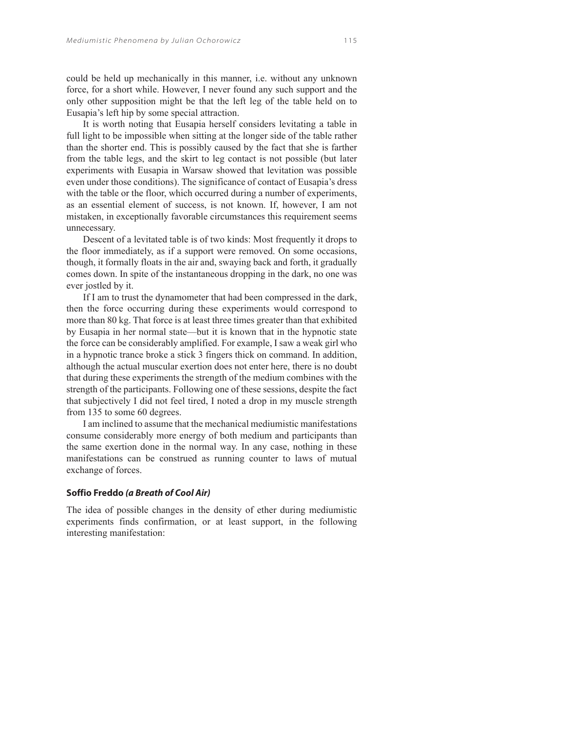could be held up mechanically in this manner, i.e. without any unknown force, for a short while. However, I never found any such support and the only other supposition might be that the left leg of the table held on to Eusapia's left hip by some special attraction.

It is worth noting that Eusapia herself considers levitating a table in full light to be impossible when sitting at the longer side of the table rather than the shorter end. This is possibly caused by the fact that she is farther from the table legs, and the skirt to leg contact is not possible (but later experiments with Eusapia in Warsaw showed that levitation was possible even under those conditions). The significance of contact of Eusapia's dress with the table or the floor, which occurred during a number of experiments, as an essential element of success, is not known. If, however, I am not mistaken, in exceptionally favorable circumstances this requirement seems unnecessary.

Descent of a levitated table is of two kinds: Most frequently it drops to the floor immediately, as if a support were removed. On some occasions, though, it formally floats in the air and, swaying back and forth, it gradually comes down. In spite of the instantaneous dropping in the dark, no one was ever jostled by it.

If I am to trust the dynamometer that had been compressed in the dark, then the force occurring during these experiments would correspond to more than 80 kg. That force is at least three times greater than that exhibited by Eusapia in her normal state—but it is known that in the hypnotic state the force can be considerably amplified. For example, I saw a weak girl who in a hypnotic trance broke a stick 3 fingers thick on command. In addition, although the actual muscular exertion does not enter here, there is no doubt that during these experiments the strength of the medium combines with the strength of the participants. Following one of these sessions, despite the fact that subjectively I did not feel tired, I noted a drop in my muscle strength from 135 to some 60 degrees.

I am inclined to assume that the mechanical mediumistic manifestations consume considerably more energy of both medium and participants than the same exertion done in the normal way. In any case, nothing in these manifestations can be construed as running counter to laws of mutual exchange of forces.

## **Soffio Freddo** *(a Breath of Cool Air)*

The idea of possible changes in the density of ether during mediumistic experiments finds confirmation, or at least support, in the following interesting manifestation: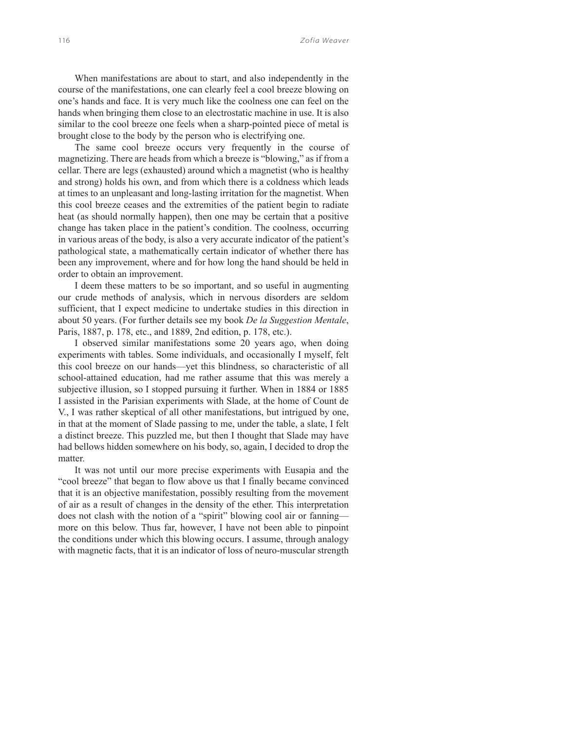When manifestations are about to start, and also independently in the course of the manifestations, one can clearly feel a cool breeze blowing on one's hands and face. It is very much like the coolness one can feel on the hands when bringing them close to an electrostatic machine in use. It is also similar to the cool breeze one feels when a sharp-pointed piece of metal is brought close to the body by the person who is electrifying one.

The same cool breeze occurs very frequently in the course of magnetizing. There are heads from which a breeze is "blowing," as if from a cellar. There are legs (exhausted) around which a magnetist (who is healthy and strong) holds his own, and from which there is a coldness which leads at times to an unpleasant and long-lasting irritation for the magnetist. When this cool breeze ceases and the extremities of the patient begin to radiate heat (as should normally happen), then one may be certain that a positive change has taken place in the patient's condition. The coolness, occurring in various areas of the body, is also a very accurate indicator of the patient's pathological state, a mathematically certain indicator of whether there has been any improvement, where and for how long the hand should be held in order to obtain an improvement.

I deem these matters to be so important, and so useful in augmenting our crude methods of analysis, which in nervous disorders are seldom sufficient, that I expect medicine to undertake studies in this direction in about 50 years. (For further details see my book *De la Suggestion Mentale*, Paris, 1887, p. 178, etc., and 1889, 2nd edition, p. 178, etc.).

I observed similar manifestations some 20 years ago, when doing experiments with tables. Some individuals, and occasionally I myself, felt this cool breeze on our hands—yet this blindness, so characteristic of all school-attained education, had me rather assume that this was merely a subjective illusion, so I stopped pursuing it further. When in 1884 or 1885 I assisted in the Parisian experiments with Slade, at the home of Count de V., I was rather skeptical of all other manifestations, but intrigued by one, in that at the moment of Slade passing to me, under the table, a slate, I felt a distinct breeze. This puzzled me, but then I thought that Slade may have had bellows hidden somewhere on his body, so, again, I decided to drop the matter.

It was not until our more precise experiments with Eusapia and the "cool breeze" that began to flow above us that I finally became convinced that it is an objective manifestation, possibly resulting from the movement of air as a result of changes in the density of the ether. This interpretation does not clash with the notion of a "spirit" blowing cool air or fanningmore on this below. Thus far, however, I have not been able to pinpoint the conditions under which this blowing occurs. I assume, through analogy with magnetic facts, that it is an indicator of loss of neuro-muscular strength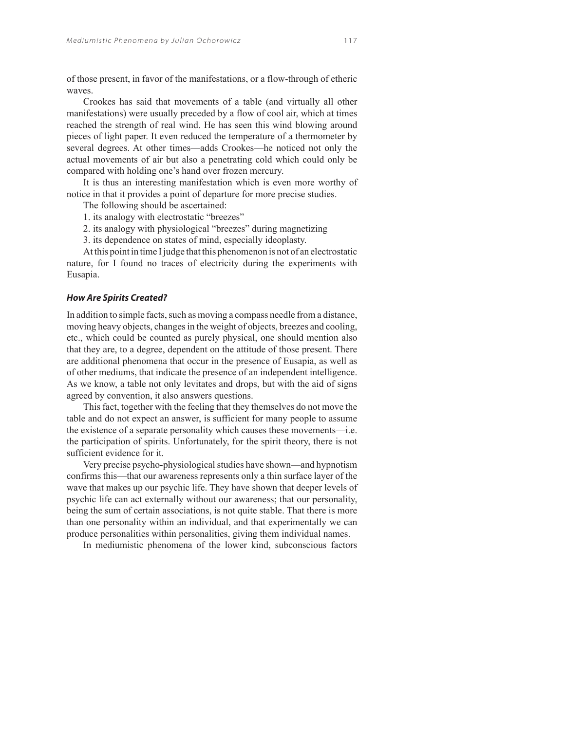of those present, in favor of the manifestations, or a flow-through of etheric waves.

Crookes has said that movements of a table (and virtually all other manifestations) were usually preceded by a flow of cool air, which at times reached the strength of real wind. He has seen this wind blowing around pieces of light paper. It even reduced the temperature of a thermometer by several degrees. At other times—adds Crookes—he noticed not only the actual movements of air but also a penetrating cold which could only be compared with holding one's hand over frozen mercury.

It is thus an interesting manifestation which is even more worthy of notice in that it provides a point of departure for more precise studies.

The following should be ascertained:

1. its analogy with electrostatic "breezes"

2. its analogy with physiological "breezes" during magnetizing

3. its dependence on states of mind, especially ideoplasty.

At this point in time I judge that this phenomenon is not of an electrostatic nature, for I found no traces of electricity during the experiments with Eusapia.

#### *How Are Spirits Created?*

In addition to simple facts, such as moving a compass needle from a distance, moving heavy objects, changes in the weight of objects, breezes and cooling, etc., which could be counted as purely physical, one should mention also that they are, to a degree, dependent on the attitude of those present. There are additional phenomena that occur in the presence of Eusapia, as well as of other mediums, that indicate the presence of an independent intelligence. As we know, a table not only levitates and drops, but with the aid of signs agreed by convention, it also answers questions.

This fact, together with the feeling that they themselves do not move the table and do not expect an answer, is sufficient for many people to assume the existence of a separate personality which causes these movements—i.e. the participation of spirits. Unfortunately, for the spirit theory, there is not sufficient evidence for it.

Very precise psycho-physiological studies have shown—and hypnotism confirms this—that our awareness represents only a thin surface layer of the wave that makes up our psychic life. They have shown that deeper levels of psychic life can act externally without our awareness; that our personality, being the sum of certain associations, is not quite stable. That there is more than one personality within an individual, and that experimentally we can produce personalities within personalities, giving them individual names.

In mediumistic phenomena of the lower kind, subconscious factors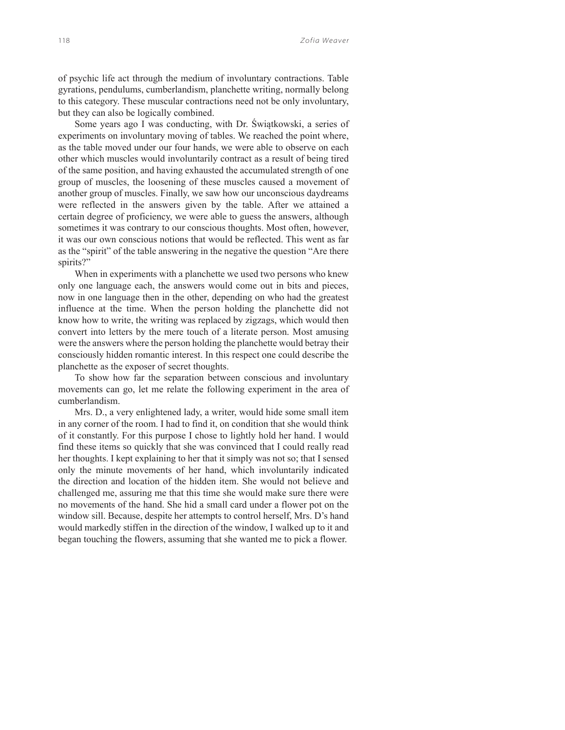of psychic life act through the medium of involuntary contractions. Table gyrations, pendulums, cumberlandism, planchette writing, normally belong to this category. These muscular contractions need not be only involuntary, but they can also be logically combined.

Some years ago I was conducting, with Dr. Świątkowski, a series of experiments on involuntary moving of tables. We reached the point where, as the table moved under our four hands, we were able to observe on each other which muscles would involuntarily contract as a result of being tired of the same position, and having exhausted the accumulated strength of one group of muscles, the loosening of these muscles caused a movement of another group of muscles. Finally, we saw how our unconscious daydreams were reflected in the answers given by the table. After we attained a certain degree of proficiency, we were able to guess the answers, although sometimes it was contrary to our conscious thoughts. Most often, however, it was our own conscious notions that would be reflected. This went as far as the "spirit" of the table answering in the negative the question "Are there spirits?"

When in experiments with a planchette we used two persons who knew only one language each, the answers would come out in bits and pieces, now in one language then in the other, depending on who had the greatest influence at the time. When the person holding the planchette did not know how to write, the writing was replaced by zigzags, which would then convert into letters by the mere touch of a literate person. Most amusing were the answers where the person holding the planchette would betray their consciously hidden romantic interest. In this respect one could describe the planchette as the exposer of secret thoughts.

To show how far the separation between conscious and involuntary movements can go, let me relate the following experiment in the area of cumberlandism.

Mrs. D., a very enlightened lady, a writer, would hide some small item in any corner of the room. I had to find it, on condition that she would think of it constantly. For this purpose I chose to lightly hold her hand. I would find these items so quickly that she was convinced that I could really read her thoughts. I kept explaining to her that it simply was not so; that I sensed only the minute movements of her hand, which involuntarily indicated the direction and location of the hidden item. She would not believe and challenged me, assuring me that this time she would make sure there were no movements of the hand. She hid a small card under a flower pot on the window sill. Because, despite her attempts to control herself, Mrs. D's hand would markedly stiffen in the direction of the window, I walked up to it and began touching the flowers, assuming that she wanted me to pick a flower.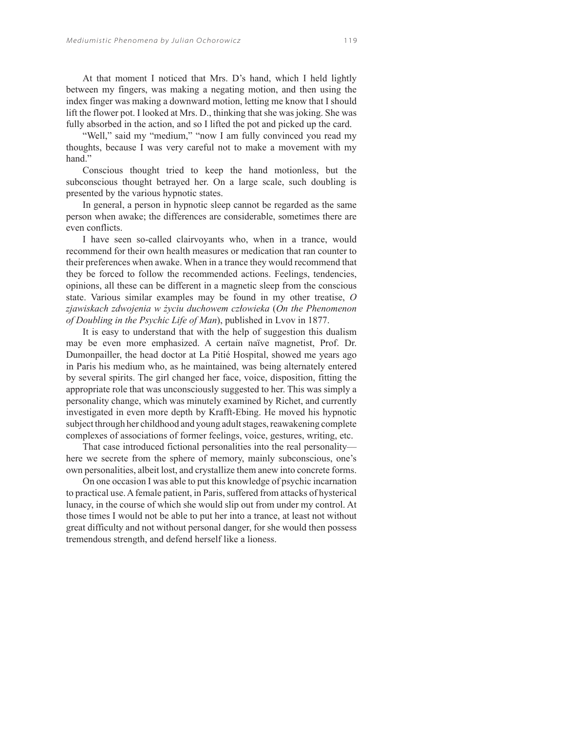At that moment I noticed that Mrs. D's hand, which I held lightly between my fingers, was making a negating motion, and then using the index finger was making a downward motion, letting me know that I should lift the flower pot. I looked at Mrs. D., thinking that she was joking. She was fully absorbed in the action, and so I lifted the pot and picked up the card.

"Well," said my "medium," "now I am fully convinced you read my thoughts, because I was very careful not to make a movement with my hand."

Conscious thought tried to keep the hand motionless, but the subconscious thought betrayed her. On a large scale, such doubling is presented by the various hypnotic states.

In general, a person in hypnotic sleep cannot be regarded as the same person when awake; the differences are considerable, sometimes there are even conflicts.

I have seen so-called clairvoyants who, when in a trance, would recommend for their own health measures or medication that ran counter to their preferences when awake. When in a trance they would recommend that they be forced to follow the recommended actions. Feelings, tendencies, opinions, all these can be different in a magnetic sleep from the conscious state. Various similar examples may be found in my other treatise, *O zjawiskach zdwojenia w życiu duchowem człowieka* (*On the Phenomenon of Doubling in the Psychic Life of Man*), published in Lvov in 1877.

It is easy to understand that with the help of suggestion this dualism may be even more emphasized. A certain naïve magnetist, Prof. Dr. Dumonpailler, the head doctor at La Pitié Hospital, showed me years ago in Paris his medium who, as he maintained, was being alternately entered by several spirits. The girl changed her face, voice, disposition, fitting the appropriate role that was unconsciously suggested to her. This was simply a personality change, which was minutely examined by Richet, and currently investigated in even more depth by Krafft-Ebing. He moved his hypnotic subject through her childhood and young adult stages, reawakening complete complexes of associations of former feelings, voice, gestures, writing, etc.

That case introduced fictional personalities into the real personality here we secrete from the sphere of memory, mainly subconscious, one's own personalities, albeit lost, and crystallize them anew into concrete forms.

On one occasion I was able to put this knowledge of psychic incarnation to practical use. A female patient, in Paris, suffered from attacks of hysterical lunacy, in the course of which she would slip out from under my control. At those times I would not be able to put her into a trance, at least not without great difficulty and not without personal danger, for she would then possess tremendous strength, and defend herself like a lioness.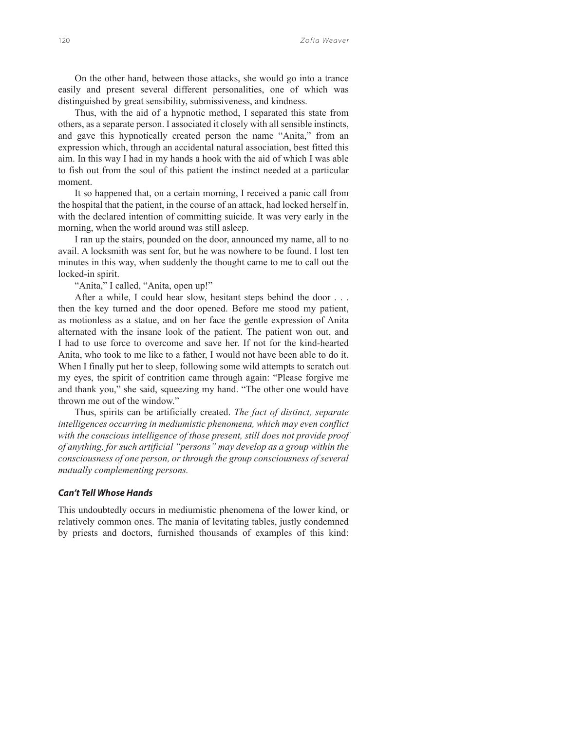On the other hand, between those attacks, she would go into a trance easily and present several different personalities, one of which was distinguished by great sensibility, submissiveness, and kindness.

Thus, with the aid of a hypnotic method, I separated this state from others, as a separate person. I associated it closely with all sensible instincts, and gave this hypnotically created person the name "Anita," from an expression which, through an accidental natural association, best fitted this aim. In this way I had in my hands a hook with the aid of which I was able to fish out from the soul of this patient the instinct needed at a particular moment.

It so happened that, on a certain morning, I received a panic call from the hospital that the patient, in the course of an attack, had locked herself in, with the declared intention of committing suicide. It was very early in the morning, when the world around was still asleep.

I ran up the stairs, pounded on the door, announced my name, all to no avail. A locksmith was sent for, but he was nowhere to be found. I lost ten minutes in this way, when suddenly the thought came to me to call out the locked-in spirit.

"Anita," I called, "Anita, open up!"

After a while, I could hear slow, hesitant steps behind the door . . . then the key turned and the door opened. Before me stood my patient, as motionless as a statue, and on her face the gentle expression of Anita alternated with the insane look of the patient. The patient won out, and I had to use force to overcome and save her. If not for the kind-hearted Anita, who took to me like to a father, I would not have been able to do it. When I finally put her to sleep, following some wild attempts to scratch out my eyes, the spirit of contrition came through again: "Please forgive me and thank you," she said, squeezing my hand. "The other one would have thrown me out of the window."

Thus, spirits can be artificially created. *The fact of distinct, separate intelligences occurring in mediumistic phenomena, which may even conflict with the conscious intelligence of those present, still does not provide proof of anything, for such artificial "persons" may develop as a group within the consciousness of one person, or through the group consciousness of several mutually complementing persons.*

## *Can't Tell Whose Hands*

This undoubtedly occurs in mediumistic phenomena of the lower kind, or relatively common ones. The mania of levitating tables, justly condemned by priests and doctors, furnished thousands of examples of this kind: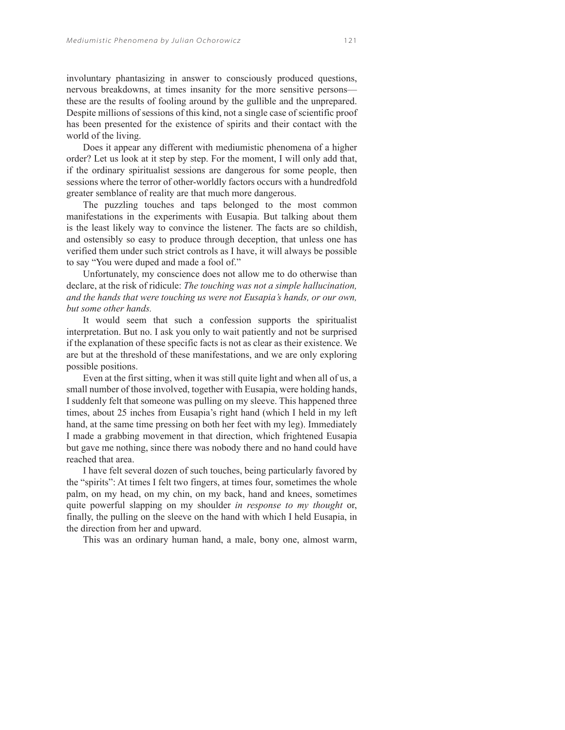involuntary phantasizing in answer to consciously produced questions, nervous breakdowns, at times insanity for the more sensitive persons these are the results of fooling around by the gullible and the unprepared. Despite millions of sessions of this kind, not a single case of scientific proof has been presented for the existence of spirits and their contact with the world of the living.

Does it appear any different with mediumistic phenomena of a higher order? Let us look at it step by step. For the moment, I will only add that, if the ordinary spiritualist sessions are dangerous for some people, then sessions where the terror of other-worldly factors occurs with a hundredfold greater semblance of reality are that much more dangerous.

The puzzling touches and taps belonged to the most common manifestations in the experiments with Eusapia. But talking about them is the least likely way to convince the listener. The facts are so childish, and ostensibly so easy to produce through deception, that unless one has verified them under such strict controls as I have, it will always be possible to say "You were duped and made a fool of."

Unfortunately, my conscience does not allow me to do otherwise than declare, at the risk of ridicule: *The touching was not a simple hallucination, and the hands that were touching us were not Eusapia's hands, or our own, but some other hands.*

It would seem that such a confession supports the spiritualist interpretation. But no. I ask you only to wait patiently and not be surprised if the explanation of these specific facts is not as clear as their existence. We are but at the threshold of these manifestations, and we are only exploring possible positions.

Even at the first sitting, when it was still quite light and when all of us, a small number of those involved, together with Eusapia, were holding hands, I suddenly felt that someone was pulling on my sleeve. This happened three times, about 25 inches from Eusapia's right hand (which I held in my left hand, at the same time pressing on both her feet with my leg). Immediately I made a grabbing movement in that direction, which frightened Eusapia but gave me nothing, since there was nobody there and no hand could have reached that area.

I have felt several dozen of such touches, being particularly favored by the "spirits": At times I felt two fingers, at times four, sometimes the whole palm, on my head, on my chin, on my back, hand and knees, sometimes quite powerful slapping on my shoulder *in response to my thought* or, finally, the pulling on the sleeve on the hand with which I held Eusapia, in the direction from her and upward.

This was an ordinary human hand, a male, bony one, almost warm,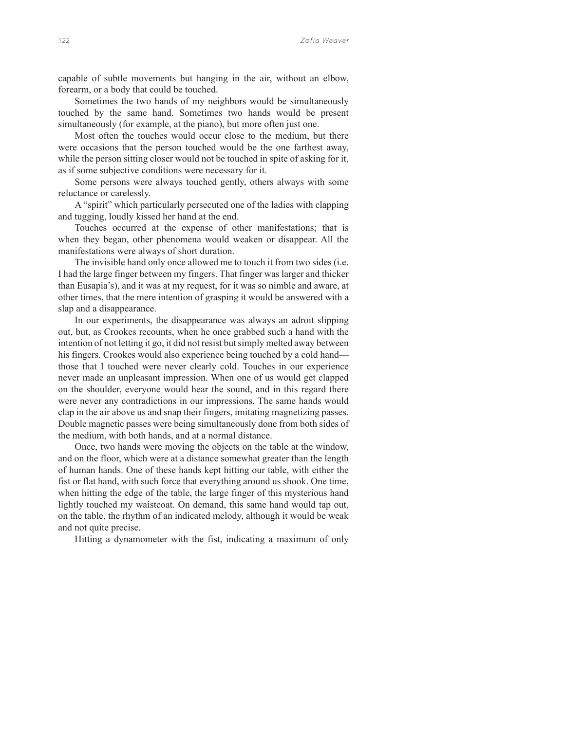capable of subtle movements but hanging in the air, without an elbow, forearm, or a body that could be touched.

Sometimes the two hands of my neighbors would be simultaneously touched by the same hand. Sometimes two hands would be present simultaneously (for example, at the piano), but more often just one.

Most often the touches would occur close to the medium, but there were occasions that the person touched would be the one farthest away, while the person sitting closer would not be touched in spite of asking for it, as if some subjective conditions were necessary for it.

Some persons were always touched gently, others always with some reluctance or carelessly.

A "spirit" which particularly persecuted one of the ladies with clapping and tugging, loudly kissed her hand at the end.

Touches occurred at the expense of other manifestations; that is when they began, other phenomena would weaken or disappear. All the manifestations were always of short duration.

The invisible hand only once allowed me to touch it from two sides (i.e. I had the large finger between my fingers. That finger was larger and thicker than Eusapia's), and it was at my request, for it was so nimble and aware, at other times, that the mere intention of grasping it would be answered with a slap and a disappearance.

In our experiments, the disappearance was always an adroit slipping out, but, as Crookes recounts, when he once grabbed such a hand with the intention of not letting it go, it did not resist but simply melted away between his fingers. Crookes would also experience being touched by a cold hand those that I touched were never clearly cold. Touches in our experience never made an unpleasant impression. When one of us would get clapped on the shoulder, everyone would hear the sound, and in this regard there were never any contradictions in our impressions. The same hands would clap in the air above us and snap their fingers, imitating magnetizing passes. Double magnetic passes were being simultaneously done from both sides of the medium, with both hands, and at a normal distance.

Once, two hands were moving the objects on the table at the window, and on the floor, which were at a distance somewhat greater than the length of human hands. One of these hands kept hitting our table, with either the fist or flat hand, with such force that everything around us shook. One time, when hitting the edge of the table, the large finger of this mysterious hand lightly touched my waistcoat. On demand, this same hand would tap out, on the table, the rhythm of an indicated melody, although it would be weak and not quite precise.

Hitting a dynamometer with the fist, indicating a maximum of only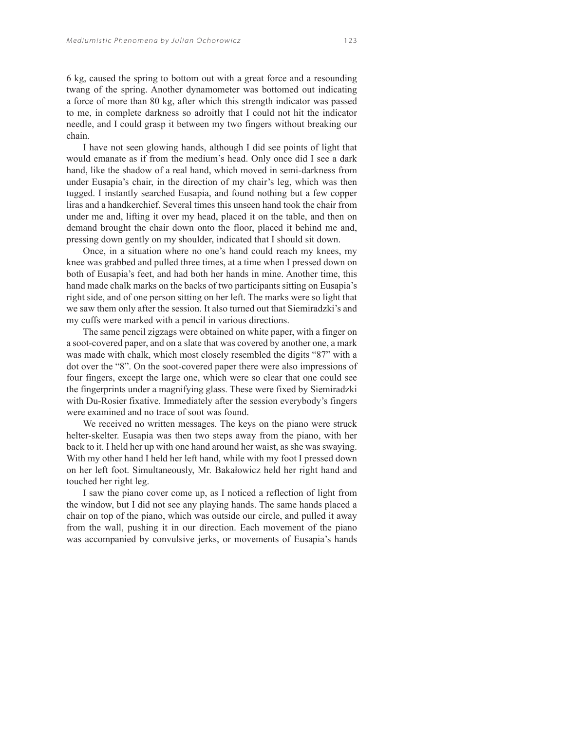6 kg, caused the spring to bottom out with a great force and a resounding twang of the spring. Another dynamometer was bottomed out indicating a force of more than 80 kg, after which this strength indicator was passed to me, in complete darkness so adroitly that I could not hit the indicator needle, and I could grasp it between my two fingers without breaking our chain.

I have not seen glowing hands, although I did see points of light that would emanate as if from the medium's head. Only once did I see a dark hand, like the shadow of a real hand, which moved in semi-darkness from under Eusapia's chair, in the direction of my chair's leg, which was then tugged. I instantly searched Eusapia, and found nothing but a few copper liras and a handkerchief. Several times this unseen hand took the chair from under me and, lifting it over my head, placed it on the table, and then on demand brought the chair down onto the floor, placed it behind me and, pressing down gently on my shoulder, indicated that I should sit down.

Once, in a situation where no one's hand could reach my knees, my knee was grabbed and pulled three times, at a time when I pressed down on both of Eusapia's feet, and had both her hands in mine. Another time, this hand made chalk marks on the backs of two participants sitting on Eusapia's right side, and of one person sitting on her left. The marks were so light that we saw them only after the session. It also turned out that Siemiradzki's and my cuffs were marked with a pencil in various directions.

The same pencil zigzags were obtained on white paper, with a finger on a soot-covered paper, and on a slate that was covered by another one, a mark was made with chalk, which most closely resembled the digits "87" with a dot over the "8". On the soot-covered paper there were also impressions of four fingers, except the large one, which were so clear that one could see the fingerprints under a magnifying glass. These were fixed by Siemiradzki with Du-Rosier fixative. Immediately after the session everybody's fingers were examined and no trace of soot was found.

We received no written messages. The keys on the piano were struck helter-skelter. Eusapia was then two steps away from the piano, with her back to it. I held her up with one hand around her waist, as she was swaying. With my other hand I held her left hand, while with my foot I pressed down on her left foot. Simultaneously, Mr. Bakałowicz held her right hand and touched her right leg.

I saw the piano cover come up, as I noticed a reflection of light from the window, but I did not see any playing hands. The same hands placed a chair on top of the piano, which was outside our circle, and pulled it away from the wall, pushing it in our direction. Each movement of the piano was accompanied by convulsive jerks, or movements of Eusapia's hands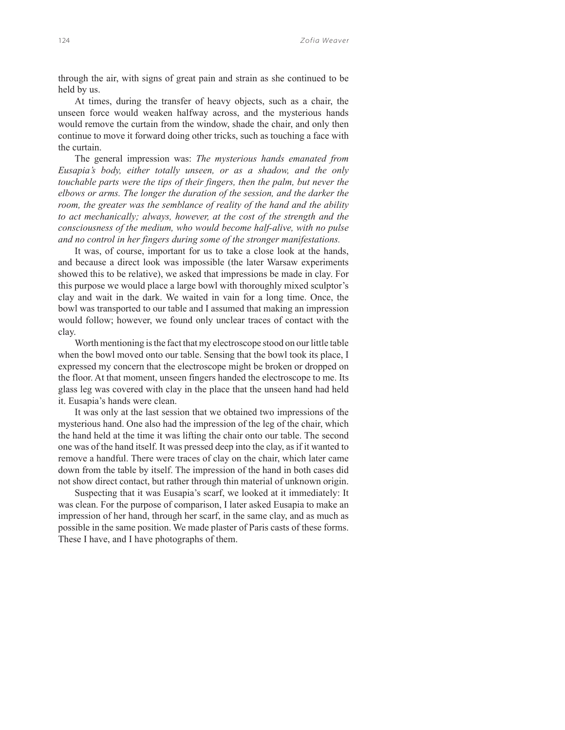through the air, with signs of great pain and strain as she continued to be held by us.

At times, during the transfer of heavy objects, such as a chair, the unseen force would weaken halfway across, and the mysterious hands would remove the curtain from the window, shade the chair, and only then continue to move it forward doing other tricks, such as touching a face with the curtain.

The general impression was: *The mysterious hands emanated from Eusapia's body, either totally unseen, or as a shadow, and the only touchable parts were the tips of their fingers, then the palm, but never the elbows or arms. The longer the duration of the session, and the darker the room, the greater was the semblance of reality of the hand and the ability to act mechanically; always, however, at the cost of the strength and the consciousness of the medium, who would become half-alive, with no pulse and no control in her fingers during some of the stronger manifestations.*

It was, of course, important for us to take a close look at the hands, and because a direct look was impossible (the later Warsaw experiments showed this to be relative), we asked that impressions be made in clay. For this purpose we would place a large bowl with thoroughly mixed sculptor's clay and wait in the dark. We waited in vain for a long time. Once, the bowl was transported to our table and I assumed that making an impression would follow; however, we found only unclear traces of contact with the clay.

Worth mentioning is the fact that my electroscope stood on our little table when the bowl moved onto our table. Sensing that the bowl took its place, I expressed my concern that the electroscope might be broken or dropped on the floor. At that moment, unseen fingers handed the electroscope to me. Its glass leg was covered with clay in the place that the unseen hand had held it. Eusapia's hands were clean.

It was only at the last session that we obtained two impressions of the mysterious hand. One also had the impression of the leg of the chair, which the hand held at the time it was lifting the chair onto our table. The second one was of the hand itself. It was pressed deep into the clay, as if it wanted to remove a handful. There were traces of clay on the chair, which later came down from the table by itself. The impression of the hand in both cases did not show direct contact, but rather through thin material of unknown origin.

Suspecting that it was Eusapia's scarf, we looked at it immediately: It was clean. For the purpose of comparison, I later asked Eusapia to make an impression of her hand, through her scarf, in the same clay, and as much as possible in the same position. We made plaster of Paris casts of these forms. These I have, and I have photographs of them.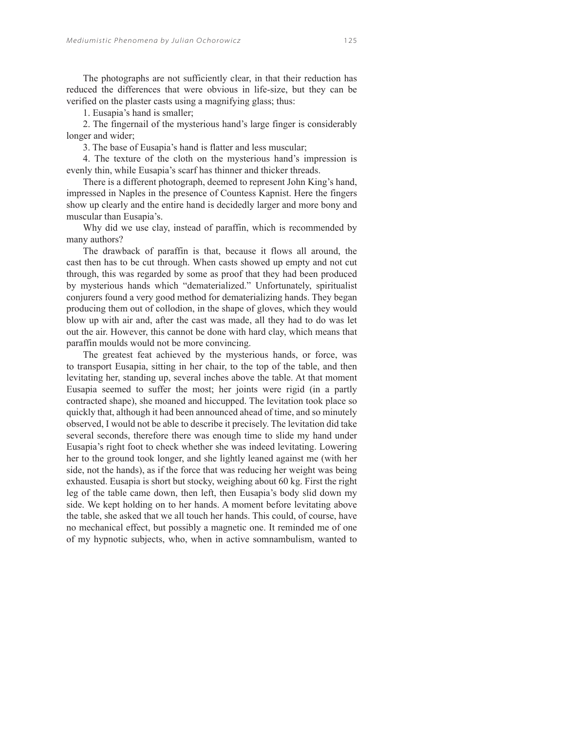The photographs are not sufficiently clear, in that their reduction has reduced the differences that were obvious in life-size, but they can be verified on the plaster casts using a magnifying glass; thus:

1. Eusapia's hand is smaller;

2. The fingernail of the mysterious hand's large finger is considerably longer and wider;

3. The base of Eusapia's hand is flatter and less muscular;

4. The texture of the cloth on the mysterious hand's impression is evenly thin, while Eusapia's scarf has thinner and thicker threads.

There is a different photograph, deemed to represent John King's hand, impressed in Naples in the presence of Countess Kapnist. Here the fingers show up clearly and the entire hand is decidedly larger and more bony and muscular than Eusapia's.

Why did we use clay, instead of paraffin, which is recommended by many authors?

The drawback of paraffin is that, because it flows all around, the cast then has to be cut through. When casts showed up empty and not cut through, this was regarded by some as proof that they had been produced by mysterious hands which "dematerialized." Unfortunately, spiritualist conjurers found a very good method for dematerializing hands. They began producing them out of collodion, in the shape of gloves, which they would blow up with air and, after the cast was made, all they had to do was let out the air. However, this cannot be done with hard clay, which means that paraffin moulds would not be more convincing.

The greatest feat achieved by the mysterious hands, or force, was to transport Eusapia, sitting in her chair, to the top of the table, and then levitating her, standing up, several inches above the table. At that moment Eusapia seemed to suffer the most; her joints were rigid (in a partly contracted shape), she moaned and hiccupped. The levitation took place so quickly that, although it had been announced ahead of time, and so minutely observed, I would not be able to describe it precisely. The levitation did take several seconds, therefore there was enough time to slide my hand under Eusapia's right foot to check whether she was indeed levitating. Lowering her to the ground took longer, and she lightly leaned against me (with her side, not the hands), as if the force that was reducing her weight was being exhausted. Eusapia is short but stocky, weighing about 60 kg. First the right leg of the table came down, then left, then Eusapia's body slid down my side. We kept holding on to her hands. A moment before levitating above the table, she asked that we all touch her hands. This could, of course, have no mechanical effect, but possibly a magnetic one. It reminded me of one of my hypnotic subjects, who, when in active somnambulism, wanted to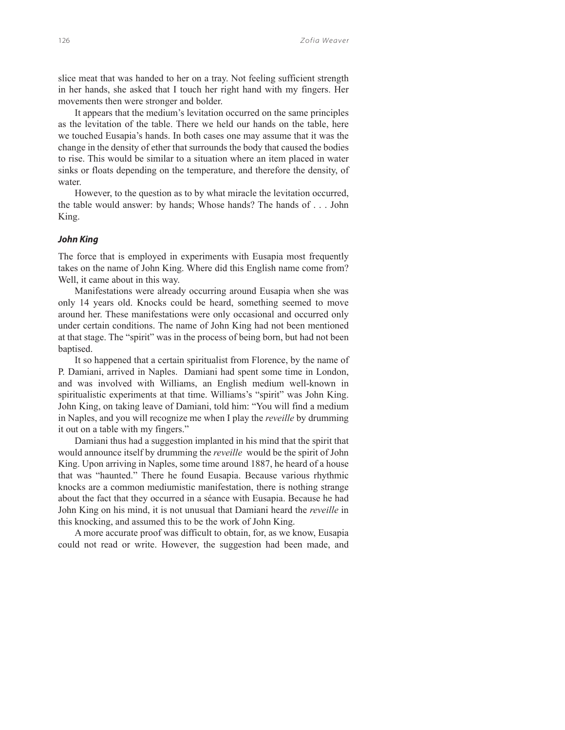slice meat that was handed to her on a tray. Not feeling sufficient strength in her hands, she asked that I touch her right hand with my fingers. Her movements then were stronger and bolder.

It appears that the medium's levitation occurred on the same principles as the levitation of the table. There we held our hands on the table, here we touched Eusapia's hands. In both cases one may assume that it was the change in the density of ether that surrounds the body that caused the bodies to rise. This would be similar to a situation where an item placed in water sinks or floats depending on the temperature, and therefore the density, of water.

However, to the question as to by what miracle the levitation occurred, the table would answer: by hands; Whose hands? The hands of . . . John King.

## *John King*

The force that is employed in experiments with Eusapia most frequently takes on the name of John King. Where did this English name come from? Well, it came about in this way.

Manifestations were already occurring around Eusapia when she was only 14 years old. Knocks could be heard, something seemed to move around her. These manifestations were only occasional and occurred only under certain conditions. The name of John King had not been mentioned at that stage. The "spirit" was in the process of being born, but had not been baptised.

It so happened that a certain spiritualist from Florence, by the name of P. Damiani, arrived in Naples. Damiani had spent some time in London, and was involved with Williams, an English medium well-known in spiritualistic experiments at that time. Williams's "spirit" was John King. John King, on taking leave of Damiani, told him: "You will find a medium in Naples, and you will recognize me when I play the *reveille* by drumming it out on a table with my fingers."

Damiani thus had a suggestion implanted in his mind that the spirit that would announce itself by drumming the *reveille* would be the spirit of John King. Upon arriving in Naples, some time around 1887, he heard of a house that was "haunted." There he found Eusapia. Because various rhythmic knocks are a common mediumistic manifestation, there is nothing strange about the fact that they occurred in a séance with Eusapia. Because he had John King on his mind, it is not unusual that Damiani heard the *reveille* in this knocking, and assumed this to be the work of John King.

A more accurate proof was difficult to obtain, for, as we know, Eusapia could not read or write. However, the suggestion had been made, and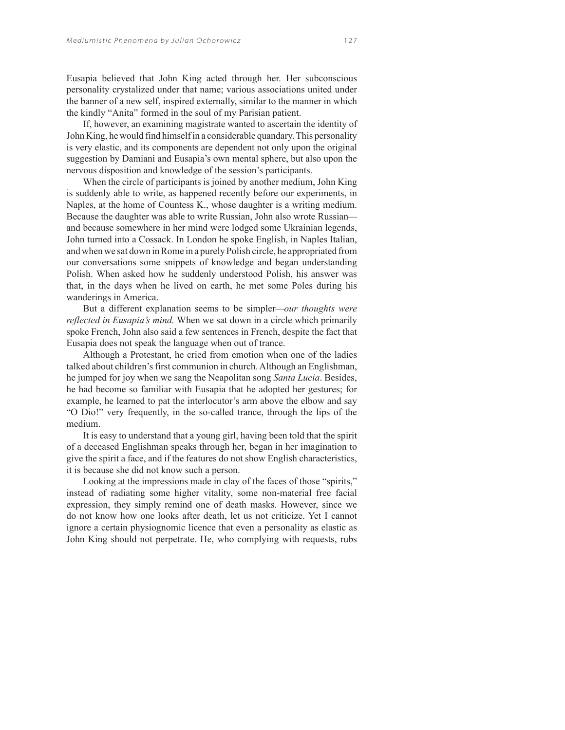Eusapia believed that John King acted through her. Her subconscious personality crystalized under that name; various associations united under the banner of a new self, inspired externally, similar to the manner in which the kindly "Anita" formed in the soul of my Parisian patient.

If, however, an examining magistrate wanted to ascertain the identity of John King, he would find himself in a considerable quandary. This personality is very elastic, and its components are dependent not only upon the original suggestion by Damiani and Eusapia's own mental sphere, but also upon the nervous disposition and knowledge of the session's participants.

When the circle of participants is joined by another medium, John King is suddenly able to write, as happened recently before our experiments, in Naples, at the home of Countess K., whose daughter is a writing medium. Because the daughter was able to write Russian, John also wrote Russian and because somewhere in her mind were lodged some Ukrainian legends, John turned into a Cossack. In London he spoke English, in Naples Italian, and when we sat down in Rome in a purely Polish circle, he appropriated from our conversations some snippets of knowledge and began understanding Polish. When asked how he suddenly understood Polish, his answer was that, in the days when he lived on earth, he met some Poles during his wanderings in America.

But a different explanation seems to be simpler*—our thoughts were reflected in Eusapia's mind.* When we sat down in a circle which primarily spoke French, John also said a few sentences in French, despite the fact that Eusapia does not speak the language when out of trance.

Although a Protestant, he cried from emotion when one of the ladies talked about children's first communion in church. Although an Englishman, he jumped for joy when we sang the Neapolitan song *Santa Lucia*. Besides, he had become so familiar with Eusapia that he adopted her gestures; for example, he learned to pat the interlocutor's arm above the elbow and say "O Dio!" very frequently, in the so-called trance, through the lips of the medium.

It is easy to understand that a young girl, having been told that the spirit of a deceased Englishman speaks through her, began in her imagination to give the spirit a face, and if the features do not show English characteristics, it is because she did not know such a person.

Looking at the impressions made in clay of the faces of those "spirits," instead of radiating some higher vitality, some non-material free facial expression, they simply remind one of death masks. However, since we do not know how one looks after death, let us not criticize. Yet I cannot ignore a certain physiognomic licence that even a personality as elastic as John King should not perpetrate. He, who complying with requests, rubs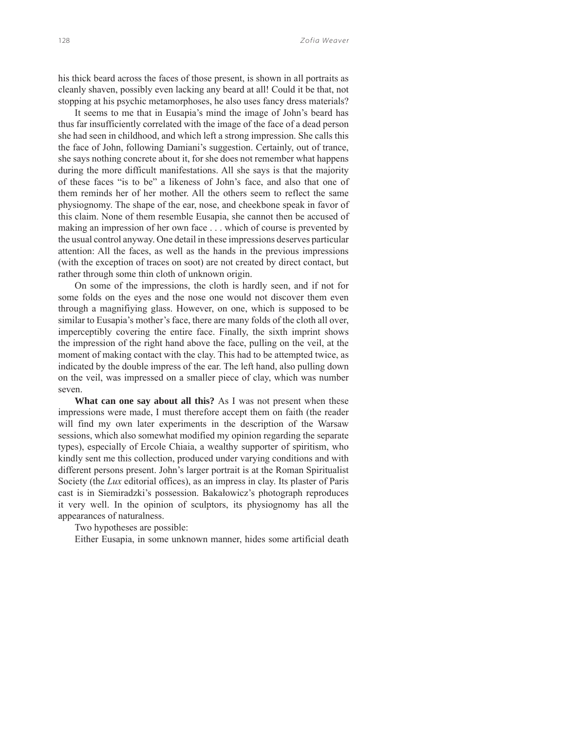his thick beard across the faces of those present, is shown in all portraits as cleanly shaven, possibly even lacking any beard at all! Could it be that, not stopping at his psychic metamorphoses, he also uses fancy dress materials?

It seems to me that in Eusapia's mind the image of John's beard has thus far insufficiently correlated with the image of the face of a dead person she had seen in childhood, and which left a strong impression. She calls this the face of John, following Damiani's suggestion. Certainly, out of trance, she says nothing concrete about it, for she does not remember what happens during the more difficult manifestations. All she says is that the majority of these faces "is to be" a likeness of John's face, and also that one of them reminds her of her mother. All the others seem to reflect the same physiognomy. The shape of the ear, nose, and cheekbone speak in favor of this claim. None of them resemble Eusapia, she cannot then be accused of making an impression of her own face . . . which of course is prevented by the usual control anyway. One detail in these impressions deserves particular attention: All the faces, as well as the hands in the previous impressions (with the exception of traces on soot) are not created by direct contact, but rather through some thin cloth of unknown origin.

On some of the impressions, the cloth is hardly seen, and if not for some folds on the eyes and the nose one would not discover them even through a magnifiying glass. However, on one, which is supposed to be similar to Eusapia's mother's face, there are many folds of the cloth all over, imperceptibly covering the entire face. Finally, the sixth imprint shows the impression of the right hand above the face, pulling on the veil, at the moment of making contact with the clay. This had to be attempted twice, as indicated by the double impress of the ear. The left hand, also pulling down on the veil, was impressed on a smaller piece of clay, which was number seven.

**What can one say about all this?** As I was not present when these impressions were made, I must therefore accept them on faith (the reader will find my own later experiments in the description of the Warsaw sessions, which also somewhat modified my opinion regarding the separate types), especially of Ercole Chiaia, a wealthy supporter of spiritism, who kindly sent me this collection, produced under varying conditions and with different persons present. John's larger portrait is at the Roman Spiritualist Society (the *Lux* editorial offices), as an impress in clay. Its plaster of Paris cast is in Siemiradzki's possession. Bakałowicz's photograph reproduces it very well. In the opinion of sculptors, its physiognomy has all the appearances of naturalness.

Two hypotheses are possible:

Either Eusapia, in some unknown manner, hides some artificial death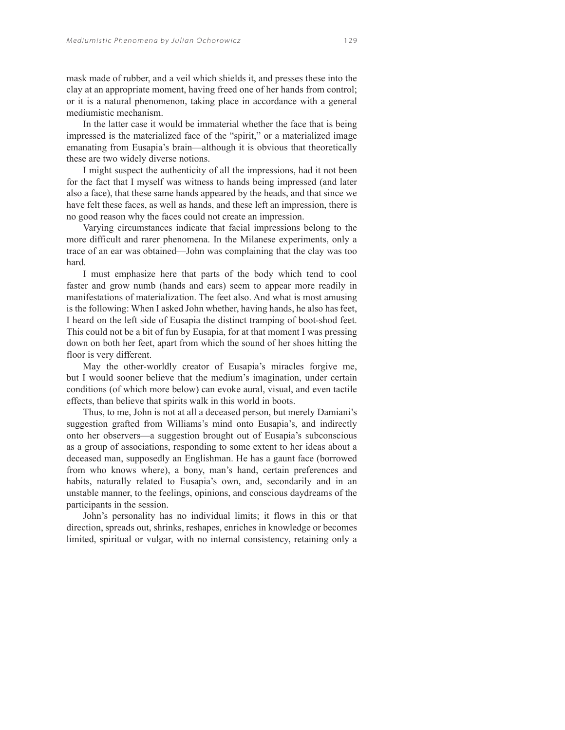mask made of rubber, and a veil which shields it, and presses these into the clay at an appropriate moment, having freed one of her hands from control; or it is a natural phenomenon, taking place in accordance with a general mediumistic mechanism.

In the latter case it would be immaterial whether the face that is being impressed is the materialized face of the "spirit," or a materialized image emanating from Eusapia's brain—although it is obvious that theoretically these are two widely diverse notions.

I might suspect the authenticity of all the impressions, had it not been for the fact that I myself was witness to hands being impressed (and later also a face), that these same hands appeared by the heads, and that since we have felt these faces, as well as hands, and these left an impression, there is no good reason why the faces could not create an impression.

Varying circumstances indicate that facial impressions belong to the more difficult and rarer phenomena. In the Milanese experiments, only a trace of an ear was obtained—John was complaining that the clay was too hard.

I must emphasize here that parts of the body which tend to cool faster and grow numb (hands and ears) seem to appear more readily in manifestations of materialization. The feet also. And what is most amusing is the following: When I asked John whether, having hands, he also has feet, I heard on the left side of Eusapia the distinct tramping of boot-shod feet. This could not be a bit of fun by Eusapia, for at that moment I was pressing down on both her feet, apart from which the sound of her shoes hitting the floor is very different.

May the other-worldly creator of Eusapia's miracles forgive me, but I would sooner believe that the medium's imagination, under certain conditions (of which more below) can evoke aural, visual, and even tactile effects, than believe that spirits walk in this world in boots.

Thus, to me, John is not at all a deceased person, but merely Damiani's suggestion grafted from Williams's mind onto Eusapia's, and indirectly onto her observers—a suggestion brought out of Eusapia's subconscious as a group of associations, responding to some extent to her ideas about a deceased man, supposedly an Englishman. He has a gaunt face (borrowed from who knows where), a bony, man's hand, certain preferences and habits, naturally related to Eusapia's own, and, secondarily and in an unstable manner, to the feelings, opinions, and conscious daydreams of the participants in the session.

John's personality has no individual limits; it flows in this or that direction, spreads out, shrinks, reshapes, enriches in knowledge or becomes limited, spiritual or vulgar, with no internal consistency, retaining only a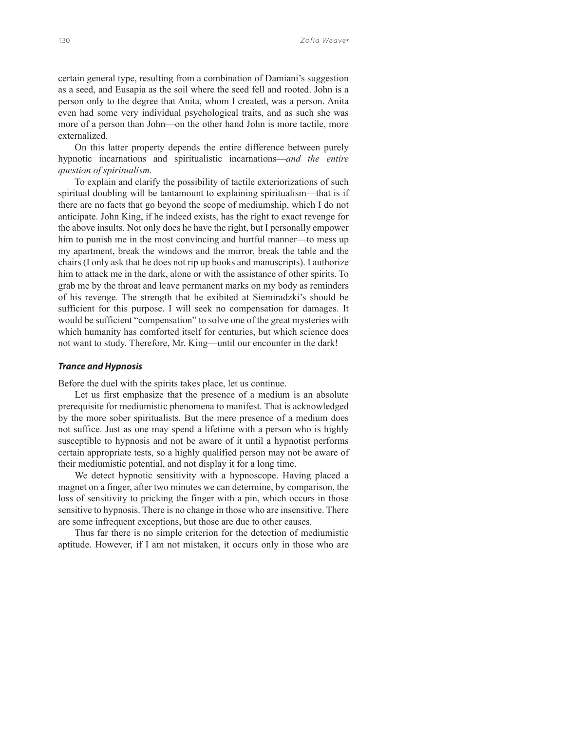certain general type, resulting from a combination of Damiani's suggestion as a seed, and Eusapia as the soil where the seed fell and rooted. John is a person only to the degree that Anita, whom I created, was a person. Anita even had some very individual psychological traits, and as such she was more of a person than John—on the other hand John is more tactile, more externalized.

On this latter property depends the entire difference between purely hypnotic incarnations and spiritualistic incarnations—*and the entire question of spiritualism.*

To explain and clarify the possibility of tactile exteriorizations of such spiritual doubling will be tantamount to explaining spiritualism—that is if there are no facts that go beyond the scope of mediumship, which I do not anticipate. John King, if he indeed exists, has the right to exact revenge for the above insults. Not only does he have the right, but I personally empower him to punish me in the most convincing and hurtful manner—to mess up my apartment, break the windows and the mirror, break the table and the chairs (I only ask that he does not rip up books and manuscripts). I authorize him to attack me in the dark, alone or with the assistance of other spirits. To grab me by the throat and leave permanent marks on my body as reminders of his revenge. The strength that he exibited at Siemiradzki's should be sufficient for this purpose. I will seek no compensation for damages. It would be sufficient "compensation" to solve one of the great mysteries with which humanity has comforted itself for centuries, but which science does not want to study. Therefore, Mr. King—until our encounter in the dark!

## *Trance and Hypnosis*

Before the duel with the spirits takes place, let us continue.

Let us first emphasize that the presence of a medium is an absolute prerequisite for mediumistic phenomena to manifest. That is acknowledged by the more sober spiritualists. But the mere presence of a medium does not suffice. Just as one may spend a lifetime with a person who is highly susceptible to hypnosis and not be aware of it until a hypnotist performs certain appropriate tests, so a highly qualified person may not be aware of their mediumistic potential, and not display it for a long time.

We detect hypnotic sensitivity with a hypnoscope. Having placed a magnet on a finger, after two minutes we can determine, by comparison, the loss of sensitivity to pricking the finger with a pin, which occurs in those sensitive to hypnosis. There is no change in those who are insensitive. There are some infrequent exceptions, but those are due to other causes.

Thus far there is no simple criterion for the detection of mediumistic aptitude. However, if I am not mistaken, it occurs only in those who are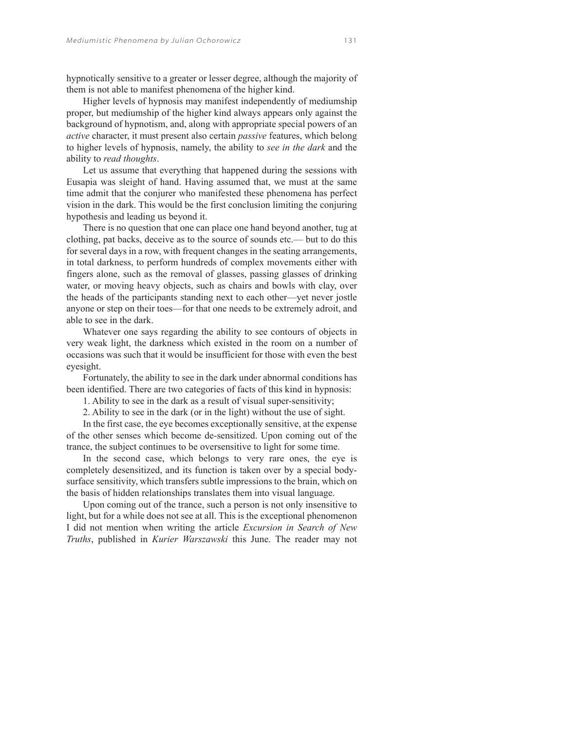hypnotically sensitive to a greater or lesser degree, although the majority of them is not able to manifest phenomena of the higher kind.

Higher levels of hypnosis may manifest independently of mediumship proper, but mediumship of the higher kind always appears only against the background of hypnotism, and, along with appropriate special powers of an *active* character, it must present also certain *passive* features, which belong to higher levels of hypnosis, namely, the ability to *see in the dark* and the ability to *read thoughts*.

Let us assume that everything that happened during the sessions with Eusapia was sleight of hand. Having assumed that, we must at the same time admit that the conjurer who manifested these phenomena has perfect vision in the dark. This would be the first conclusion limiting the conjuring hypothesis and leading us beyond it.

There is no question that one can place one hand beyond another, tug at clothing, pat backs, deceive as to the source of sounds etc.— but to do this for several days in a row, with frequent changes in the seating arrangements, in total darkness, to perform hundreds of complex movements either with fingers alone, such as the removal of glasses, passing glasses of drinking water, or moving heavy objects, such as chairs and bowls with clay, over the heads of the participants standing next to each other—yet never jostle anyone or step on their toes—for that one needs to be extremely adroit, and able to see in the dark.

Whatever one says regarding the ability to see contours of objects in very weak light, the darkness which existed in the room on a number of occasions was such that it would be insufficient for those with even the best eyesight.

Fortunately, the ability to see in the dark under abnormal conditions has been identified. There are two categories of facts of this kind in hypnosis:

1. Ability to see in the dark as a result of visual super-sensitivity;

2. Ability to see in the dark (or in the light) without the use of sight.

In the first case, the eye becomes exceptionally sensitive, at the expense of the other senses which become de-sensitized. Upon coming out of the trance, the subject continues to be oversensitive to light for some time.

In the second case, which belongs to very rare ones, the eye is completely desensitized, and its function is taken over by a special bodysurface sensitivity, which transfers subtle impressions to the brain, which on the basis of hidden relationships translates them into visual language.

Upon coming out of the trance, such a person is not only insensitive to light, but for a while does not see at all. This is the exceptional phenomenon I did not mention when writing the article *Excursion in Search of New Truths*, published in *Kurier Warszawski* this June. The reader may not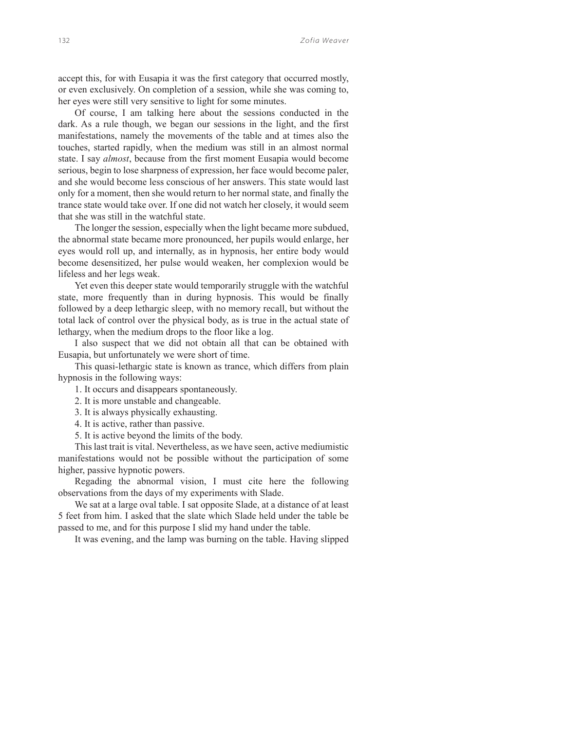accept this, for with Eusapia it was the first category that occurred mostly, or even exclusively. On completion of a session, while she was coming to, her eyes were still very sensitive to light for some minutes.

Of course, I am talking here about the sessions conducted in the dark. As a rule though, we began our sessions in the light, and the first manifestations, namely the movements of the table and at times also the touches, started rapidly, when the medium was still in an almost normal state. I say *almost*, because from the first moment Eusapia would become serious, begin to lose sharpness of expression, her face would become paler, and she would become less conscious of her answers. This state would last only for a moment, then she would return to her normal state, and finally the trance state would take over. If one did not watch her closely, it would seem that she was still in the watchful state.

The longer the session, especially when the light became more subdued, the abnormal state became more pronounced, her pupils would enlarge, her eyes would roll up, and internally, as in hypnosis, her entire body would become desensitized, her pulse would weaken, her complexion would be lifeless and her legs weak.

Yet even this deeper state would temporarily struggle with the watchful state, more frequently than in during hypnosis. This would be finally followed by a deep lethargic sleep, with no memory recall, but without the total lack of control over the physical body, as is true in the actual state of lethargy, when the medium drops to the floor like a log.

I also suspect that we did not obtain all that can be obtained with Eusapia, but unfortunately we were short of time.

This quasi-lethargic state is known as trance, which differs from plain hypnosis in the following ways:

1. It occurs and disappears spontaneously.

2. It is more unstable and changeable.

3. It is always physically exhausting.

4. It is active, rather than passive.

5. It is active beyond the limits of the body.

This last trait is vital. Nevertheless, as we have seen, active mediumistic manifestations would not be possible without the participation of some higher, passive hypnotic powers.

Regading the abnormal vision, I must cite here the following observations from the days of my experiments with Slade.

We sat at a large oval table. I sat opposite Slade, at a distance of at least 5 feet from him. I asked that the slate which Slade held under the table be passed to me, and for this purpose I slid my hand under the table.

It was evening, and the lamp was burning on the table. Having slipped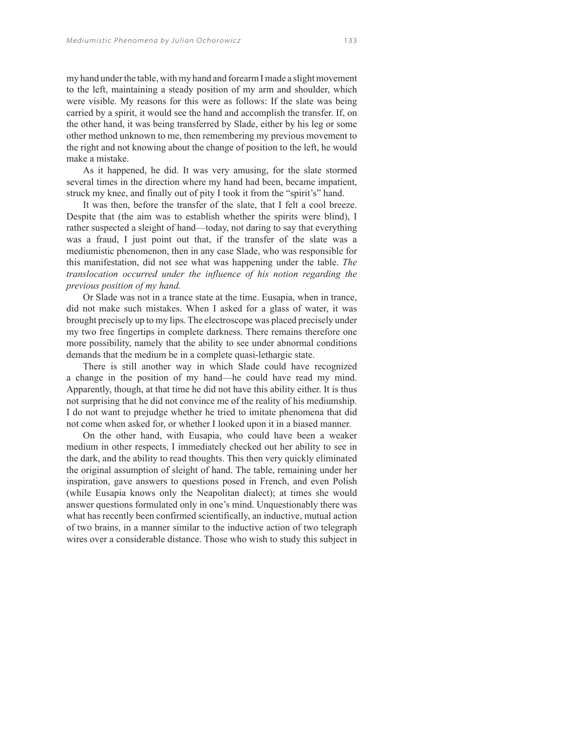my hand under the table, with my hand and forearm I made a slight movement to the left, maintaining a steady position of my arm and shoulder, which were visible. My reasons for this were as follows: If the slate was being carried by a spirit, it would see the hand and accomplish the transfer. If, on the other hand, it was being transferred by Slade, either by his leg or some other method unknown to me, then remembering my previous movement to the right and not knowing about the change of position to the left, he would make a mistake.

As it happened, he did. It was very amusing, for the slate stormed several times in the direction where my hand had been, became impatient, struck my knee, and finally out of pity I took it from the "spirit's" hand.

It was then, before the transfer of the slate, that I felt a cool breeze. Despite that (the aim was to establish whether the spirits were blind), I rather suspected a sleight of hand—today, not daring to say that everything was a fraud, I just point out that, if the transfer of the slate was a mediumistic phenomenon, then in any case Slade, who was responsible for this manifestation, did not see what was happening under the table. *The translocation occurred under the influence of his notion regarding the previous position of my hand.*

Or Slade was not in a trance state at the time. Eusapia, when in trance, did not make such mistakes. When I asked for a glass of water, it was brought precisely up to my lips. The electroscope was placed precisely under my two free fingertips in complete darkness. There remains therefore one more possibility, namely that the ability to see under abnormal conditions demands that the medium be in a complete quasi-lethargic state.

There is still another way in which Slade could have recognized a change in the position of my hand—he could have read my mind. Apparently, though, at that time he did not have this ability either. It is thus not surprising that he did not convince me of the reality of his mediumship. I do not want to prejudge whether he tried to imitate phenomena that did not come when asked for, or whether I looked upon it in a biased manner.

On the other hand, with Eusapia, who could have been a weaker medium in other respects, I immediately checked out her ability to see in the dark, and the ability to read thoughts. This then very quickly eliminated the original assumption of sleight of hand. The table, remaining under her inspiration, gave answers to questions posed in French, and even Polish (while Eusapia knows only the Neapolitan dialect); at times she would answer questions formulated only in one's mind. Unquestionably there was what has recently been confirmed scientifically, an inductive, mutual action of two brains, in a manner similar to the inductive action of two telegraph wires over a considerable distance. Those who wish to study this subject in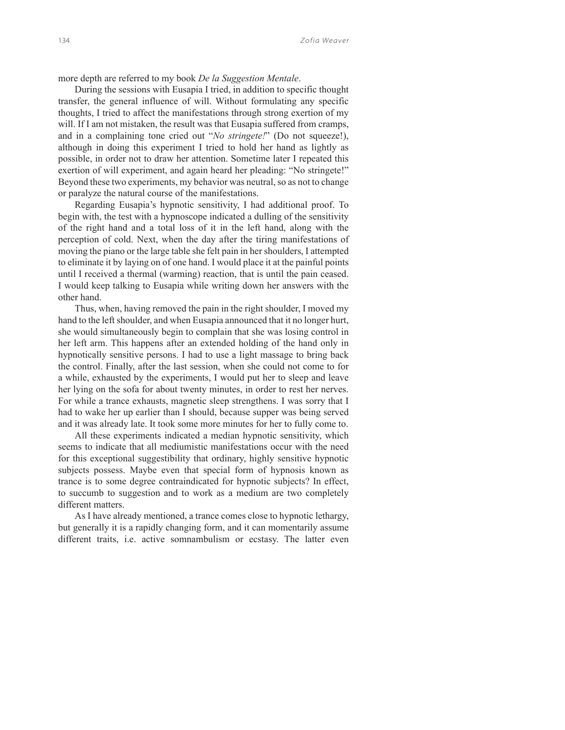more depth are referred to my book *De la Suggestion Mentale*.

During the sessions with Eusapia I tried, in addition to specific thought transfer, the general influence of will. Without formulating any specific thoughts, I tried to affect the manifestations through strong exertion of my will. If I am not mistaken, the result was that Eusapia suffered from cramps, and in a complaining tone cried out "*No stringete!*" (Do not squeeze!), although in doing this experiment I tried to hold her hand as lightly as possible, in order not to draw her attention. Sometime later I repeated this exertion of will experiment, and again heard her pleading: "No stringete!" Beyond these two experiments, my behavior was neutral, so as not to change or paralyze the natural course of the manifestations.

Regarding Eusapia's hypnotic sensitivity, I had additional proof. To begin with, the test with a hypnoscope indicated a dulling of the sensitivity of the right hand and a total loss of it in the left hand, along with the perception of cold. Next, when the day after the tiring manifestations of moving the piano or the large table she felt pain in her shoulders, I attempted to eliminate it by laying on of one hand. I would place it at the painful points until I received a thermal (warming) reaction, that is until the pain ceased. I would keep talking to Eusapia while writing down her answers with the other hand.

Thus, when, having removed the pain in the right shoulder, I moved my hand to the left shoulder, and when Eusapia announced that it no longer hurt, she would simultaneously begin to complain that she was losing control in her left arm. This happens after an extended holding of the hand only in hypnotically sensitive persons. I had to use a light massage to bring back the control. Finally, after the last session, when she could not come to for a while, exhausted by the experiments, I would put her to sleep and leave her lying on the sofa for about twenty minutes, in order to rest her nerves. For while a trance exhausts, magnetic sleep strengthens. I was sorry that I had to wake her up earlier than I should, because supper was being served and it was already late. It took some more minutes for her to fully come to.

All these experiments indicated a median hypnotic sensitivity, which seems to indicate that all mediumistic manifestations occur with the need for this exceptional suggestibility that ordinary, highly sensitive hypnotic subjects possess. Maybe even that special form of hypnosis known as trance is to some degree contraindicated for hypnotic subjects? In effect, to succumb to suggestion and to work as a medium are two completely different matters.

As I have already mentioned, a trance comes close to hypnotic lethargy, but generally it is a rapidly changing form, and it can momentarily assume different traits, i.e. active somnambulism or ecstasy. The latter even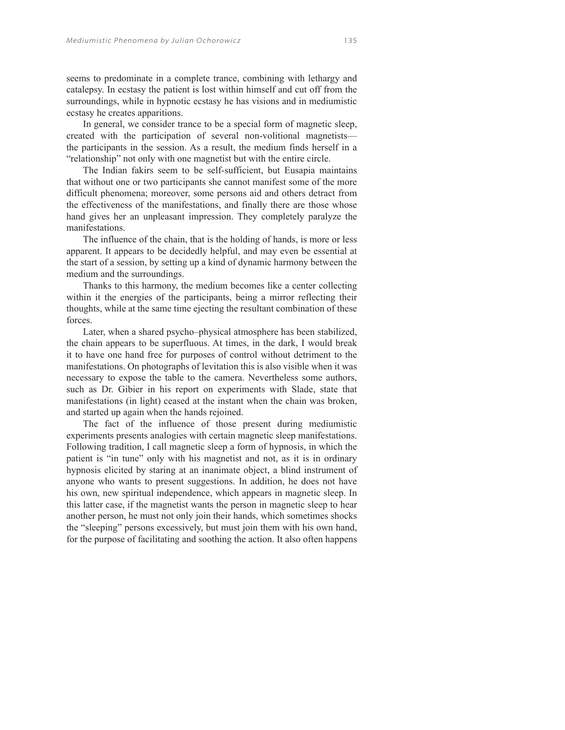seems to predominate in a complete trance, combining with lethargy and catalepsy. In ecstasy the patient is lost within himself and cut off from the surroundings, while in hypnotic ecstasy he has visions and in mediumistic ecstasy he creates apparitions.

In general, we consider trance to be a special form of magnetic sleep, created with the participation of several non-volitional magnetists the participants in the session. As a result, the medium finds herself in a "relationship" not only with one magnetist but with the entire circle.

The Indian fakirs seem to be self-sufficient, but Eusapia maintains that without one or two participants she cannot manifest some of the more difficult phenomena; moreover, some persons aid and others detract from the effectiveness of the manifestations, and finally there are those whose hand gives her an unpleasant impression. They completely paralyze the manifestations.

The influence of the chain, that is the holding of hands, is more or less apparent. It appears to be decidedly helpful, and may even be essential at the start of a session, by setting up a kind of dynamic harmony between the medium and the surroundings.

Thanks to this harmony, the medium becomes like a center collecting within it the energies of the participants, being a mirror reflecting their thoughts, while at the same time ejecting the resultant combination of these forces.

Later, when a shared psycho–physical atmosphere has been stabilized, the chain appears to be superfluous. At times, in the dark, I would break it to have one hand free for purposes of control without detriment to the manifestations. On photographs of levitation this is also visible when it was necessary to expose the table to the camera. Nevertheless some authors, such as Dr. Gibier in his report on experiments with Slade, state that manifestations (in light) ceased at the instant when the chain was broken, and started up again when the hands rejoined.

The fact of the influence of those present during mediumistic experiments presents analogies with certain magnetic sleep manifestations. Following tradition, I call magnetic sleep a form of hypnosis, in which the patient is "in tune" only with his magnetist and not, as it is in ordinary hypnosis elicited by staring at an inanimate object, a blind instrument of anyone who wants to present suggestions. In addition, he does not have his own, new spiritual independence, which appears in magnetic sleep. In this latter case, if the magnetist wants the person in magnetic sleep to hear another person, he must not only join their hands, which sometimes shocks the "sleeping" persons excessively, but must join them with his own hand, for the purpose of facilitating and soothing the action. It also often happens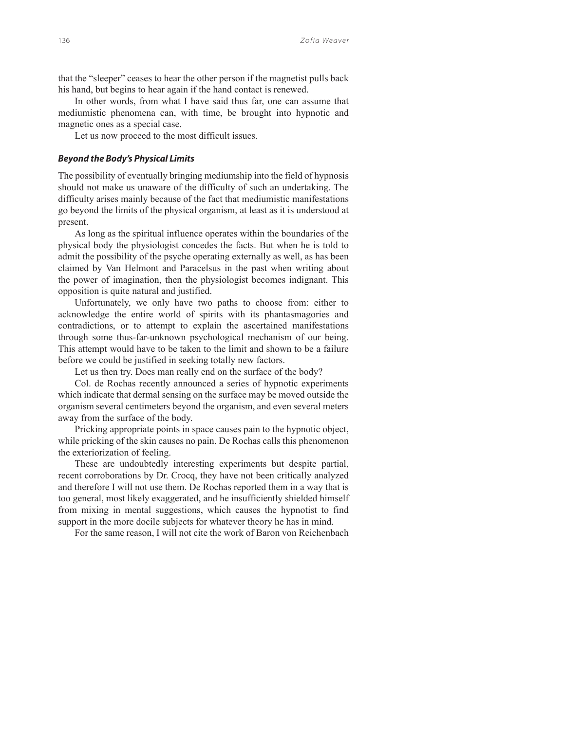that the "sleeper" ceases to hear the other person if the magnetist pulls back his hand, but begins to hear again if the hand contact is renewed.

In other words, from what I have said thus far, one can assume that mediumistic phenomena can, with time, be brought into hypnotic and magnetic ones as a special case.

Let us now proceed to the most difficult issues.

### *Beyond the Body's Physical Limits*

The possibility of eventually bringing mediumship into the field of hypnosis should not make us unaware of the difficulty of such an undertaking. The difficulty arises mainly because of the fact that mediumistic manifestations go beyond the limits of the physical organism, at least as it is understood at present.

As long as the spiritual influence operates within the boundaries of the physical body the physiologist concedes the facts. But when he is told to admit the possibility of the psyche operating externally as well, as has been claimed by Van Helmont and Paracelsus in the past when writing about the power of imagination, then the physiologist becomes indignant. This opposition is quite natural and justified.

Unfortunately, we only have two paths to choose from: either to acknowledge the entire world of spirits with its phantasmagories and contradictions, or to attempt to explain the ascertained manifestations through some thus-far-unknown psychological mechanism of our being. This attempt would have to be taken to the limit and shown to be a failure before we could be justified in seeking totally new factors.

Let us then try. Does man really end on the surface of the body?

Col. de Rochas recently announced a series of hypnotic experiments which indicate that dermal sensing on the surface may be moved outside the organism several centimeters beyond the organism, and even several meters away from the surface of the body.

Pricking appropriate points in space causes pain to the hypnotic object, while pricking of the skin causes no pain. De Rochas calls this phenomenon the exteriorization of feeling.

These are undoubtedly interesting experiments but despite partial, recent corroborations by Dr. Crocq, they have not been critically analyzed and therefore I will not use them. De Rochas reported them in a way that is too general, most likely exaggerated, and he insufficiently shielded himself from mixing in mental suggestions, which causes the hypnotist to find support in the more docile subjects for whatever theory he has in mind.

For the same reason, I will not cite the work of Baron von Reichenbach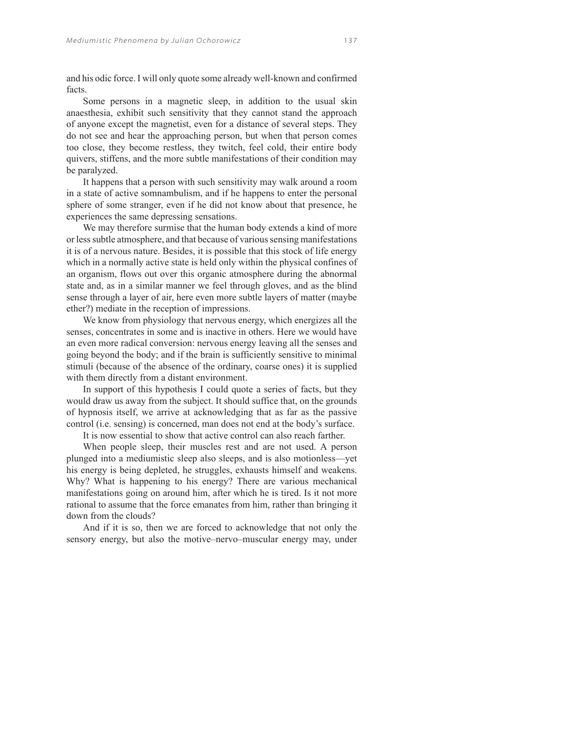and his odic force. I will only quote some already well-known and confirmed facts.

Some persons in a magnetic sleep, in addition to the usual skin anaesthesia, exhibit such sensitivity that they cannot stand the approach of anyone except the magnetist, even for a distance of several steps. They do not see and hear the approaching person, but when that person comes too close, they become restless, they twitch, feel cold, their entire body quivers, stiffens, and the more subtle manifestations of their condition may be paralyzed.

It happens that a person with such sensitivity may walk around a room in a state of active somnambulism, and if he happens to enter the personal sphere of some stranger, even if he did not know about that presence, he experiences the same depressing sensations.

We may therefore surmise that the human body extends a kind of more or less subtle atmosphere, and that because of various sensing manifestations it is of a nervous nature. Besides, it is possible that this stock of life energy which in a normally active state is held only within the physical confines of an organism, flows out over this organic atmosphere during the abnormal state and, as in a similar manner we feel through gloves, and as the blind sense through a layer of air, here even more subtle layers of matter (maybe ether?) mediate in the reception of impressions.

We know from physiology that nervous energy, which energizes all the senses, concentrates in some and is inactive in others. Here we would have an even more radical conversion: nervous energy leaving all the senses and going beyond the body; and if the brain is sufficiently sensitive to minimal stimuli (because of the absence of the ordinary, coarse ones) it is supplied with them directly from a distant environment.

In support of this hypothesis I could quote a series of facts, but they would draw us away from the subject. It should suffice that, on the grounds of hypnosis itself, we arrive at acknowledging that as far as the passive control (i.e. sensing) is concerned, man does not end at the body's surface.

It is now essential to show that active control can also reach farther.

When people sleep, their muscles rest and are not used. A person plunged into a mediumistic sleep also sleeps, and is also motionless—yet his energy is being depleted, he struggles, exhausts himself and weakens. Why? What is happening to his energy? There are various mechanical manifestations going on around him, after which he is tired. Is it not more rational to assume that the force emanates from him, rather than bringing it down from the clouds?

And if it is so, then we are forced to acknowledge that not only the sensory energy, but also the motive–nervo–muscular energy may, under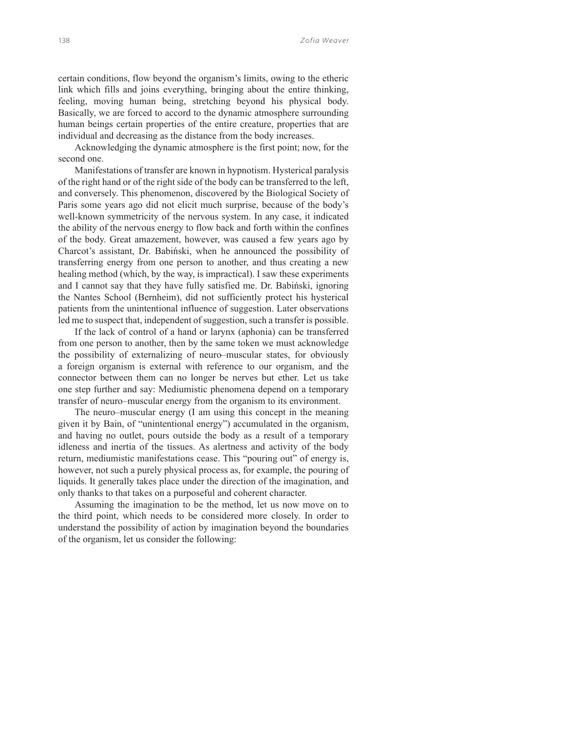certain conditions, flow beyond the organism's limits, owing to the etheric link which fills and joins everything, bringing about the entire thinking, feeling, moving human being, stretching beyond his physical body. Basically, we are forced to accord to the dynamic atmosphere surrounding human beings certain properties of the entire creature, properties that are individual and decreasing as the distance from the body increases.

Acknowledging the dynamic atmosphere is the first point; now, for the second one.

Manifestations of transfer are known in hypnotism. Hysterical paralysis of the right hand or of the right side of the body can be transferred to the left, and conversely. This phenomenon, discovered by the Biological Society of Paris some years ago did not elicit much surprise, because of the body's well-known symmetricity of the nervous system. In any case, it indicated the ability of the nervous energy to flow back and forth within the confines of the body. Great amazement, however, was caused a few years ago by Charcot's assistant, Dr. Babiński, when he announced the possibility of transferring energy from one person to another, and thus creating a new healing method (which, by the way, is impractical). I saw these experiments and I cannot say that they have fully satisfied me. Dr. Babiński, ignoring the Nantes School (Bernheim), did not sufficiently protect his hysterical patients from the unintentional influence of suggestion. Later observations led me to suspect that, independent of suggestion, such a transfer is possible.

If the lack of control of a hand or larynx (aphonia) can be transferred from one person to another, then by the same token we must acknowledge the possibility of externalizing of neuro–muscular states, for obviously a foreign organism is external with reference to our organism, and the connector between them can no longer be nerves but ether. Let us take one step further and say: Mediumistic phenomena depend on a temporary transfer of neuro–muscular energy from the organism to its environment.

The neuro–muscular energy (I am using this concept in the meaning given it by Bain, of "unintentional energy") accumulated in the organism, and having no outlet, pours outside the body as a result of a temporary idleness and inertia of the tissues. As alertness and activity of the body return, mediumistic manifestations cease. This "pouring out" of energy is, however, not such a purely physical process as, for example, the pouring of liquids. It generally takes place under the direction of the imagination, and only thanks to that takes on a purposeful and coherent character.

Assuming the imagination to be the method, let us now move on to the third point, which needs to be considered more closely. In order to understand the possibility of action by imagination beyond the boundaries of the organism, let us consider the following: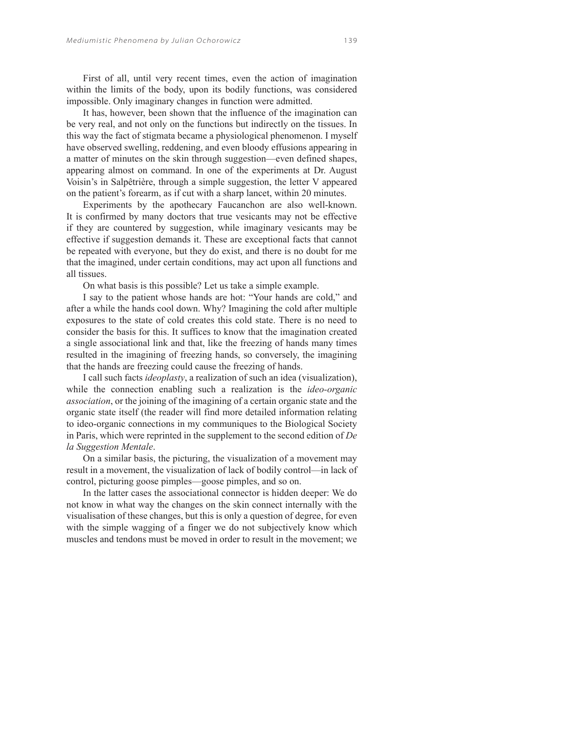First of all, until very recent times, even the action of imagination within the limits of the body, upon its bodily functions, was considered impossible. Only imaginary changes in function were admitted.

It has, however, been shown that the influence of the imagination can be very real, and not only on the functions but indirectly on the tissues. In this way the fact of stigmata became a physiological phenomenon. I myself have observed swelling, reddening, and even bloody effusions appearing in a matter of minutes on the skin through suggestion—even defined shapes, appearing almost on command. In one of the experiments at Dr. August Voisin's in Salpêtrière, through a simple suggestion, the letter V appeared on the patient's forearm, as if cut with a sharp lancet, within 20 minutes.

Experiments by the apothecary Faucanchon are also well-known. It is confirmed by many doctors that true vesicants may not be effective if they are countered by suggestion, while imaginary vesicants may be effective if suggestion demands it. These are exceptional facts that cannot be repeated with everyone, but they do exist, and there is no doubt for me that the imagined, under certain conditions, may act upon all functions and all tissues.

On what basis is this possible? Let us take a simple example.

I say to the patient whose hands are hot: "Your hands are cold," and after a while the hands cool down. Why? Imagining the cold after multiple exposures to the state of cold creates this cold state. There is no need to consider the basis for this. It suffices to know that the imagination created a single associational link and that, like the freezing of hands many times resulted in the imagining of freezing hands, so conversely, the imagining that the hands are freezing could cause the freezing of hands.

I call such facts *ideoplasty*, a realization of such an idea (visualization), while the connection enabling such a realization is the *ideo-organic association*, or the joining of the imagining of a certain organic state and the organic state itself (the reader will find more detailed information relating to ideo-organic connections in my communiques to the Biological Society in Paris, which were reprinted in the supplement to the second edition of *De la Suggestion Mentale*.

On a similar basis, the picturing, the visualization of a movement may result in a movement, the visualization of lack of bodily control—in lack of control, picturing goose pimples—goose pimples, and so on.

In the latter cases the associational connector is hidden deeper: We do not know in what way the changes on the skin connect internally with the visualisation of these changes, but this is only a question of degree, for even with the simple wagging of a finger we do not subjectively know which muscles and tendons must be moved in order to result in the movement; we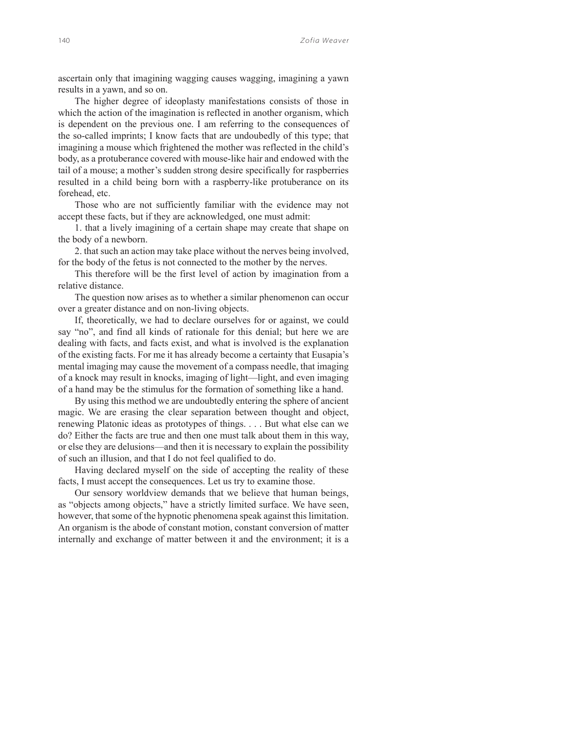ascertain only that imagining wagging causes wagging, imagining a yawn results in a yawn, and so on.

The higher degree of ideoplasty manifestations consists of those in which the action of the imagination is reflected in another organism, which is dependent on the previous one. I am referring to the consequences of the so-called imprints; I know facts that are undoubedly of this type; that imagining a mouse which frightened the mother was reflected in the child's body, as a protuberance covered with mouse-like hair and endowed with the tail of a mouse; a mother's sudden strong desire specifically for raspberries resulted in a child being born with a raspberry-like protuberance on its forehead, etc.

Those who are not sufficiently familiar with the evidence may not accept these facts, but if they are acknowledged, one must admit:

1. that a lively imagining of a certain shape may create that shape on the body of a newborn.

2. that such an action may take place without the nerves being involved, for the body of the fetus is not connected to the mother by the nerves.

This therefore will be the first level of action by imagination from a relative distance.

The question now arises as to whether a similar phenomenon can occur over a greater distance and on non-living objects.

If, theoretically, we had to declare ourselves for or against, we could say "no", and find all kinds of rationale for this denial; but here we are dealing with facts, and facts exist, and what is involved is the explanation of the existing facts. For me it has already become a certainty that Eusapia's mental imaging may cause the movement of a compass needle, that imaging of a knock may result in knocks, imaging of light—light, and even imaging of a hand may be the stimulus for the formation of something like a hand.

By using this method we are undoubtedly entering the sphere of ancient magic. We are erasing the clear separation between thought and object, renewing Platonic ideas as prototypes of things. . . . But what else can we do? Either the facts are true and then one must talk about them in this way, or else they are delusions—and then it is necessary to explain the possibility of such an illusion, and that I do not feel qualified to do.

Having declared myself on the side of accepting the reality of these facts, I must accept the consequences. Let us try to examine those.

Our sensory worldview demands that we believe that human beings, as "objects among objects," have a strictly limited surface. We have seen, however, that some of the hypnotic phenomena speak against this limitation. An organism is the abode of constant motion, constant conversion of matter internally and exchange of matter between it and the environment; it is a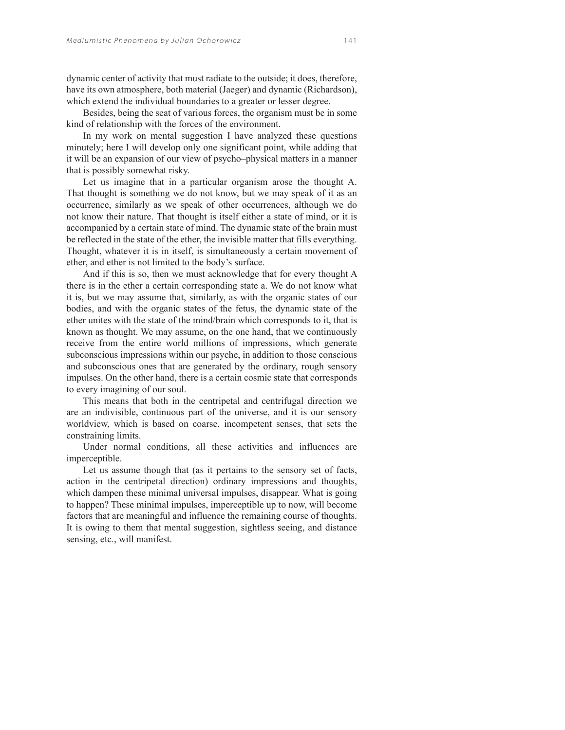dynamic center of activity that must radiate to the outside; it does, therefore, have its own atmosphere, both material (Jaeger) and dynamic (Richardson), which extend the individual boundaries to a greater or lesser degree.

Besides, being the seat of various forces, the organism must be in some kind of relationship with the forces of the environment.

In my work on mental suggestion I have analyzed these questions minutely; here I will develop only one significant point, while adding that it will be an expansion of our view of psycho–physical matters in a manner that is possibly somewhat risky.

Let us imagine that in a particular organism arose the thought A. That thought is something we do not know, but we may speak of it as an occurrence, similarly as we speak of other occurrences, although we do not know their nature. That thought is itself either a state of mind, or it is accompanied by a certain state of mind. The dynamic state of the brain must be reflected in the state of the ether, the invisible matter that fills everything. Thought, whatever it is in itself, is simultaneously a certain movement of ether, and ether is not limited to the body's surface.

And if this is so, then we must acknowledge that for every thought A there is in the ether a certain corresponding state a. We do not know what it is, but we may assume that, similarly, as with the organic states of our bodies, and with the organic states of the fetus, the dynamic state of the ether unites with the state of the mind/brain which corresponds to it, that is known as thought. We may assume, on the one hand, that we continuously receive from the entire world millions of impressions, which generate subconscious impressions within our psyche, in addition to those conscious and subconscious ones that are generated by the ordinary, rough sensory impulses. On the other hand, there is a certain cosmic state that corresponds to every imagining of our soul.

This means that both in the centripetal and centrifugal direction we are an indivisible, continuous part of the universe, and it is our sensory worldview, which is based on coarse, incompetent senses, that sets the constraining limits.

Under normal conditions, all these activities and influences are imperceptible.

Let us assume though that (as it pertains to the sensory set of facts, action in the centripetal direction) ordinary impressions and thoughts, which dampen these minimal universal impulses, disappear. What is going to happen? These minimal impulses, imperceptible up to now, will become factors that are meaningful and influence the remaining course of thoughts. It is owing to them that mental suggestion, sightless seeing, and distance sensing, etc., will manifest.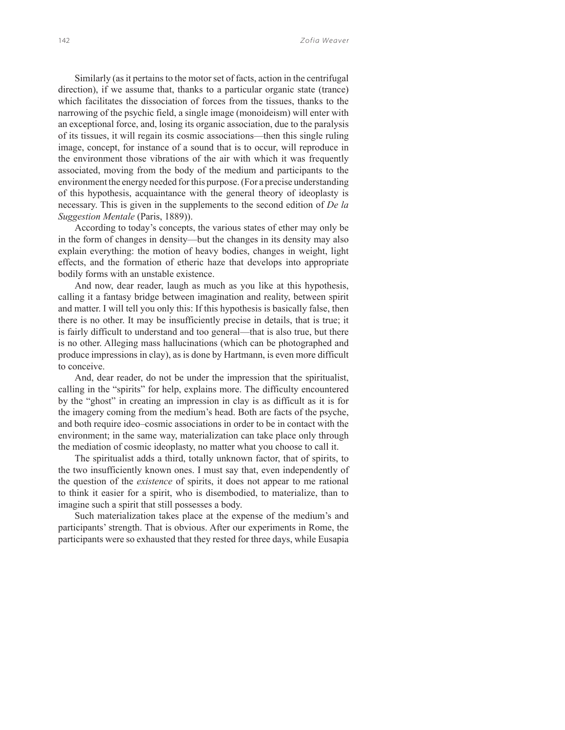Similarly (as it pertains to the motor set of facts, action in the centrifugal direction), if we assume that, thanks to a particular organic state (trance) which facilitates the dissociation of forces from the tissues, thanks to the narrowing of the psychic field, a single image (monoideism) will enter with an exceptional force, and, losing its organic association, due to the paralysis of its tissues, it will regain its cosmic associations—then this single ruling image, concept, for instance of a sound that is to occur, will reproduce in the environment those vibrations of the air with which it was frequently associated, moving from the body of the medium and participants to the environment the energy needed for this purpose. (For a precise understanding of this hypothesis, acquaintance with the general theory of ideoplasty is necessary. This is given in the supplements to the second edition of *De la Suggestion Mentale* (Paris, 1889)).

According to today's concepts, the various states of ether may only be in the form of changes in density—but the changes in its density may also explain everything: the motion of heavy bodies, changes in weight, light effects, and the formation of etheric haze that develops into appropriate bodily forms with an unstable existence.

And now, dear reader, laugh as much as you like at this hypothesis, calling it a fantasy bridge between imagination and reality, between spirit and matter. I will tell you only this: If this hypothesis is basically false, then there is no other. It may be insufficiently precise in details, that is true; it is fairly difficult to understand and too general—that is also true, but there is no other. Alleging mass hallucinations (which can be photographed and produce impressions in clay), as is done by Hartmann, is even more difficult to conceive.

And, dear reader, do not be under the impression that the spiritualist, calling in the "spirits" for help, explains more. The difficulty encountered by the "ghost" in creating an impression in clay is as difficult as it is for the imagery coming from the medium's head. Both are facts of the psyche, and both require ideo–cosmic associations in order to be in contact with the environment; in the same way, materialization can take place only through the mediation of cosmic ideoplasty, no matter what you choose to call it.

The spiritualist adds a third, totally unknown factor, that of spirits, to the two insufficiently known ones. I must say that, even independently of the question of the *existence* of spirits, it does not appear to me rational to think it easier for a spirit, who is disembodied, to materialize, than to imagine such a spirit that still possesses a body.

Such materialization takes place at the expense of the medium's and participants' strength. That is obvious. After our experiments in Rome, the participants were so exhausted that they rested for three days, while Eusapia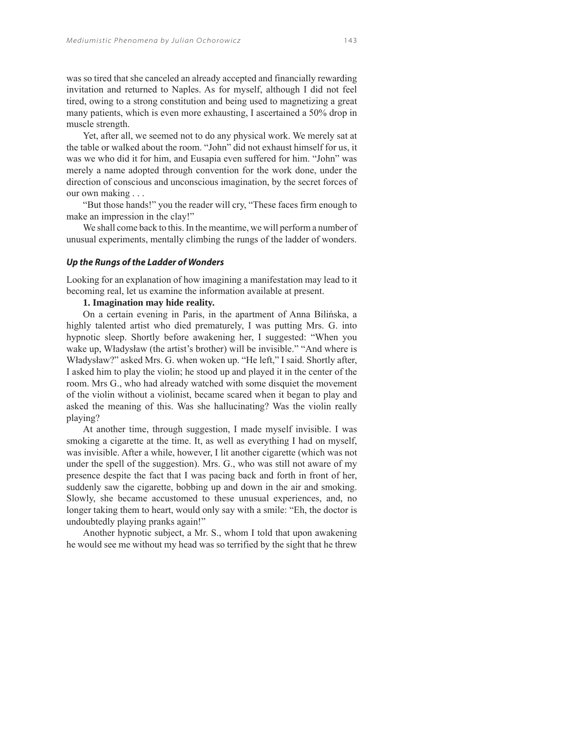was so tired that she canceled an already accepted and financially rewarding invitation and returned to Naples. As for myself, although I did not feel tired, owing to a strong constitution and being used to magnetizing a great many patients, which is even more exhausting, I ascertained a 50% drop in muscle strength.

Yet, after all, we seemed not to do any physical work. We merely sat at the table or walked about the room. "John" did not exhaust himself for us, it was we who did it for him, and Eusapia even suffered for him. "John" was merely a name adopted through convention for the work done, under the direction of conscious and unconscious imagination, by the secret forces of our own making . . .

"But those hands!" you the reader will cry, "These faces firm enough to make an impression in the clay!"

We shall come back to this. In the meantime, we will perform a number of unusual experiments, mentally climbing the rungs of the ladder of wonders.

#### *Up the Rungs of the Ladder of Wonders*

Looking for an explanation of how imagining a manifestation may lead to it becoming real, let us examine the information available at present.

# **1. Imagination may hide reality.**

On a certain evening in Paris, in the apartment of Anna Bilińska, a highly talented artist who died prematurely, I was putting Mrs. G. into hypnotic sleep. Shortly before awakening her, I suggested: "When you wake up, Władysław (the artist's brother) will be invisible." "And where is Władysław?" asked Mrs. G. when woken up. "He left," I said. Shortly after, I asked him to play the violin; he stood up and played it in the center of the room. Mrs G., who had already watched with some disquiet the movement of the violin without a violinist, became scared when it began to play and asked the meaning of this. Was she hallucinating? Was the violin really playing?

At another time, through suggestion, I made myself invisible. I was smoking a cigarette at the time. It, as well as everything I had on myself, was invisible. After a while, however, I lit another cigarette (which was not under the spell of the suggestion). Mrs. G., who was still not aware of my presence despite the fact that I was pacing back and forth in front of her, suddenly saw the cigarette, bobbing up and down in the air and smoking. Slowly, she became accustomed to these unusual experiences, and, no longer taking them to heart, would only say with a smile: "Eh, the doctor is undoubtedly playing pranks again!"

Another hypnotic subject, a Mr. S., whom I told that upon awakening he would see me without my head was so terrified by the sight that he threw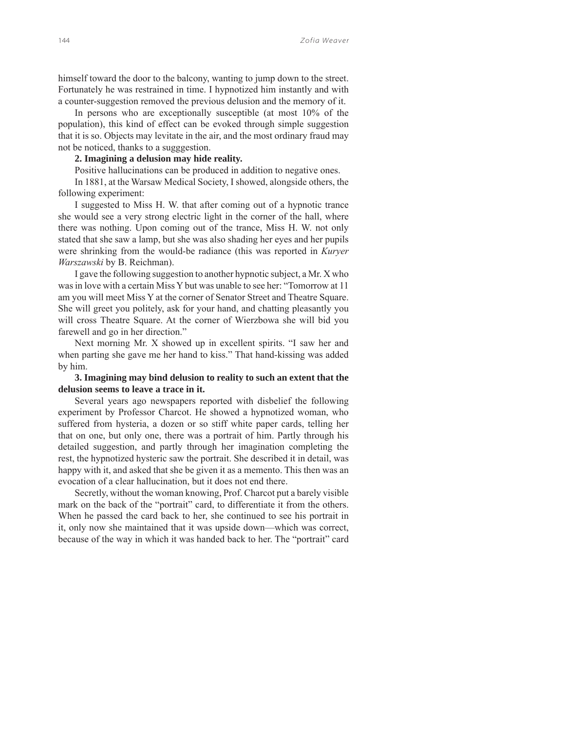himself toward the door to the balcony, wanting to jump down to the street. Fortunately he was restrained in time. I hypnotized him instantly and with a counter-suggestion removed the previous delusion and the memory of it.

In persons who are exceptionally susceptible (at most 10% of the population), this kind of effect can be evoked through simple suggestion that it is so. Objects may levitate in the air, and the most ordinary fraud may not be noticed, thanks to a sugggestion.

## **2. Imagining a delusion may hide reality.**

Positive hallucinations can be produced in addition to negative ones.

In 1881, at the Warsaw Medical Society, I showed, alongside others, the following experiment:

I suggested to Miss H. W. that after coming out of a hypnotic trance she would see a very strong electric light in the corner of the hall, where there was nothing. Upon coming out of the trance, Miss H. W. not only stated that she saw a lamp, but she was also shading her eyes and her pupils were shrinking from the would-be radiance (this was reported in *Kuryer Warszawski* by B. Reichman).

I gave the following suggestion to another hypnotic subject, a Mr. X who was in love with a certain Miss Y but was unable to see her: "Tomorrow at 11 am you will meet Miss Y at the corner of Senator Street and Theatre Square. She will greet you politely, ask for your hand, and chatting pleasantly you will cross Theatre Square. At the corner of Wierzbowa she will bid you farewell and go in her direction."

Next morning Mr. X showed up in excellent spirits. "I saw her and when parting she gave me her hand to kiss." That hand-kissing was added by him.

# **3. Imagining may bind delusion to reality to such an extent that the delusion seems to leave a trace in it.**

Several years ago newspapers reported with disbelief the following experiment by Professor Charcot. He showed a hypnotized woman, who suffered from hysteria, a dozen or so stiff white paper cards, telling her that on one, but only one, there was a portrait of him. Partly through his detailed suggestion, and partly through her imagination completing the rest, the hypnotized hysteric saw the portrait. She described it in detail, was happy with it, and asked that she be given it as a memento. This then was an evocation of a clear hallucination, but it does not end there.

Secretly, without the woman knowing, Prof. Charcot put a barely visible mark on the back of the "portrait" card, to differentiate it from the others. When he passed the card back to her, she continued to see his portrait in it, only now she maintained that it was upside down—which was correct, because of the way in which it was handed back to her. The "portrait" card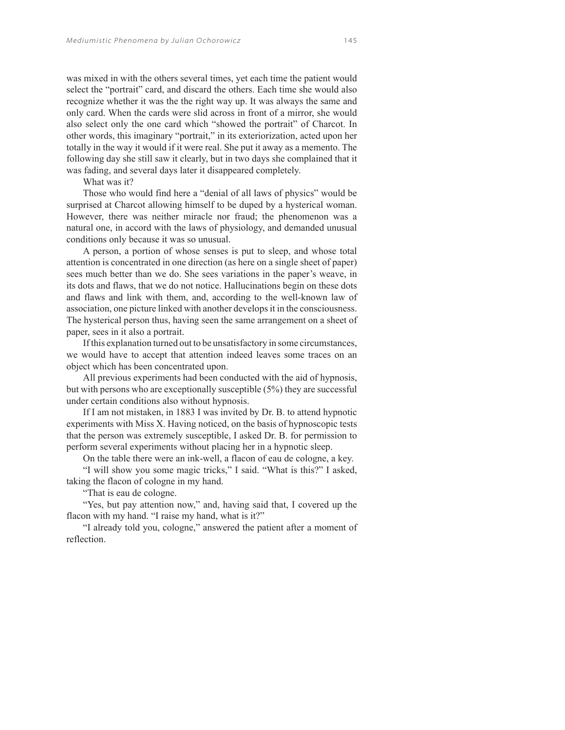was mixed in with the others several times, yet each time the patient would select the "portrait" card, and discard the others. Each time she would also recognize whether it was the the right way up. It was always the same and only card. When the cards were slid across in front of a mirror, she would also select only the one card which "showed the portrait" of Charcot. In other words, this imaginary "portrait," in its exteriorization, acted upon her totally in the way it would if it were real. She put it away as a memento. The following day she still saw it clearly, but in two days she complained that it was fading, and several days later it disappeared completely.

What was it?

Those who would find here a "denial of all laws of physics" would be surprised at Charcot allowing himself to be duped by a hysterical woman. However, there was neither miracle nor fraud; the phenomenon was a natural one, in accord with the laws of physiology, and demanded unusual conditions only because it was so unusual.

A person, a portion of whose senses is put to sleep, and whose total attention is concentrated in one direction (as here on a single sheet of paper) sees much better than we do. She sees variations in the paper's weave, in its dots and flaws, that we do not notice. Hallucinations begin on these dots and flaws and link with them, and, according to the well-known law of association, one picture linked with another develops it in the consciousness. The hysterical person thus, having seen the same arrangement on a sheet of paper, sees in it also a portrait.

If this explanation turned out to be unsatisfactory in some circumstances, we would have to accept that attention indeed leaves some traces on an object which has been concentrated upon.

All previous experiments had been conducted with the aid of hypnosis, but with persons who are exceptionally susceptible (5%) they are successful under certain conditions also without hypnosis.

If I am not mistaken, in 1883 I was invited by Dr. B. to attend hypnotic experiments with Miss X. Having noticed, on the basis of hypnoscopic tests that the person was extremely susceptible, I asked Dr. B. for permission to perform several experiments without placing her in a hypnotic sleep.

On the table there were an ink-well, a flacon of eau de cologne, a key.

"I will show you some magic tricks," I said. "What is this?" I asked, taking the flacon of cologne in my hand.

"That is eau de cologne.

"Yes, but pay attention now," and, having said that, I covered up the flacon with my hand. "I raise my hand, what is it?"

"I already told you, cologne," answered the patient after a moment of reflection.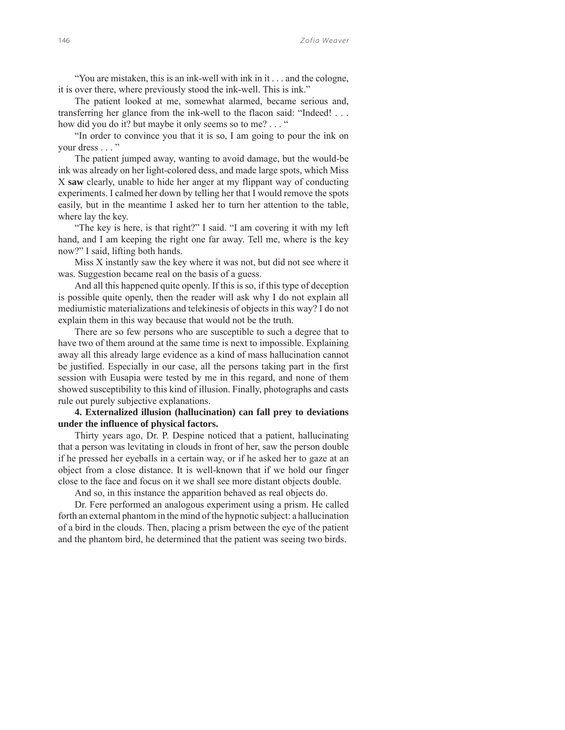"You are mistaken, this is an ink-well with ink in it . . . and the cologne, it is over there, where previously stood the ink-well. This is ink."

The patient looked at me, somewhat alarmed, became serious and, transferring her glance from the ink-well to the flacon said: "Indeed! . . . how did you do it? but maybe it only seems so to me? . . . "

"In order to convince you that it is so, I am going to pour the ink on your dress . . . "

The patient jumped away, wanting to avoid damage, but the would-be ink was already on her light-colored dess, and made large spots, which Miss X **saw** clearly, unable to hide her anger at my flippant way of conducting experiments. I calmed her down by telling her that I would remove the spots easily, but in the meantime I asked her to turn her attention to the table, where lay the key.

"The key is here, is that right?" I said. "I am covering it with my left hand, and I am keeping the right one far away. Tell me, where is the key now?" I said, lifting both hands.

Miss X instantly saw the key where it was not, but did not see where it was. Suggestion became real on the basis of a guess.

And all this happened quite openly. If this is so, if this type of deception is possible quite openly, then the reader will ask why I do not explain all mediumistic materializations and telekinesis of objects in this way? I do not explain them in this way because that would not be the truth.

There are so few persons who are susceptible to such a degree that to have two of them around at the same time is next to impossible. Explaining away all this already large evidence as a kind of mass hallucination cannot be justified. Especially in our case, all the persons taking part in the first session with Eusapia were tested by me in this regard, and none of them showed susceptibility to this kind of illusion. Finally, photographs and casts rule out purely subjective explanations.

# **4. Externalized illusion (hallucination) can fall prey to deviations under the influence of physical factors.**

Thirty years ago, Dr. P. Despine noticed that a patient, hallucinating that a person was levitating in clouds in front of her, saw the person double if he pressed her eyeballs in a certain way, or if he asked her to gaze at an object from a close distance. It is well-known that if we hold our finger close to the face and focus on it we shall see more distant objects double.

And so, in this instance the apparition behaved as real objects do.

Dr. Fere performed an analogous experiment using a prism. He called forth an external phantom in the mind of the hypnotic subject: a hallucination of a bird in the clouds. Then, placing a prism between the eye of the patient and the phantom bird, he determined that the patient was seeing two birds.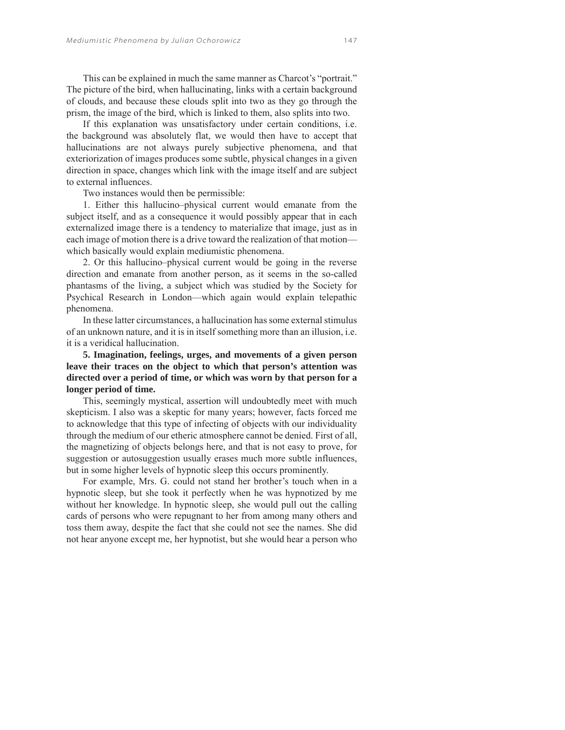This can be explained in much the same manner as Charcot's "portrait." The picture of the bird, when hallucinating, links with a certain background of clouds, and because these clouds split into two as they go through the prism, the image of the bird, which is linked to them, also splits into two.

If this explanation was unsatisfactory under certain conditions, i.e. the background was absolutely flat, we would then have to accept that hallucinations are not always purely subjective phenomena, and that exteriorization of images produces some subtle, physical changes in a given direction in space, changes which link with the image itself and are subject to external influences.

Two instances would then be permissible:

1. Either this hallucino–physical current would emanate from the subject itself, and as a consequence it would possibly appear that in each externalized image there is a tendency to materialize that image, just as in each image of motion there is a drive toward the realization of that motion which basically would explain mediumistic phenomena.

2. Or this hallucino–physical current would be going in the reverse direction and emanate from another person, as it seems in the so-called phantasms of the living, a subject which was studied by the Society for Psychical Research in London—which again would explain telepathic phenomena.

In these latter circumstances, a hallucination has some external stimulus of an unknown nature, and it is in itself something more than an illusion, i.e. it is a veridical hallucination.

# **5. Imagination, feelings, urges, and movements of a given person leave their traces on the object to which that person's attention was directed over a period of time, or which was worn by that person for a longer period of time.**

This, seemingly mystical, assertion will undoubtedly meet with much skepticism. I also was a skeptic for many years; however, facts forced me to acknowledge that this type of infecting of objects with our individuality through the medium of our etheric atmosphere cannot be denied. First of all, the magnetizing of objects belongs here, and that is not easy to prove, for suggestion or autosuggestion usually erases much more subtle influences, but in some higher levels of hypnotic sleep this occurs prominently.

For example, Mrs. G. could not stand her brother's touch when in a hypnotic sleep, but she took it perfectly when he was hypnotized by me without her knowledge. In hypnotic sleep, she would pull out the calling cards of persons who were repugnant to her from among many others and toss them away, despite the fact that she could not see the names. She did not hear anyone except me, her hypnotist, but she would hear a person who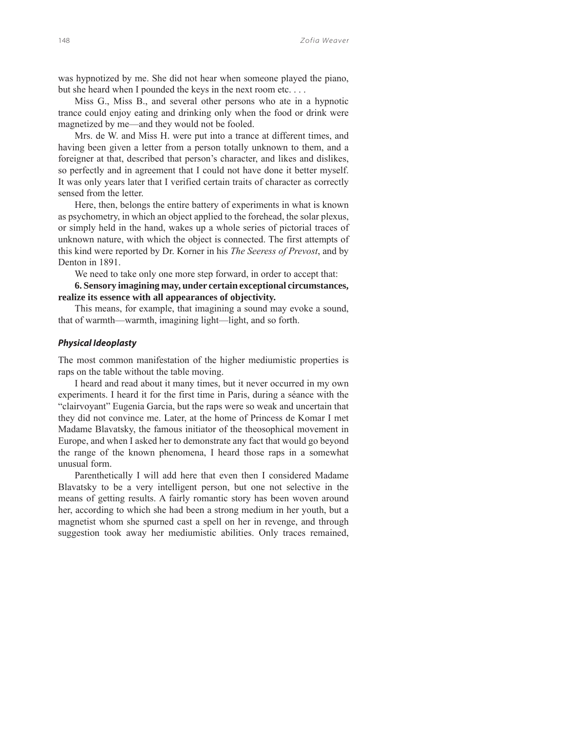was hypnotized by me. She did not hear when someone played the piano, but she heard when I pounded the keys in the next room etc....

Miss G., Miss B., and several other persons who ate in a hypnotic trance could enjoy eating and drinking only when the food or drink were magnetized by me—and they would not be fooled.

Mrs. de W. and Miss H. were put into a trance at different times, and having been given a letter from a person totally unknown to them, and a foreigner at that, described that person's character, and likes and dislikes, so perfectly and in agreement that I could not have done it better myself. It was only years later that I verified certain traits of character as correctly sensed from the letter.

Here, then, belongs the entire battery of experiments in what is known as psychometry, in which an object applied to the forehead, the solar plexus, or simply held in the hand, wakes up a whole series of pictorial traces of unknown nature, with which the object is connected. The first attempts of this kind were reported by Dr. Korner in his *The Seeress of Prevost*, and by Denton in 1891.

We need to take only one more step forward, in order to accept that:

**6. Sensory imagining may, under certain exceptional circumstances, realize its essence with all appearances of objectivity.**

This means, for example, that imagining a sound may evoke a sound, that of warmth—warmth, imagining light—light, and so forth.

#### *Physical Ideoplasty*

The most common manifestation of the higher mediumistic properties is raps on the table without the table moving.

I heard and read about it many times, but it never occurred in my own experiments. I heard it for the first time in Paris, during a séance with the "clairvoyant" Eugenia Garcia, but the raps were so weak and uncertain that they did not convince me. Later, at the home of Princess de Komar I met Madame Blavatsky, the famous initiator of the theosophical movement in Europe, and when I asked her to demonstrate any fact that would go beyond the range of the known phenomena, I heard those raps in a somewhat unusual form.

Parenthetically I will add here that even then I considered Madame Blavatsky to be a very intelligent person, but one not selective in the means of getting results. A fairly romantic story has been woven around her, according to which she had been a strong medium in her youth, but a magnetist whom she spurned cast a spell on her in revenge, and through suggestion took away her mediumistic abilities. Only traces remained,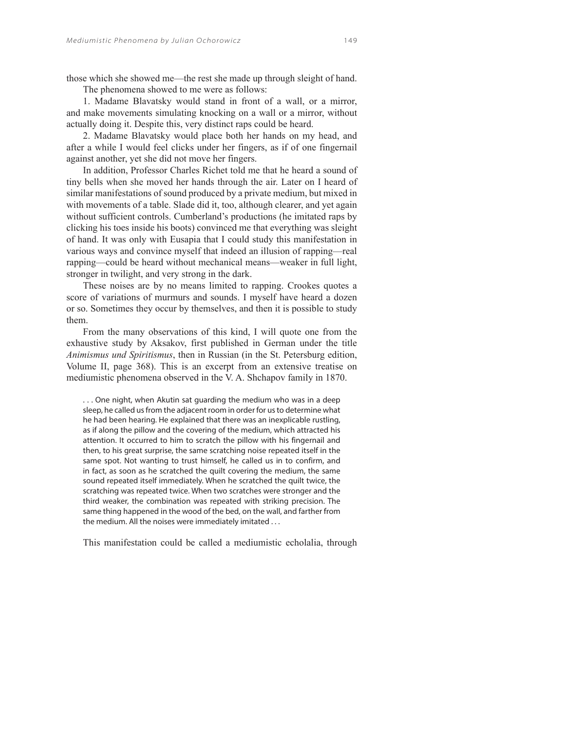The phenomena showed to me were as follows:

1. Madame Blavatsky would stand in front of a wall, or a mirror, and make movements simulating knocking on a wall or a mirror, without actually doing it. Despite this, very distinct raps could be heard.

2. Madame Blavatsky would place both her hands on my head, and after a while I would feel clicks under her fingers, as if of one fingernail against another, yet she did not move her fingers.

In addition, Professor Charles Richet told me that he heard a sound of tiny bells when she moved her hands through the air. Later on I heard of similar manifestations of sound produced by a private medium, but mixed in with movements of a table. Slade did it, too, although clearer, and yet again without sufficient controls. Cumberland's productions (he imitated raps by clicking his toes inside his boots) convinced me that everything was sleight of hand. It was only with Eusapia that I could study this manifestation in various ways and convince myself that indeed an illusion of rapping—real rapping—could be heard without mechanical means—weaker in full light, stronger in twilight, and very strong in the dark.

These noises are by no means limited to rapping. Crookes quotes a score of variations of murmurs and sounds. I myself have heard a dozen or so. Sometimes they occur by themselves, and then it is possible to study them.

From the many observations of this kind, I will quote one from the exhaustive study by Aksakov, first published in German under the title *Animismus und Spiritismus*, then in Russian (in the St. Petersburg edition, Volume II, page 368). This is an excerpt from an extensive treatise on mediumistic phenomena observed in the V. A. Shchapov family in 1870.

. . . One night, when Akutin sat guarding the medium who was in a deep sleep, he called us from the adjacent room in order for us to determine what he had been hearing. He explained that there was an inexplicable rustling, as if along the pillow and the covering of the medium, which attracted his attention. It occurred to him to scratch the pillow with his fingernail and then, to his great surprise, the same scratching noise repeated itself in the same spot. Not wanting to trust himself, he called us in to confirm, and in fact, as soon as he scratched the quilt covering the medium, the same sound repeated itself immediately. When he scratched the quilt twice, the scratching was repeated twice. When two scratches were stronger and the third weaker, the combination was repeated with striking precision. The same thing happened in the wood of the bed, on the wall, and farther from the medium. All the noises were immediately imitated . . .

This manifestation could be called a mediumistic echolalia, through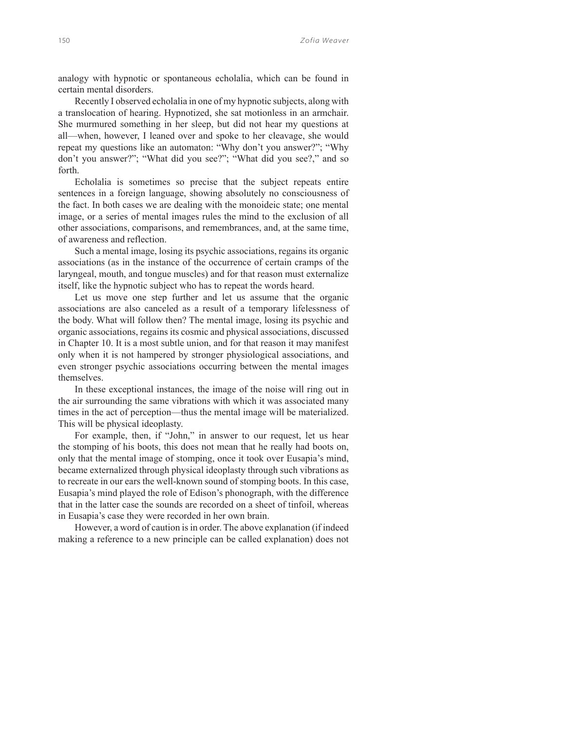analogy with hypnotic or spontaneous echolalia, which can be found in certain mental disorders.

Recently I observed echolalia in one of my hypnotic subjects, along with a translocation of hearing. Hypnotized, she sat motionless in an armchair. She murmured something in her sleep, but did not hear my questions at all—when, however, I leaned over and spoke to her cleavage, she would repeat my questions like an automaton: "Why don't you answer?"; "Why don't you answer?"; "What did you see?"; "What did you see?," and so forth.

Echolalia is sometimes so precise that the subject repeats entire sentences in a foreign language, showing absolutely no consciousness of the fact. In both cases we are dealing with the monoideic state; one mental image, or a series of mental images rules the mind to the exclusion of all other associations, comparisons, and remembrances, and, at the same time, of awareness and reflection.

Such a mental image, losing its psychic associations, regains its organic associations (as in the instance of the occurrence of certain cramps of the laryngeal, mouth, and tongue muscles) and for that reason must externalize itself, like the hypnotic subject who has to repeat the words heard.

Let us move one step further and let us assume that the organic associations are also canceled as a result of a temporary lifelessness of the body. What will follow then? The mental image, losing its psychic and organic associations, regains its cosmic and physical associations, discussed in Chapter 10. It is a most subtle union, and for that reason it may manifest only when it is not hampered by stronger physiological associations, and even stronger psychic associations occurring between the mental images themselves.

In these exceptional instances, the image of the noise will ring out in the air surrounding the same vibrations with which it was associated many times in the act of perception—thus the mental image will be materialized. This will be physical ideoplasty.

For example, then, if "John," in answer to our request, let us hear the stomping of his boots, this does not mean that he really had boots on, only that the mental image of stomping, once it took over Eusapia's mind, became externalized through physical ideoplasty through such vibrations as to recreate in our ears the well-known sound of stomping boots. In this case, Eusapia's mind played the role of Edison's phonograph, with the difference that in the latter case the sounds are recorded on a sheet of tinfoil, whereas in Eusapia's case they were recorded in her own brain.

However, a word of caution is in order. The above explanation (if indeed making a reference to a new principle can be called explanation) does not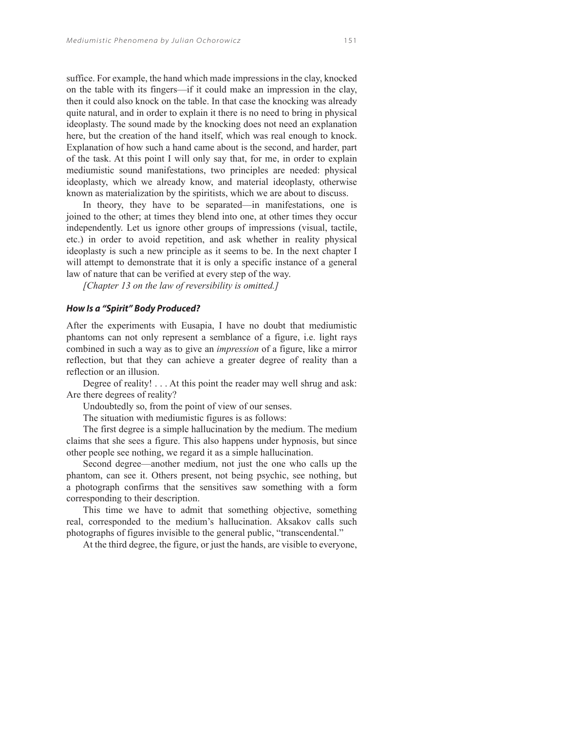suffice. For example, the hand which made impressions in the clay, knocked on the table with its fingers—if it could make an impression in the clay, then it could also knock on the table. In that case the knocking was already quite natural, and in order to explain it there is no need to bring in physical ideoplasty. The sound made by the knocking does not need an explanation here, but the creation of the hand itself, which was real enough to knock. Explanation of how such a hand came about is the second, and harder, part of the task. At this point I will only say that, for me, in order to explain mediumistic sound manifestations, two principles are needed: physical ideoplasty, which we already know, and material ideoplasty, otherwise known as materialization by the spiritists, which we are about to discuss.

In theory, they have to be separated—in manifestations, one is joined to the other; at times they blend into one, at other times they occur independently. Let us ignore other groups of impressions (visual, tactile, etc.) in order to avoid repetition, and ask whether in reality physical ideoplasty is such a new principle as it seems to be. In the next chapter I will attempt to demonstrate that it is only a specific instance of a general law of nature that can be verified at every step of the way.

*[Chapter 13 on the law of reversibility is omitted.]*

## *How Is a "Spirit" Body Produced?*

After the experiments with Eusapia, I have no doubt that mediumistic phantoms can not only represent a semblance of a figure, i.e. light rays combined in such a way as to give an *impression* of a figure, like a mirror reflection, but that they can achieve a greater degree of reality than a reflection or an illusion.

Degree of reality! . . . At this point the reader may well shrug and ask: Are there degrees of reality?

Undoubtedly so, from the point of view of our senses.

The situation with mediumistic figures is as follows:

The first degree is a simple hallucination by the medium. The medium claims that she sees a figure. This also happens under hypnosis, but since other people see nothing, we regard it as a simple hallucination.

Second degree—another medium, not just the one who calls up the phantom, can see it. Others present, not being psychic, see nothing, but a photograph confirms that the sensitives saw something with a form corresponding to their description.

This time we have to admit that something objective, something real, corresponded to the medium's hallucination. Aksakov calls such photographs of figures invisible to the general public, "transcendental."

At the third degree, the figure, or just the hands, are visible to everyone,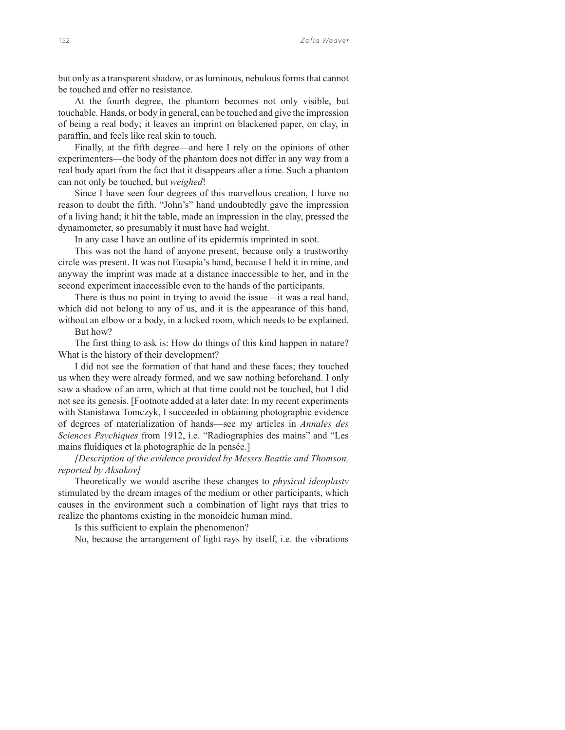but only as a transparent shadow, or as luminous, nebulous forms that cannot be touched and offer no resistance.

At the fourth degree, the phantom becomes not only visible, but touchable. Hands, or body in general, can be touched and give the impression of being a real body; it leaves an imprint on blackened paper, on clay, in paraffin, and feels like real skin to touch.

Finally, at the fifth degree—and here I rely on the opinions of other experimenters—the body of the phantom does not differ in any way from a real body apart from the fact that it disappears after a time. Such a phantom can not only be touched, but *weighed*!

Since I have seen four degrees of this marvellous creation, I have no reason to doubt the fifth. "John's" hand undoubtedly gave the impression of a living hand; it hit the table, made an impression in the clay, pressed the dynamometer, so presumably it must have had weight.

In any case I have an outline of its epidermis imprinted in soot.

This was not the hand of anyone present, because only a trustworthy circle was present. It was not Eusapia's hand, because I held it in mine, and anyway the imprint was made at a distance inaccessible to her, and in the second experiment inaccessible even to the hands of the participants.

There is thus no point in trying to avoid the issue—it was a real hand, which did not belong to any of us, and it is the appearance of this hand, without an elbow or a body, in a locked room, which needs to be explained.

But how?

The first thing to ask is: How do things of this kind happen in nature? What is the history of their development?

I did not see the formation of that hand and these faces; they touched us when they were already formed, and we saw nothing beforehand. I only saw a shadow of an arm, which at that time could not be touched, but I did not see its genesis. [Footnote added at a later date: In my recent experiments with Stanisława Tomczyk, I succeeded in obtaining photographic evidence of degrees of materialization of hands—see my articles in *Annales des Sciences Psychiques* from 1912, i.e. "Radiographies des mains" and "Les mains fluidiques et la photographie de la pensée.]

*[Description of the evidence provided by Messrs Beattie and Thomson, reported by Aksakov]*

Theoretically we would ascribe these changes to *physical ideoplasty*  stimulated by the dream images of the medium or other participants, which causes in the environment such a combination of light rays that tries to realize the phantoms existing in the monoideic human mind.

Is this sufficient to explain the phenomenon?

No, because the arrangement of light rays by itself, i.e. the vibrations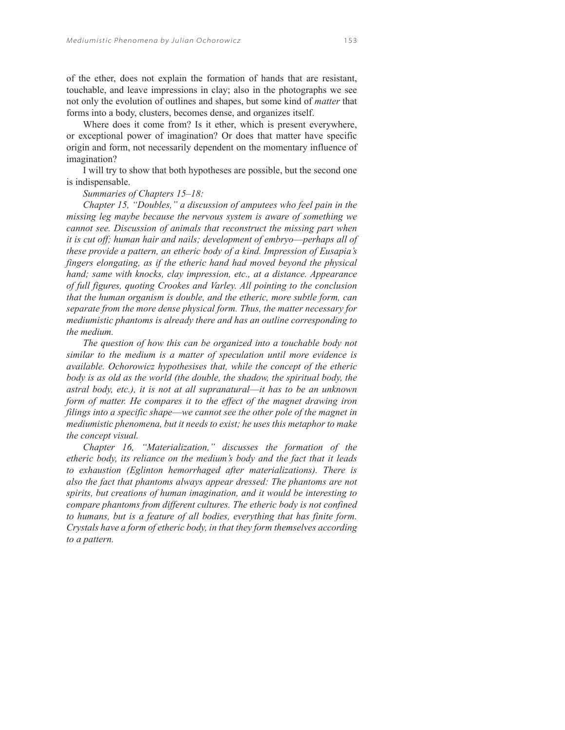of the ether, does not explain the formation of hands that are resistant, touchable, and leave impressions in clay; also in the photographs we see not only the evolution of outlines and shapes, but some kind of *matter* that forms into a body, clusters, becomes dense, and organizes itself.

Where does it come from? Is it ether, which is present everywhere, or exceptional power of imagination? Or does that matter have specific origin and form, not necessarily dependent on the momentary influence of imagination?

I will try to show that both hypotheses are possible, but the second one is indispensable.

## *Summaries of Chapters 15–18:*

*Chapter 15, "Doubles," a discussion of amputees who feel pain in the missing leg maybe because the nervous system is aware of something we cannot see. Discussion of animals that reconstruct the missing part when it is cut off; human hair and nails; development of embryo*—*perhaps all of these provide a pattern, an etheric body of a kind. Impression of Eusapia's fingers elongating, as if the etheric hand had moved beyond the physical hand; same with knocks, clay impression, etc., at a distance. Appearance of full figures, quoting Crookes and Varley. All pointing to the conclusion that the human organism is double, and the etheric, more subtle form, can separate from the more dense physical form. Thus, the matter necessary for mediumistic phantoms is already there and has an outline corresponding to the medium.*

*The question of how this can be organized into a touchable body not similar to the medium is a matter of speculation until more evidence is available. Ochorowicz hypothesises that, while the concept of the etheric body is as old as the world (the double, the shadow, the spiritual body, the astral body, etc.), it is not at all supranatural*—*it has to be an unknown form of matter. He compares it to the effect of the magnet drawing iron filings into a specific shape*—*we cannot see the other pole of the magnet in mediumistic phenomena, but it needs to exist; he uses this metaphor to make the concept visual.* 

*Chapter 16, "Materialization," discusses the formation of the etheric body, its reliance on the medium's body and the fact that it leads to exhaustion (Eglinton hemorrhaged after materializations). There is also the fact that phantoms always appear dressed: The phantoms are not spirits, but creations of human imagination, and it would be interesting to compare phantoms from different cultures. The etheric body is not confined to humans, but is a feature of all bodies, everything that has finite form. Crystals have a form of etheric body, in that they form themselves according to a pattern.*